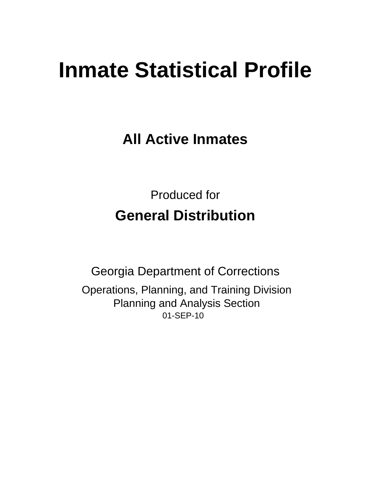# **Inmate Statistical Profile**

**All Active Inmates** 

**Produced for General Distribution** 

**Georgia Department of Corrections** Operations, Planning, and Training Division **Planning and Analysis Section** 01-SEP-10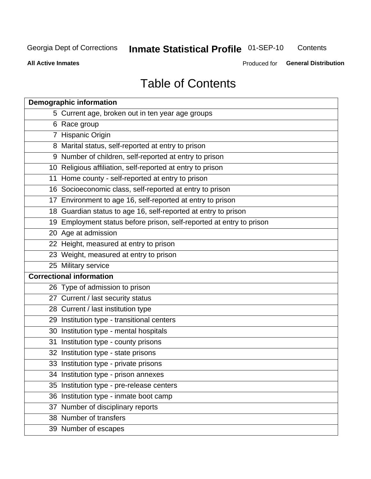#### **Inmate Statistical Profile 01-SEP-10** Contents

**All Active Inmates** 

Produced for General Distribution

## **Table of Contents**

| <b>Demographic information</b>                                       |  |  |  |  |  |  |
|----------------------------------------------------------------------|--|--|--|--|--|--|
| 5 Current age, broken out in ten year age groups                     |  |  |  |  |  |  |
| 6 Race group                                                         |  |  |  |  |  |  |
| 7 Hispanic Origin                                                    |  |  |  |  |  |  |
| 8 Marital status, self-reported at entry to prison                   |  |  |  |  |  |  |
| 9 Number of children, self-reported at entry to prison               |  |  |  |  |  |  |
| 10 Religious affiliation, self-reported at entry to prison           |  |  |  |  |  |  |
| 11 Home county - self-reported at entry to prison                    |  |  |  |  |  |  |
| 16 Socioeconomic class, self-reported at entry to prison             |  |  |  |  |  |  |
| 17 Environment to age 16, self-reported at entry to prison           |  |  |  |  |  |  |
| 18 Guardian status to age 16, self-reported at entry to prison       |  |  |  |  |  |  |
| 19 Employment status before prison, self-reported at entry to prison |  |  |  |  |  |  |
| 20 Age at admission                                                  |  |  |  |  |  |  |
| 22 Height, measured at entry to prison                               |  |  |  |  |  |  |
| 23 Weight, measured at entry to prison                               |  |  |  |  |  |  |
| 25 Military service                                                  |  |  |  |  |  |  |
| <b>Correctional information</b>                                      |  |  |  |  |  |  |
| 26 Type of admission to prison                                       |  |  |  |  |  |  |
| 27 Current / last security status                                    |  |  |  |  |  |  |
| 28 Current / last institution type                                   |  |  |  |  |  |  |
| 29 Institution type - transitional centers                           |  |  |  |  |  |  |
| 30 Institution type - mental hospitals                               |  |  |  |  |  |  |
| 31 Institution type - county prisons                                 |  |  |  |  |  |  |
| 32 Institution type - state prisons                                  |  |  |  |  |  |  |
| 33 Institution type - private prisons                                |  |  |  |  |  |  |
| 34 Institution type - prison annexes                                 |  |  |  |  |  |  |
| 35 Institution type - pre-release centers                            |  |  |  |  |  |  |
| 36 Institution type - inmate boot camp                               |  |  |  |  |  |  |
| 37 Number of disciplinary reports                                    |  |  |  |  |  |  |
| 38 Number of transfers                                               |  |  |  |  |  |  |
| 39 Number of escapes                                                 |  |  |  |  |  |  |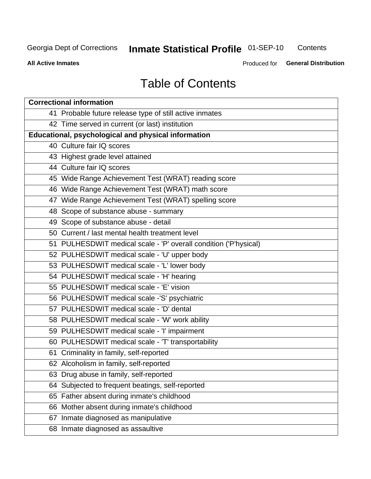## **Inmate Statistical Profile 01-SEP-10**

Contents

**All Active Inmates** 

Produced for General Distribution

## **Table of Contents**

| <b>Correctional information</b>                                  |  |  |  |  |  |  |
|------------------------------------------------------------------|--|--|--|--|--|--|
| 41 Probable future release type of still active inmates          |  |  |  |  |  |  |
| 42 Time served in current (or last) institution                  |  |  |  |  |  |  |
| <b>Educational, psychological and physical information</b>       |  |  |  |  |  |  |
| 40 Culture fair IQ scores                                        |  |  |  |  |  |  |
| 43 Highest grade level attained                                  |  |  |  |  |  |  |
| 44 Culture fair IQ scores                                        |  |  |  |  |  |  |
| 45 Wide Range Achievement Test (WRAT) reading score              |  |  |  |  |  |  |
| 46 Wide Range Achievement Test (WRAT) math score                 |  |  |  |  |  |  |
| 47 Wide Range Achievement Test (WRAT) spelling score             |  |  |  |  |  |  |
| 48 Scope of substance abuse - summary                            |  |  |  |  |  |  |
| 49 Scope of substance abuse - detail                             |  |  |  |  |  |  |
| 50 Current / last mental health treatment level                  |  |  |  |  |  |  |
| 51 PULHESDWIT medical scale - 'P' overall condition ('P'hysical) |  |  |  |  |  |  |
| 52 PULHESDWIT medical scale - 'U' upper body                     |  |  |  |  |  |  |
| 53 PULHESDWIT medical scale - 'L' lower body                     |  |  |  |  |  |  |
| 54 PULHESDWIT medical scale - 'H' hearing                        |  |  |  |  |  |  |
| 55 PULHESDWIT medical scale - 'E' vision                         |  |  |  |  |  |  |
| 56 PULHESDWIT medical scale -'S' psychiatric                     |  |  |  |  |  |  |
| 57 PULHESDWIT medical scale - 'D' dental                         |  |  |  |  |  |  |
| 58 PULHESDWIT medical scale - 'W' work ability                   |  |  |  |  |  |  |
| 59 PULHESDWIT medical scale - 'I' impairment                     |  |  |  |  |  |  |
| 60 PULHESDWIT medical scale - 'T' transportability               |  |  |  |  |  |  |
| 61 Criminality in family, self-reported                          |  |  |  |  |  |  |
| 62 Alcoholism in family, self-reported                           |  |  |  |  |  |  |
| 63 Drug abuse in family, self-reported                           |  |  |  |  |  |  |
| 64 Subjected to frequent beatings, self-reported                 |  |  |  |  |  |  |
| 65 Father absent during inmate's childhood                       |  |  |  |  |  |  |
| 66 Mother absent during inmate's childhood                       |  |  |  |  |  |  |
| 67 Inmate diagnosed as manipulative                              |  |  |  |  |  |  |
| 68 Inmate diagnosed as assaultive                                |  |  |  |  |  |  |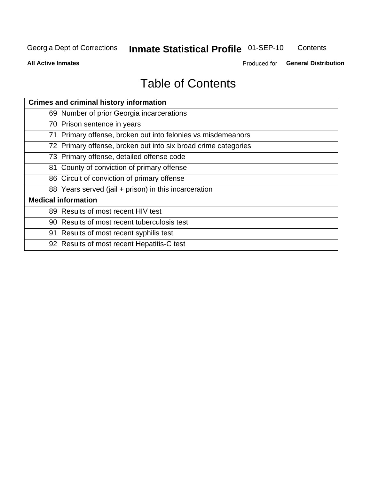## **Inmate Statistical Profile 01-SEP-10**

Contents

**All Active Inmates** 

Produced for General Distribution

## **Table of Contents**

| <b>Crimes and criminal history information</b>                 |  |  |  |  |  |
|----------------------------------------------------------------|--|--|--|--|--|
| 69 Number of prior Georgia incarcerations                      |  |  |  |  |  |
| 70 Prison sentence in years                                    |  |  |  |  |  |
| 71 Primary offense, broken out into felonies vs misdemeanors   |  |  |  |  |  |
| 72 Primary offense, broken out into six broad crime categories |  |  |  |  |  |
| 73 Primary offense, detailed offense code                      |  |  |  |  |  |
| 81 County of conviction of primary offense                     |  |  |  |  |  |
| 86 Circuit of conviction of primary offense                    |  |  |  |  |  |
| 88 Years served (jail + prison) in this incarceration          |  |  |  |  |  |
| <b>Medical information</b>                                     |  |  |  |  |  |
| 89 Results of most recent HIV test                             |  |  |  |  |  |
| 90 Results of most recent tuberculosis test                    |  |  |  |  |  |
| 91 Results of most recent syphilis test                        |  |  |  |  |  |
| 92 Results of most recent Hepatitis-C test                     |  |  |  |  |  |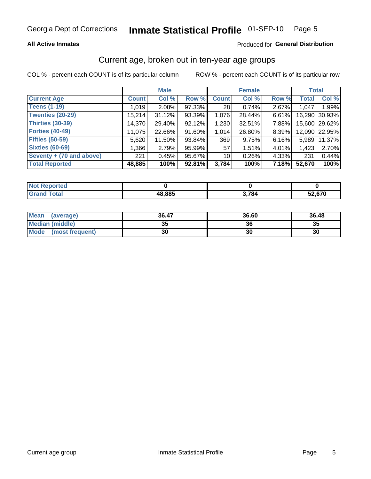### **All Active Inmates**

### Produced for General Distribution

## Current age, broken out in ten-year age groups

COL % - percent each COUNT is of its particular column

|                          |              | <b>Male</b> |        |              | <b>Female</b> |       | <b>Total</b> |               |
|--------------------------|--------------|-------------|--------|--------------|---------------|-------|--------------|---------------|
| <b>Current Age</b>       | <b>Count</b> | Col %       | Row %  | <b>Count</b> | Col %         | Row % | <b>Total</b> | Col %         |
| <b>Teens (1-19)</b>      | 1,019        | 2.08%       | 97.33% | 28           | 0.74%         | 2.67% | 1,047        | 1.99%         |
| <b>Twenties (20-29)</b>  | 15,214       | 31.12%      | 93.39% | 1,076        | 28.44%        | 6.61% | 16,290       | 30.93%        |
| <b>Thirties (30-39)</b>  | 14,370       | 29.40%      | 92.12% | 1,230        | 32.51%        | 7.88% |              | 15,600 29.62% |
| <b>Forties (40-49)</b>   | 11,075       | 22.66%      | 91.60% | 1,014        | 26.80%        | 8.39% |              | 12,090 22.95% |
| <b>Fifties (50-59)</b>   | 5,620        | 11.50%      | 93.84% | 369          | 9.75%         | 6.16% | 5.989        | 11.37%        |
| <b>Sixties (60-69)</b>   | 1,366        | 2.79%       | 95.99% | 57           | 1.51%         | 4.01% | 1,423        | 2.70%         |
| Seventy + (70 and above) | 221          | 0.45%       | 95.67% | 10           | 0.26%         | 4.33% | 231          | 0.44%         |
| <b>Total Reported</b>    | 48,885       | 100%        | 92.81% | 3,784        | 100%          | 7.18% | 52,670       | 100%          |

| <b>Not Repo</b><br><b>Andred</b> |        |        |       |
|----------------------------------|--------|--------|-------|
| Total                            | 48,885 | 2 70 A | 2,670 |

| <b>Mean</b><br>(average) | 36.47    | 36.60 | 36.48 |
|--------------------------|----------|-------|-------|
| Median (middle)          | つん<br>vu | 36    | 35    |
| Mode<br>(most frequent)  | 30       | 30    | 30    |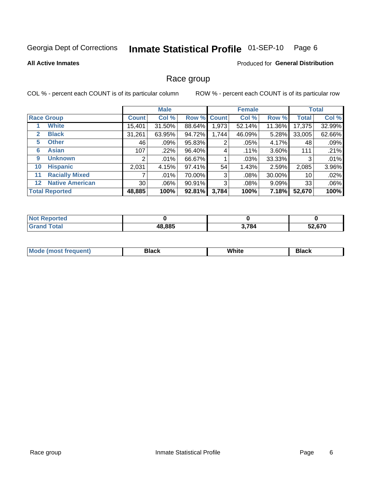#### Inmate Statistical Profile 01-SEP-10 Page 6

### **All Active Inmates**

### Produced for General Distribution

### Race group

COL % - percent each COUNT is of its particular column

|              |                        | <b>Male</b>     |         |        | <b>Female</b> |         |          | <b>Total</b> |        |
|--------------|------------------------|-----------------|---------|--------|---------------|---------|----------|--------------|--------|
|              | <b>Race Group</b>      | <b>Count</b>    | Col %   |        | Row % Count   | Col %   | Row %    | <b>Total</b> | Col %  |
|              | <b>White</b>           | 15,401          | 31.50%  | 88.64% | 1,973         | 52.14%  | 11.36%   | 17,375       | 32.99% |
| $\mathbf{2}$ | <b>Black</b>           | 31,261          | 63.95%  | 94.72% | 1,744         | 46.09%  | 5.28%    | 33,005       | 62.66% |
| 5            | <b>Other</b>           | 46              | .09%    | 95.83% | 2             | .05%    | 4.17%    | 48           | .09%   |
| 6            | <b>Asian</b>           | 107             | .22%    | 96.40% | 4             | $.11\%$ | 3.60%    | 111          | .21%   |
| 9            | <b>Unknown</b>         | 2               | $.01\%$ | 66.67% |               | .03%    | 33.33%   | 3            | .01%   |
| 10           | <b>Hispanic</b>        | 2,031           | 4.15%   | 97.41% | 54            | 1.43%   | 2.59%    | 2,085        | 3.96%  |
| 11           | <b>Racially Mixed</b>  |                 | $.01\%$ | 70.00% | 3             | .08%    | 30.00%   | 10           | .02%   |
| $12 \,$      | <b>Native American</b> | 30 <sup>1</sup> | $.06\%$ | 90.91% | 3             | .08%    | $9.09\%$ | 33           | .06%   |
|              | <b>Total Reported</b>  | 48,885          | 100%    | 92.81% | 3,784         | 100%    | 7.18%    | 52,670       | 100%   |

| orted<br>NI. |        |       |        |
|--------------|--------|-------|--------|
| <b>ctal</b>  | 48,885 | 3,784 | 52.670 |

| Mode (<br>most freduent) | ⊃lack | White | ا تا 1 |
|--------------------------|-------|-------|--------|
|                          |       |       |        |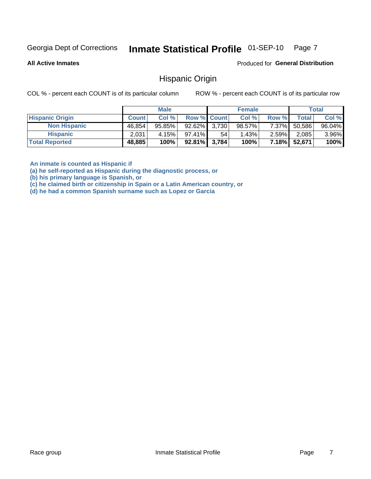#### Inmate Statistical Profile 01-SEP-10 Page 7

**All Active Inmates** 

Produced for General Distribution

### Hispanic Origin

COL % - percent each COUNT is of its particular column

ROW % - percent each COUNT is of its particular row

|                        |              | <b>Male</b> |                    |    | <b>Female</b> |          |        | <b>Total</b> |
|------------------------|--------------|-------------|--------------------|----|---------------|----------|--------|--------------|
| <b>Hispanic Origin</b> | <b>Count</b> | Col %       | <b>Row % Count</b> |    | Col %         | Row %    | Totall | Col %        |
| <b>Non Hispanic</b>    | 46,854       | $95.85\%$   | 92.62% 3,730       |    | $98.57\%$     | $7.37\%$ | 50,586 | 96.04%       |
| <b>Hispanic</b>        | 2,031        | 4.15%       | $97.41\%$          | 54 | 1.43%         | $2.59\%$ | 2,085  | $3.96\%$     |
| <b>Total Reported</b>  | 48,885       | 100%        | 92.81% 3,784       |    | 100%          | $7.18\%$ | 52,671 | 100%         |

An inmate is counted as Hispanic if

(a) he self-reported as Hispanic during the diagnostic process, or

(b) his primary language is Spanish, or

(c) he claimed birth or citizenship in Spain or a Latin American country, or

(d) he had a common Spanish surname such as Lopez or Garcia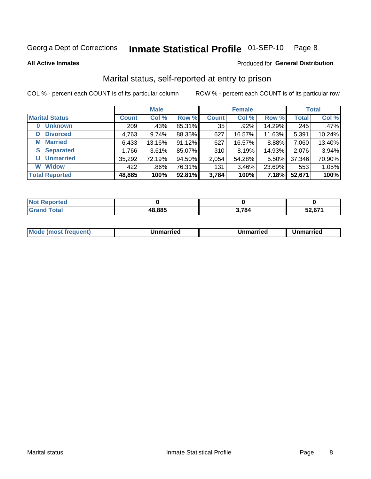#### Inmate Statistical Profile 01-SEP-10 Page 8

**All Active Inmates** 

### Produced for General Distribution

## Marital status, self-reported at entry to prison

COL % - percent each COUNT is of its particular column

|                            | <b>Male</b>  |        |        | <b>Female</b> |        |        | <b>Total</b> |        |
|----------------------------|--------------|--------|--------|---------------|--------|--------|--------------|--------|
| <b>Marital Status</b>      | <b>Count</b> | Col %  | Row %  | <b>Count</b>  | Col %  | Row %  | <b>Total</b> | Col %  |
| <b>Unknown</b><br>$\bf{0}$ | 209          | .43%   | 85.31% | 35            | .92%   | 14.29% | 245          | .47%   |
| <b>Divorced</b><br>D       | 4,763        | 9.74%  | 88.35% | 627           | 16.57% | 11.63% | 5,391        | 10.24% |
| <b>Married</b><br>М        | 6,433        | 13.16% | 91.12% | 627           | 16.57% | 8.88%  | 7,060        | 13.40% |
| <b>Separated</b><br>S.     | 1,766        | 3.61%  | 85.07% | 310           | 8.19%  | 14.93% | 2,076        | 3.94%  |
| <b>Unmarried</b><br>U      | 35,292       | 72.19% | 94.50% | 2,054         | 54.28% | 5.50%  | 37,346       | 70.90% |
| <b>Widow</b><br>W          | 422          | .86%   | 76.31% | 131           | 3.46%  | 23.69% | 553          | 1.05%  |
| <b>Total Reported</b>      | 48,885       | 100%   | 92.81% | 3,784         | 100%   | 7.18%  | 52,671       | 100%   |

| orted<br>NO |        |       |        |
|-------------|--------|-------|--------|
| $\sim$      | 18,885 | 3,784 | EO CZA |

| <b>Mode (most frequent)</b><br>Unmarried<br>Unmarried<br>Jnmarried |
|--------------------------------------------------------------------|
|--------------------------------------------------------------------|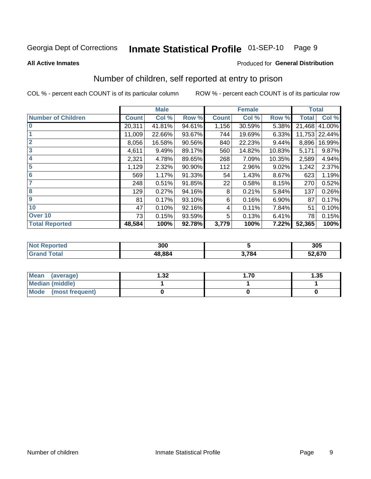#### Inmate Statistical Profile 01-SEP-10 Page 9

**All Active Inmates** 

### **Produced for General Distribution**

## Number of children, self reported at entry to prison

COL % - percent each COUNT is of its particular column

|                           |              | <b>Male</b> |        |              | <b>Female</b> |        | <b>Total</b> |               |  |
|---------------------------|--------------|-------------|--------|--------------|---------------|--------|--------------|---------------|--|
| <b>Number of Children</b> | <b>Count</b> | Col %       | Row %  | <b>Count</b> | Col %         | Row %  | <b>Total</b> | Col %         |  |
| $\bf{0}$                  | 20,311       | 41.81%      | 94.61% | 1,156        | 30.59%        | 5.38%  | 21,468       | 41.00%        |  |
|                           | 11,009       | 22.66%      | 93.67% | 744          | 19.69%        | 6.33%  |              | 11,753 22.44% |  |
| $\overline{2}$            | 8,056        | 16.58%      | 90.56% | 840          | 22.23%        | 9.44%  | 8,896        | 16.99%        |  |
| 3                         | 4,611        | 9.49%       | 89.17% | 560          | 14.82%        | 10.83% | 5,171        | 9.87%         |  |
| 4                         | 2,321        | 4.78%       | 89.65% | 268          | 7.09%         | 10.35% | 2,589        | 4.94%         |  |
| 5                         | 1,129        | 2.32%       | 90.90% | 112          | 2.96%         | 9.02%  | 1,242        | 2.37%         |  |
| 6                         | 569          | 1.17%       | 91.33% | 54           | 1.43%         | 8.67%  | 623          | 1.19%         |  |
| 7                         | 248          | 0.51%       | 91.85% | 22           | 0.58%         | 8.15%  | 270          | 0.52%         |  |
| 8                         | 129          | 0.27%       | 94.16% | 8            | 0.21%         | 5.84%  | 137          | 0.26%         |  |
| 9                         | 81           | 0.17%       | 93.10% | 6            | 0.16%         | 6.90%  | 87           | 0.17%         |  |
| 10                        | 47           | 0.10%       | 92.16% | 4            | 0.11%         | 7.84%  | 51           | 0.10%         |  |
| Over 10                   | 73           | 0.15%       | 93.59% | 5            | 0.13%         | 6.41%  | 78           | 0.15%         |  |
| <b>Total Reported</b>     | 48,584       | 100%        | 92.78% | 3,779        | 100%          | 7.22%  | 52,365       | 100%          |  |

| 300    |       | 305    |
|--------|-------|--------|
| 48 884 | 3.784 | 52,670 |

| <b>Mean</b><br>(average) | .32 | .70 | 1.35 |
|--------------------------|-----|-----|------|
| Median (middle)          |     |     |      |
| Mode<br>(most frequent)  |     |     |      |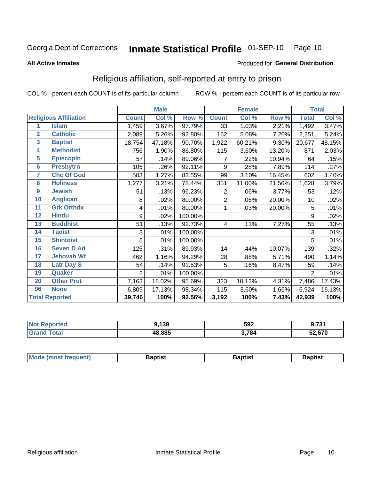#### Inmate Statistical Profile 01-SEP-10 Page 10

**All Active Inmates** 

### Produced for General Distribution

## Religious affiliation, self-reported at entry to prison

COL % - percent each COUNT is of its particular column

| <b>Male</b>    |                              |                |        | <b>Female</b> |                | <b>Total</b> |        |                |        |
|----------------|------------------------------|----------------|--------|---------------|----------------|--------------|--------|----------------|--------|
|                | <b>Religious Affiliation</b> | <b>Count</b>   | Col %  | Row %         | <b>Count</b>   | Col %        | Row %  | <b>Total</b>   | Col %  |
| 1              | <b>Islam</b>                 | 1,459          | 3.67%  | 97.79%        | 33             | 1.03%        | 2.21%  | 1,492          | 3.47%  |
| $\overline{2}$ | <b>Catholic</b>              | 2,089          | 5.26%  | 92.80%        | 162            | 5.08%        | 7.20%  | 2,251          | 5.24%  |
| 3              | <b>Baptist</b>               | 18,754         | 47.18% | 90.70%        | 1,922          | 60.21%       | 9.30%  | 20,677         | 48.15% |
| 4              | <b>Methodist</b>             | 756            | 1.90%  | 86.80%        | 115            | 3.60%        | 13.20% | 871            | 2.03%  |
| 5              | <b>EpiscopIn</b>             | 57             | .14%   | 89.06%        | 7              | .22%         | 10.94% | 64             | .15%   |
| $6\phantom{a}$ | <b>Presbytrn</b>             | 105            | .26%   | 92.11%        | 9              | .28%         | 7.89%  | 114            | .27%   |
| 7              | <b>Chc Of God</b>            | 503            | 1.27%  | 83.55%        | 99             | 3.10%        | 16.45% | 602            | 1.40%  |
| 8              | <b>Holiness</b>              | 1,277          | 3.21%  | 78.44%        | 351            | 11.00%       | 21.56% | 1,628          | 3.79%  |
| 9              | <b>Jewish</b>                | 51             | .13%   | 96.23%        | 2              | .06%         | 3.77%  | 53             | .12%   |
| 10             | <b>Anglican</b>              | 8              | .02%   | 80.00%        | $\overline{2}$ | .06%         | 20.00% | 10             | .02%   |
| 11             | <b>Grk Orthdx</b>            | 4              | .01%   | 80.00%        | 1              | .03%         | 20.00% | 5              | .01%   |
| 12             | <b>Hindu</b>                 | 9              | .02%   | 100.00%       |                |              |        | 9              | .02%   |
| 13             | <b>Buddhist</b>              | 51             | .13%   | 92.73%        | 4              | .13%         | 7.27%  | 55             | .13%   |
| 14             | <b>Taoist</b>                | 3              | .01%   | 100.00%       |                |              |        | 3              | .01%   |
| 15             | <b>Shintoist</b>             | 5              | .01%   | 100.00%       |                |              |        | 5              | .01%   |
| 16             | <b>Seven D Ad</b>            | 125            | .31%   | 89.93%        | 14             | .44%         | 10.07% | 139            | .32%   |
| 17             | <b>Jehovah Wt</b>            | 462            | 1.16%  | 94.29%        | 28             | .88%         | 5.71%  | 490            | 1.14%  |
| 18             | <b>Latr Day S</b>            | 54             | .14%   | 91.53%        | 5              | .16%         | 8.47%  | 59             | .14%   |
| 19             | Quaker                       | $\overline{2}$ | .01%   | 100.00%       |                |              |        | $\overline{2}$ | .01%   |
| 20             | <b>Other Prot</b>            | 7,163          | 18.02% | 95.69%        | 323            | 10.12%       | 4.31%  | 7,486          | 17.43% |
| 96             | <b>None</b>                  | 6,809          | 17.13% | 98.34%        | 115            | 3.60%        | 1.66%  | 6,924          | 16.13% |
|                | <b>Total Reported</b>        | 39,746         | 100%   | 92.56%        | 3,192          | 100%         | 7.43%  | 42,939         | 100%   |

| <b>orteo</b><br><b>N</b> | ,139   | 592   | <b>0.724</b><br>ا دت |
|--------------------------|--------|-------|----------------------|
| 'otal                    | 48,885 | 3,784 | 52,670               |

|  |  | <b>Mode (most frequent)</b> | Baptist | 3aptis | <b>Baptist</b> |
|--|--|-----------------------------|---------|--------|----------------|
|--|--|-----------------------------|---------|--------|----------------|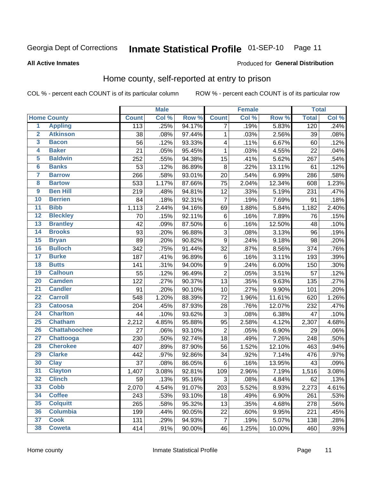#### Inmate Statistical Profile 01-SEP-10 Page 11

#### **All Active Inmates**

### Produced for General Distribution

## Home county, self-reported at entry to prison

COL % - percent each COUNT is of its particular column

|                         |                      |                  | <b>Male</b> |        |                         | <b>Female</b> |        | <b>Total</b> |       |
|-------------------------|----------------------|------------------|-------------|--------|-------------------------|---------------|--------|--------------|-------|
|                         | <b>Home County</b>   | <b>Count</b>     | Col %       | Row %  | <b>Count</b>            | Col %         | Row %  | <b>Total</b> | Col % |
| $\overline{1}$          | <b>Appling</b>       | $\overline{113}$ | .25%        | 94.17% | 7                       | .19%          | 5.83%  | 120          | .24%  |
| $\overline{2}$          | <b>Atkinson</b>      | 38               | .08%        | 97.44% | 1                       | .03%          | 2.56%  | 39           | .08%  |
| $\overline{\mathbf{3}}$ | <b>Bacon</b>         | 56               | .12%        | 93.33% | $\overline{\mathbf{4}}$ | .11%          | 6.67%  | 60           | .12%  |
| 4                       | <b>Baker</b>         | 21               | .05%        | 95.45% | 1                       | .03%          | 4.55%  | 22           | .04%  |
| 5                       | <b>Baldwin</b>       | 252              | .55%        | 94.38% | 15                      | .41%          | 5.62%  | 267          | .54%  |
| $6\phantom{a}$          | <b>Banks</b>         | 53               | .12%        | 86.89% | 8                       | .22%          | 13.11% | 61           | .12%  |
| 7                       | <b>Barrow</b>        | 266              | .58%        | 93.01% | 20                      | .54%          | 6.99%  | 286          | .58%  |
| 8                       | <b>Bartow</b>        | 533              | 1.17%       | 87.66% | 75                      | 2.04%         | 12.34% | 608          | 1.23% |
| $\overline{9}$          | <b>Ben Hill</b>      | 219              | .48%        | 94.81% | 12                      | .33%          | 5.19%  | 231          | .47%  |
| 10                      | <b>Berrien</b>       | 84               | .18%        | 92.31% | $\overline{7}$          | .19%          | 7.69%  | 91           | .18%  |
| $\overline{11}$         | <b>Bibb</b>          | 1,113            | 2.44%       | 94.16% | 69                      | 1.88%         | 5.84%  | 1,182        | 2.40% |
| $\overline{12}$         | <b>Bleckley</b>      | 70               | .15%        | 92.11% | 6                       | .16%          | 7.89%  | 76           | .15%  |
| $\overline{13}$         | <b>Brantley</b>      | 42               | .09%        | 87.50% | $\,6$                   | .16%          | 12.50% | 48           | .10%  |
| 14                      | <b>Brooks</b>        | 93               | .20%        | 96.88% | $\overline{3}$          | .08%          | 3.13%  | 96           | .19%  |
| 15                      | <b>Bryan</b>         | 89               | .20%        | 90.82% | $\overline{9}$          | .24%          | 9.18%  | 98           | .20%  |
| 16                      | <b>Bulloch</b>       | 342              | .75%        | 91.44% | 32                      | .87%          | 8.56%  | 374          | .76%  |
| $\overline{17}$         | <b>Burke</b>         | 187              | .41%        | 96.89% | $\,6$                   | .16%          | 3.11%  | 193          | .39%  |
| 18                      | <b>Butts</b>         | 141              | .31%        | 94.00% | $\overline{9}$          | .24%          | 6.00%  | 150          | .30%  |
| 19                      | <b>Calhoun</b>       | 55               | .12%        | 96.49% | $\overline{2}$          | .05%          | 3.51%  | 57           | .12%  |
| 20                      | <b>Camden</b>        | 122              | .27%        | 90.37% | 13                      | .35%          | 9.63%  | 135          | .27%  |
| $\overline{21}$         | <b>Candler</b>       | 91               | .20%        | 90.10% | 10                      | .27%          | 9.90%  | 101          | .20%  |
| $\overline{22}$         | <b>Carroll</b>       | 548              | 1.20%       | 88.39% | 72                      | 1.96%         | 11.61% | 620          | 1.26% |
| 23                      | <b>Catoosa</b>       | 204              | .45%        | 87.93% | 28                      | .76%          | 12.07% | 232          | .47%  |
| $\overline{24}$         | <b>Charlton</b>      | 44               | .10%        | 93.62% | 3                       | .08%          | 6.38%  | 47           | .10%  |
| 25                      | <b>Chatham</b>       | 2,212            | 4.85%       | 95.88% | 95                      | 2.58%         | 4.12%  | 2,307        | 4.68% |
| 26                      | <b>Chattahoochee</b> | 27               | .06%        | 93.10% | $\overline{2}$          | .05%          | 6.90%  | 29           | .06%  |
| $\overline{27}$         | <b>Chattooga</b>     | 230              | .50%        | 92.74% | 18                      | .49%          | 7.26%  | 248          | .50%  |
| 28                      | <b>Cherokee</b>      | 407              | .89%        | 87.90% | 56                      | 1.52%         | 12.10% | 463          | .94%  |
| 29                      | <b>Clarke</b>        | 442              | .97%        | 92.86% | 34                      | .92%          | 7.14%  | 476          | .97%  |
| 30                      | <b>Clay</b>          | 37               | .08%        | 86.05% | $\,6$                   | .16%          | 13.95% | 43           | .09%  |
| 31                      | <b>Clayton</b>       | 1,407            | 3.08%       | 92.81% | 109                     | 2.96%         | 7.19%  | 1,516        | 3.08% |
| 32                      | <b>Clinch</b>        | 59               | .13%        | 95.16% | 3                       | .08%          | 4.84%  | 62           | .13%  |
| 33                      | <b>Cobb</b>          | 2,070            | 4.54%       | 91.07% | 203                     | 5.52%         | 8.93%  | 2,273        | 4.61% |
| 34                      | <b>Coffee</b>        | 243              | .53%        | 93.10% | 18                      | .49%          | 6.90%  | 261          | .53%  |
| 35                      | <b>Colquitt</b>      | 265              | .58%        | 95.32% | 13                      | .35%          | 4.68%  | 278          | .56%  |
| 36                      | <b>Columbia</b>      | 199              | .44%        | 90.05% | 22                      | .60%          | 9.95%  | 221          | .45%  |
| 37                      | <b>Cook</b>          | 131              | .29%        | 94.93% | $\overline{7}$          | .19%          | 5.07%  | 138          | .28%  |
| 38                      | <b>Coweta</b>        | 414              | .91%        | 90.00% | 46                      | 1.25%         | 10.00% | 460          | .93%  |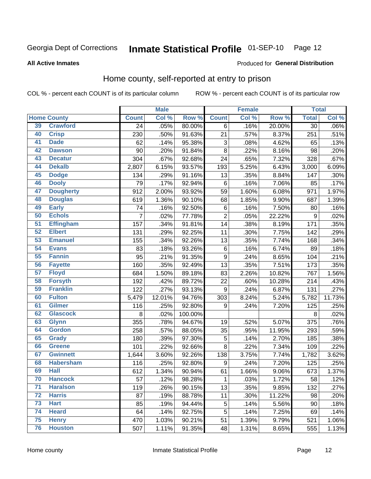#### Inmate Statistical Profile 01-SEP-10 Page 12

**All Active Inmates** 

### Produced for General Distribution

## Home county, self-reported at entry to prison

COL % - percent each COUNT is of its particular column

|                 |                    |                | <b>Male</b> |         |                  | <b>Female</b> |                  | <b>Total</b> |         |
|-----------------|--------------------|----------------|-------------|---------|------------------|---------------|------------------|--------------|---------|
|                 | <b>Home County</b> | <b>Count</b>   | Col %       | Row %   | <b>Count</b>     | Col %         | Row <sup>%</sup> | <b>Total</b> | Col %   |
| 39              | <b>Crawford</b>    | 24             | .05%        | 80.00%  | 6                | .16%          | 20.00%           | 30           | $.06\%$ |
| 40              | <b>Crisp</b>       | 230            | .50%        | 91.63%  | 21               | .57%          | 8.37%            | 251          | .51%    |
| 41              | <b>Dade</b>        | 62             | .14%        | 95.38%  | $\sqrt{3}$       | .08%          | 4.62%            | 65           | .13%    |
| 42              | <b>Dawson</b>      | 90             | .20%        | 91.84%  | 8                | .22%          | 8.16%            | 98           | .20%    |
| 43              | <b>Decatur</b>     | 304            | .67%        | 92.68%  | 24               | .65%          | 7.32%            | 328          | .67%    |
| 44              | <b>Dekalb</b>      | 2,807          | 6.15%       | 93.57%  | 193              | 5.25%         | 6.43%            | 3,000        | 6.09%   |
| 45              | <b>Dodge</b>       | 134            | .29%        | 91.16%  | 13               | .35%          | 8.84%            | 147          | .30%    |
| 46              | <b>Dooly</b>       | 79             | .17%        | 92.94%  | 6                | .16%          | 7.06%            | 85           | .17%    |
| 47              | <b>Dougherty</b>   | 912            | 2.00%       | 93.92%  | 59               | 1.60%         | 6.08%            | 971          | 1.97%   |
| 48              | <b>Douglas</b>     | 619            | 1.36%       | 90.10%  | 68               | 1.85%         | 9.90%            | 687          | 1.39%   |
| 49              | <b>Early</b>       | 74             | .16%        | 92.50%  | $\,6$            | .16%          | 7.50%            | 80           | .16%    |
| 50              | <b>Echols</b>      | $\overline{7}$ | .02%        | 77.78%  | $\overline{2}$   | .05%          | 22.22%           | 9            | .02%    |
| $\overline{51}$ | <b>Effingham</b>   | 157            | .34%        | 91.81%  | 14               | .38%          | 8.19%            | 171          | .35%    |
| 52              | <b>Elbert</b>      | 131            | .29%        | 92.25%  | 11               | .30%          | 7.75%            | 142          | .29%    |
| 53              | <b>Emanuel</b>     | 155            | .34%        | 92.26%  | 13               | .35%          | 7.74%            | 168          | .34%    |
| 54              | <b>Evans</b>       | 83             | .18%        | 93.26%  | 6                | .16%          | 6.74%            | 89           | .18%    |
| 55              | <b>Fannin</b>      | 95             | .21%        | 91.35%  | 9                | .24%          | 8.65%            | 104          | .21%    |
| 56              | <b>Fayette</b>     | 160            | .35%        | 92.49%  | 13               | .35%          | 7.51%            | 173          | .35%    |
| $\overline{57}$ | <b>Floyd</b>       | 684            | 1.50%       | 89.18%  | 83               | 2.26%         | 10.82%           | 767          | 1.56%   |
| 58              | <b>Forsyth</b>     | 192            | .42%        | 89.72%  | 22               | .60%          | 10.28%           | 214          | .43%    |
| 59              | <b>Franklin</b>    | 122            | .27%        | 93.13%  | $\mathsf g$      | .24%          | 6.87%            | 131          | .27%    |
| 60              | <b>Fulton</b>      | 5,479          | 12.01%      | 94.76%  | 303              | 8.24%         | 5.24%            | 5,782        | 11.73%  |
| 61              | <b>Gilmer</b>      | 116            | .25%        | 92.80%  | $\boldsymbol{9}$ | .24%          | 7.20%            | 125          | .25%    |
| 62              | <b>Glascock</b>    | 8              | .02%        | 100.00% |                  |               |                  | 8            | .02%    |
| 63              | <b>Glynn</b>       | 355            | .78%        | 94.67%  | 19               | .52%          | 5.07%            | 375          | .76%    |
| 64              | <b>Gordon</b>      | 258            | .57%        | 88.05%  | 35               | .95%          | 11.95%           | 293          | .59%    |
| 65              | <b>Grady</b>       | 180            | .39%        | 97.30%  | $\mathbf 5$      | .14%          | 2.70%            | 185          | .38%    |
| 66              | <b>Greene</b>      | 101            | .22%        | 92.66%  | 8                | .22%          | 7.34%            | 109          | .22%    |
| 67              | <b>Gwinnett</b>    | 1,644          | 3.60%       | 92.26%  | 138              | 3.75%         | 7.74%            | 1,782        | 3.62%   |
| 68              | <b>Habersham</b>   | 116            | .25%        | 92.80%  | $\boldsymbol{9}$ | .24%          | 7.20%            | 125          | .25%    |
| 69              | <b>Hall</b>        | 612            | 1.34%       | 90.94%  | 61               | 1.66%         | 9.06%            | 673          | 1.37%   |
| 70              | <b>Hancock</b>     | 57             | .12%        | 98.28%  | $\mathbf{1}$     | .03%          | 1.72%            | 58           | .12%    |
| $\overline{71}$ | <b>Haralson</b>    | 119            | .26%        | 90.15%  | 13               | .35%          | 9.85%            | 132          | .27%    |
| $\overline{72}$ | <b>Harris</b>      | 87             | .19%        | 88.78%  | 11               | .30%          | 11.22%           | 98           | .20%    |
| 73              | <b>Hart</b>        | 85             | .19%        | 94.44%  | $\mathbf 5$      | .14%          | 5.56%            | 90           | .18%    |
| 74              | <b>Heard</b>       | 64             | .14%        | 92.75%  | 5                | .14%          | 7.25%            | 69           | .14%    |
| 75              | <b>Henry</b>       | 470            | 1.03%       | 90.21%  | 51               | 1.39%         | 9.79%            | 521          | 1.06%   |
| 76              | <b>Houston</b>     | 507            | 1.11%       | 91.35%  | 48               | 1.31%         | 8.65%            | 555          | 1.13%   |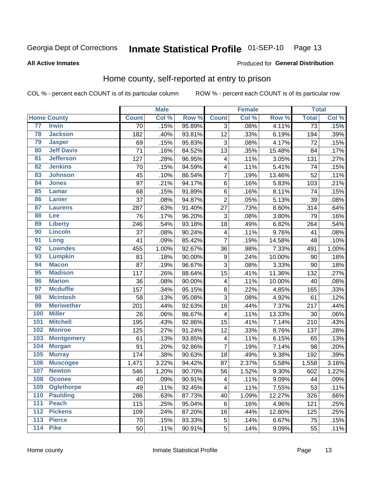## Inmate Statistical Profile 01-SEP-10 Page 13

**All Active Inmates** 

### **Produced for General Distribution**

### Home county, self-reported at entry to prison

COL % - percent each COUNT is of its particular column

|                  |                    |              | <b>Male</b> |        |                 | <b>Female</b> |        | <b>Total</b> |       |
|------------------|--------------------|--------------|-------------|--------|-----------------|---------------|--------|--------------|-------|
|                  | <b>Home County</b> | <b>Count</b> | Col %       | Row %  | <b>Count</b>    | Col %         | Row %  | <b>Total</b> | Col % |
| 77               | <b>Irwin</b>       | 70           | .15%        | 95.89% | 3               | .08%          | 4.11%  | 73           | .15%  |
| 78               | <b>Jackson</b>     | 182          | .40%        | 93.81% | 12              | .33%          | 6.19%  | 194          | .39%  |
| 79               | <b>Jasper</b>      | 69           | .15%        | 95.83% | 3               | .08%          | 4.17%  | 72           | .15%  |
| 80               | <b>Jeff Davis</b>  | 71           | .16%        | 84.52% | 13              | .35%          | 15.48% | 84           | .17%  |
| $\overline{81}$  | <b>Jefferson</b>   | 127          | .28%        | 96.95% | 4               | .11%          | 3.05%  | 131          | .27%  |
| 82               | <b>Jenkins</b>     | 70           | .15%        | 94.59% | 4               | .11%          | 5.41%  | 74           | .15%  |
| 83               | <b>Johnson</b>     | 45           | .10%        | 86.54% | $\overline{7}$  | .19%          | 13.46% | 52           | .11%  |
| 84               | <b>Jones</b>       | 97           | .21%        | 94.17% | $\,6$           | .16%          | 5.83%  | 103          | .21%  |
| 85               | <b>Lamar</b>       | 68           | .15%        | 91.89% | $\,6$           | .16%          | 8.11%  | 74           | .15%  |
| 86               | <b>Lanier</b>      | 37           | .08%        | 94.87% | $\overline{2}$  | .05%          | 5.13%  | 39           | .08%  |
| 87               | <b>Laurens</b>     | 287          | .63%        | 91.40% | 27              | .73%          | 8.60%  | 314          | .64%  |
| 88               | <b>Lee</b>         | 76           | .17%        | 96.20% | 3               | .08%          | 3.80%  | 79           | .16%  |
| 89               | <b>Liberty</b>     | 246          | .54%        | 93.18% | 18              | .49%          | 6.82%  | 264          | .54%  |
| 90               | <b>Lincoln</b>     | 37           | .08%        | 90.24% | 4               | .11%          | 9.76%  | 41           | .08%  |
| 91               | Long               | 41           | .09%        | 85.42% | $\overline{7}$  | .19%          | 14.58% | 48           | .10%  |
| 92               | <b>Lowndes</b>     | 455          | 1.00%       | 92.67% | 36              | .98%          | 7.33%  | 491          | 1.00% |
| 93               | <b>Lumpkin</b>     | 81           | .18%        | 90.00% | 9               | .24%          | 10.00% | 90           | .18%  |
| 94               | <b>Macon</b>       | 87           | .19%        | 96.67% | 3               | .08%          | 3.33%  | 90           | .18%  |
| 95               | <b>Madison</b>     | 117          | .26%        | 88.64% | $\overline{15}$ | .41%          | 11.36% | 132          | .27%  |
| 96               | <b>Marion</b>      | 36           | .08%        | 90.00% | 4               | .11%          | 10.00% | 40           | .08%  |
| 97               | <b>Mcduffie</b>    | 157          | .34%        | 95.15% | $\bf 8$         | .22%          | 4.85%  | 165          | .33%  |
| 98               | <b>Mcintosh</b>    | 58           | .13%        | 95.08% | 3               | .08%          | 4.92%  | 61           | .12%  |
| 99               | <b>Meriwether</b>  | 201          | .44%        | 92.63% | 16              | .44%          | 7.37%  | 217          | .44%  |
| 100              | <b>Miller</b>      | 26           | .06%        | 86.67% | 4               | .11%          | 13.33% | 30           | .06%  |
| 101              | <b>Mitchell</b>    | 195          | .43%        | 92.86% | 15              | .41%          | 7.14%  | 210          | .43%  |
| 102              | <b>Monroe</b>      | 125          | .27%        | 91.24% | 12              | .33%          | 8.76%  | 137          | .28%  |
| 103              | <b>Montgomery</b>  | 61           | .13%        | 93.85% | 4               | .11%          | 6.15%  | 65           | .13%  |
| 104              | <b>Morgan</b>      | 91           | .20%        | 92.86% | $\overline{7}$  | .19%          | 7.14%  | 98           | .20%  |
| 105              | <b>Murray</b>      | 174          | .38%        | 90.63% | 18              | .49%          | 9.38%  | 192          | .39%  |
| 106              | <b>Muscogee</b>    | 1,471        | 3.22%       | 94.42% | 87              | 2.37%         | 5.58%  | 1,558        | 3.16% |
| 107              | <b>Newton</b>      | 546          | 1.20%       | 90.70% | 56              | 1.52%         | 9.30%  | 602          | 1.22% |
| 108              | <b>Oconee</b>      | 40           | .09%        | 90.91% | 4               | .11%          | 9.09%  | 44           | .09%  |
| 109              | <b>Oglethorpe</b>  | 49           | .11%        | 92.45% | 4               | .11%          | 7.55%  | 53           | .11%  |
| 110              | <b>Paulding</b>    | 286          | .63%        | 87.73% | 40              | 1.09%         | 12.27% | 326          | .66%  |
| 111              | <b>Peach</b>       | 115          | .25%        | 95.04% | $\,6$           | .16%          | 4.96%  | 121          | .25%  |
| 112              | <b>Pickens</b>     | 109          | .24%        | 87.20% | 16              | .44%          | 12.80% | 125          | .25%  |
| $\overline{113}$ | <b>Pierce</b>      | 70           | .15%        | 93.33% | 5               | .14%          | 6.67%  | 75           | .15%  |
| $\overline{114}$ | <b>Pike</b>        | 50           | .11%        | 90.91% | 5               | .14%          | 9.09%  | 55           | .11%  |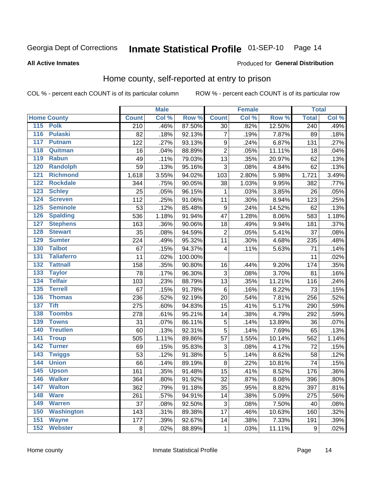#### Inmate Statistical Profile 01-SEP-10 Page 14

Produced for General Distribution

#### **All Active Inmates**

### Home county, self-reported at entry to prison

COL % - percent each COUNT is of its particular column

|                  |                    |              | <b>Male</b> |         |                         | <b>Female</b> |        | <b>Total</b> |       |
|------------------|--------------------|--------------|-------------|---------|-------------------------|---------------|--------|--------------|-------|
|                  | <b>Home County</b> | <b>Count</b> | Col %       | Row %   | <b>Count</b>            | Col %         | Row %  | <b>Total</b> | Col % |
| 115              | <b>Polk</b>        | 210          | .46%        | 87.50%  | 30                      | .82%          | 12.50% | 240          | .49%  |
| $\overline{116}$ | <b>Pulaski</b>     | 82           | .18%        | 92.13%  | $\overline{7}$          | .19%          | 7.87%  | 89           | .18%  |
| 117              | <b>Putnam</b>      | 122          | .27%        | 93.13%  | $\boldsymbol{9}$        | .24%          | 6.87%  | 131          | .27%  |
| 118              | Quitman            | 16           | .04%        | 88.89%  | $\overline{2}$          | .05%          | 11.11% | 18           | .04%  |
| 119              | <b>Rabun</b>       | 49           | .11%        | 79.03%  | 13                      | .35%          | 20.97% | 62           | .13%  |
| 120              | <b>Randolph</b>    | 59           | .13%        | 95.16%  | 3                       | .08%          | 4.84%  | 62           | .13%  |
| $121$            | <b>Richmond</b>    | 1,618        | 3.55%       | 94.02%  | 103                     | 2.80%         | 5.98%  | 1,721        | 3.49% |
| 122              | <b>Rockdale</b>    | 344          | .75%        | 90.05%  | 38                      | 1.03%         | 9.95%  | 382          | .77%  |
| 123              | <b>Schley</b>      | 25           | .05%        | 96.15%  | 1                       | .03%          | 3.85%  | 26           | .05%  |
| 124              | <b>Screven</b>     | 112          | .25%        | 91.06%  | 11                      | .30%          | 8.94%  | 123          | .25%  |
| 125              | <b>Seminole</b>    | 53           | .12%        | 85.48%  | $\boldsymbol{9}$        | .24%          | 14.52% | 62           | .13%  |
| 126              | <b>Spalding</b>    | 536          | 1.18%       | 91.94%  | 47                      | 1.28%         | 8.06%  | 583          | 1.18% |
| 127              | <b>Stephens</b>    | 163          | .36%        | 90.06%  | 18                      | .49%          | 9.94%  | 181          | .37%  |
| 128              | <b>Stewart</b>     | 35           | .08%        | 94.59%  | $\overline{2}$          | .05%          | 5.41%  | 37           | .08%  |
| 129              | <b>Sumter</b>      | 224          | .49%        | 95.32%  | 11                      | .30%          | 4.68%  | 235          | .48%  |
| 130              | <b>Talbot</b>      | 67           | .15%        | 94.37%  | $\overline{\mathbf{4}}$ | .11%          | 5.63%  | 71           | .14%  |
| $131$            | <b>Taliaferro</b>  | 11           | .02%        | 100.00% |                         |               |        | 11           | .02%  |
| 132              | <b>Tattnall</b>    | 158          | .35%        | 90.80%  | 16                      | .44%          | 9.20%  | 174          | .35%  |
| 133              | <b>Taylor</b>      | 78           | .17%        | 96.30%  | 3                       | .08%          | 3.70%  | 81           | .16%  |
| 134              | <b>Telfair</b>     | 103          | .23%        | 88.79%  | 13                      | .35%          | 11.21% | 116          | .24%  |
| 135              | <b>Terrell</b>     | 67           | .15%        | 91.78%  | 6                       | .16%          | 8.22%  | 73           | .15%  |
| 136              | <b>Thomas</b>      | 236          | .52%        | 92.19%  | 20                      | .54%          | 7.81%  | 256          | .52%  |
| 137              | <b>Tift</b>        | 275          | .60%        | 94.83%  | 15                      | .41%          | 5.17%  | 290          | .59%  |
| 138              | <b>Toombs</b>      | 278          | .61%        | 95.21%  | 14                      | .38%          | 4.79%  | 292          | .59%  |
| 139              | <b>Towns</b>       | 31           | .07%        | 86.11%  | 5                       | .14%          | 13.89% | 36           | .07%  |
| 140              | <b>Treutlen</b>    | 60           | .13%        | 92.31%  | $\overline{5}$          | .14%          | 7.69%  | 65           | .13%  |
| 141              | <b>Troup</b>       | 505          | 1.11%       | 89.86%  | 57                      | 1.55%         | 10.14% | 562          | 1.14% |
| $\overline{142}$ | <b>Turner</b>      | 69           | .15%        | 95.83%  | 3                       | .08%          | 4.17%  | 72           | .15%  |
| $\overline{143}$ | <b>Twiggs</b>      | 53           | .12%        | 91.38%  | $\mathbf 5$             | .14%          | 8.62%  | 58           | .12%  |
| 144              | <b>Union</b>       | 66           | .14%        | 89.19%  | $\overline{8}$          | .22%          | 10.81% | 74           | .15%  |
| 145              | <b>Upson</b>       | 161          | .35%        | 91.48%  | 15                      | .41%          | 8.52%  | 176          | .36%  |
| 146              | <b>Walker</b>      | 364          | .80%        | 91.92%  | 32                      | .87%          | 8.08%  | 396          | .80%  |
| $\overline{147}$ | <b>Walton</b>      | 362          | .79%        | 91.18%  | 35                      | .95%          | 8.82%  | 397          | .81%  |
| 148              | <b>Ware</b>        | 261          | .57%        | 94.91%  | 14                      | .38%          | 5.09%  | 275          | .56%  |
| 149              | <b>Warren</b>      | 37           | .08%        | 92.50%  | 3                       | .08%          | 7.50%  | 40           | .08%  |
| 150              | <b>Washington</b>  | 143          | .31%        | 89.38%  | 17                      | .46%          | 10.63% | 160          | .32%  |
| 151              | <b>Wayne</b>       | 177          | .39%        | 92.67%  | 14                      | .38%          | 7.33%  | 191          | .39%  |
| 152              | <b>Webster</b>     | 8            | .02%        | 88.89%  | $\mathbf{1}$            | .03%          | 11.11% | 9            | .02%  |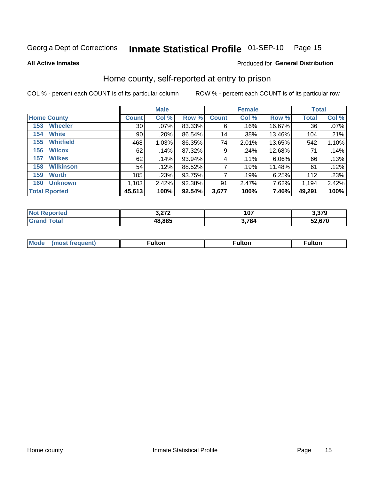## Inmate Statistical Profile 01-SEP-10 Page 15

**All Active Inmates** 

### Produced for General Distribution

### Home county, self-reported at entry to prison

COL % - percent each COUNT is of its particular column

|                         |                 | <b>Male</b> |        |              | <b>Female</b> |        | <b>Total</b> |       |
|-------------------------|-----------------|-------------|--------|--------------|---------------|--------|--------------|-------|
| <b>Home County</b>      | <b>Count</b>    | Col %       | Row %  | <b>Count</b> | Col %         | Row %  | <b>Total</b> | Col % |
| <b>Wheeler</b><br>153   | 30 <sup>2</sup> | .07%        | 83.33% | 6            | .16%          | 16.67% | 36           | .07%  |
| <b>White</b><br>154     | 90              | .20%        | 86.54% | 14           | .38%          | 13.46% | 104          | .21%  |
| <b>Whitfield</b><br>155 | 468             | 1.03%       | 86.35% | 74           | 2.01%         | 13.65% | 542          | 1.10% |
| <b>Wilcox</b><br>156    | 62              | .14%        | 87.32% | 9            | .24%          | 12.68% | 71           | .14%  |
| <b>Wilkes</b><br>157    | 62              | .14%        | 93.94% | 4            | .11%          | 6.06%  | 66           | .13%  |
| <b>Wilkinson</b><br>158 | 54              | .12%        | 88.52% | 7            | .19%          | 11.48% | 61           | .12%  |
| 159<br><b>Worth</b>     | 105             | .23%        | 93.75% | 7            | .19%          | 6.25%  | 112          | .23%  |
| <b>Unknown</b><br>160   | 1,103           | 2.42%       | 92.38% | 91           | 2.47%         | 7.62%  | 1,194        | 2.42% |
| <b>Total Rported</b>    | 45,613          | 100%        | 92.54% | 3,677        | 100%          | 7.46%  | 49,291       | 100%  |

| ported<br>NO | היה    | 107   | 3,379  |
|--------------|--------|-------|--------|
| <b>otal</b>  | 48.885 | 3,784 | 52,670 |

|  | Mode | ™ulton | ∶ulton | ™ulton |
|--|------|--------|--------|--------|
|--|------|--------|--------|--------|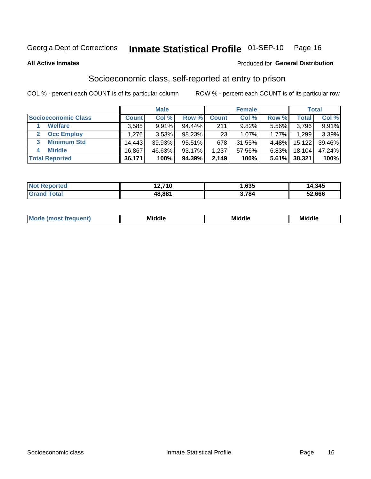## Inmate Statistical Profile 01-SEP-10 Page 16

**All Active Inmates** 

### Produced for General Distribution

## Socioeconomic class, self-reported at entry to prison

COL % - percent each COUNT is of its particular column

|                       |        | <b>Male</b> |        |                 | <b>Female</b> |       |        | <b>Total</b> |
|-----------------------|--------|-------------|--------|-----------------|---------------|-------|--------|--------------|
| Socioeconomic Class   | Count⊺ | Col %       | Row %  | <b>Count</b>    | Col %         | Row % | Total, | Col %        |
| <b>Welfare</b>        | 3,585  | 9.91%       | 94.44% | 211             | 9.82%         | 5.56% | 3,796  | 9.91%        |
| <b>Occ Employ</b>     | 1,276  | 3.53%       | 98.23% | 23 <sub>1</sub> | 1.07%         | 1.77% | 1,299  | 3.39%        |
| <b>Minimum Std</b>    | 14.443 | 39.93%      | 95.51% | 678             | 31.55%        | 4.48% | 15,122 | 39.46%       |
| <b>Middle</b>         | 16,867 | 46.63%      | 93.17% | 1,237           | 57.56%        | 6.83% | 18,104 | 47.24%       |
| <b>Total Reported</b> | 36,171 | 100%        | 94.39% | 2,149           | 100%          | 5.61% | 38,321 | 100%         |

| <b>Not Reported</b>   | 12,710 | .635  | 14,345 |
|-----------------------|--------|-------|--------|
| <b>Total</b><br>Grand | 48,881 | 3,784 | 52,666 |

| ____<br>____ |
|--------------|
|--------------|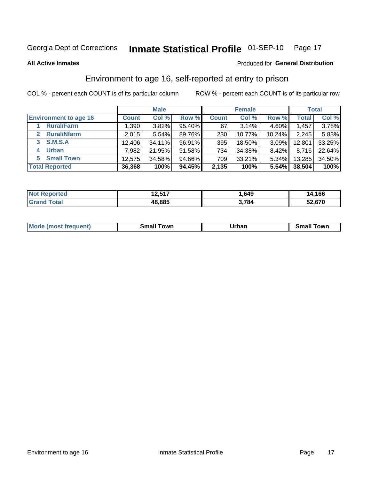## Inmate Statistical Profile 01-SEP-10 Page 17

**All Active Inmates** 

### Produced for General Distribution

## Environment to age 16, self-reported at entry to prison

COL % - percent each COUNT is of its particular column

|                                    |              | <b>Male</b> |        |              | <b>Female</b> |          |              | <b>Total</b> |
|------------------------------------|--------------|-------------|--------|--------------|---------------|----------|--------------|--------------|
| <b>Environment to age 16</b>       | <b>Count</b> | Col %       | Row %  | <b>Count</b> | Col %         | Row %    | <b>Total</b> | Col %        |
| <b>Rural/Farm</b>                  | 1,390        | 3.82%       | 95.40% | 67           | 3.14%         | 4.60%    | 1,457        | 3.78%        |
| <b>Rural/Nfarm</b><br>$\mathbf{2}$ | 2,015        | 5.54%       | 89.76% | 230          | 10.77%        | 10.24%   | 2,245        | 5.83%        |
| 3 S.M.S.A                          | 12,406       | 34.11%      | 96.91% | 395          | 18.50%        | $3.09\%$ | 12,801       | 33.25%       |
| <b>Urban</b><br>$\overline{4}$     | 7,982        | 21.95%      | 91.58% | 734          | 34.38%        | 8.42%    | 8,716        | 22.64%       |
| <b>Small Town</b><br>5             | 12,575       | 34.58%      | 94.66% | 709          | 33.21%        | 5.34%    | 13,285       | 34.50%       |
| <b>Total Reported</b>              | 36,368       | 100%        | 94.45% | 2,135        | 100%          | 5.54%    | 38,504       | 100%         |

| <b>Not Reported</b> | 12.517 | 649. ا | 14,166 |
|---------------------|--------|--------|--------|
| <b>Grand Total</b>  | 48,885 | 3,784  | 52,670 |

| <b>Mode</b><br>auent)<br>ns. | owr<br>Small | Jrban<br>____ | <b>TOWE</b><br>51 |
|------------------------------|--------------|---------------|-------------------|
|                              |              |               |                   |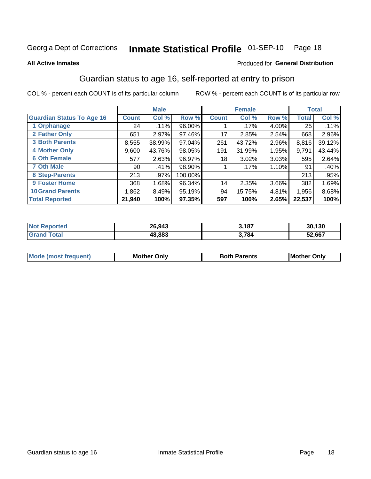## Inmate Statistical Profile 01-SEP-10 Page 18

#### **All Active Inmates**

### Produced for General Distribution

## Guardian status to age 16, self-reported at entry to prison

COL % - percent each COUNT is of its particular column

|                                  |              | <b>Male</b> |           |              | <b>Female</b> |       |        | <b>Total</b> |
|----------------------------------|--------------|-------------|-----------|--------------|---------------|-------|--------|--------------|
| <b>Guardian Status To Age 16</b> | <b>Count</b> | Col %       | Row %     | <b>Count</b> | Col %         | Row % | Total  | Col %        |
| 1 Orphanage                      | 24           | $.11\%$     | $96.00\%$ |              | $.17\%$       | 4.00% | 25     | $.11\%$      |
| 2 Father Only                    | 651          | 2.97%       | 97.46%    | 17           | 2.85%         | 2.54% | 668    | 2.96%        |
| <b>3 Both Parents</b>            | 8,555        | 38.99%      | 97.04%    | 261          | 43.72%        | 2.96% | 8,816  | 39.12%       |
| <b>4 Mother Only</b>             | 9,600        | 43.76%      | 98.05%    | 191          | 31.99%        | 1.95% | 9,791  | 43.44%       |
| <b>6 Oth Female</b>              | 577          | 2.63%       | 96.97%    | 18           | 3.02%         | 3.03% | 595    | 2.64%        |
| <b>7 Oth Male</b>                | 90           | .41%        | 98.90%    |              | $.17\%$       | 1.10% | 91     | .40%         |
| 8 Step-Parents                   | 213          | .97%        | 100.00%   |              |               |       | 213    | .95%         |
| 9 Foster Home                    | 368          | 1.68%       | 96.34%    | 14           | 2.35%         | 3.66% | 382    | 1.69%        |
| <b>10 Grand Parents</b>          | 1,862        | 8.49%       | 95.19%    | 94           | 15.75%        | 4.81% | 1,956  | 8.68%        |
| <b>Total Reported</b>            | 21,940       | 100%        | 97.35%    | 597          | 100%          | 2.65% | 22,537 | 100%         |

| ortea<br>NOT | 26,943 | 3,187 | ,130<br>30 |
|--------------|--------|-------|------------|
| .Gr          | 48.883 | 3,784 | 52,667     |

| Mode | วทIv<br>Mot | <b>Both Parents</b><br>Parents | lM.<br>Only<br>. |
|------|-------------|--------------------------------|------------------|
|      |             |                                |                  |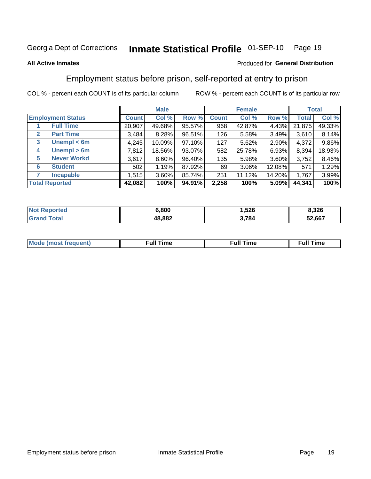#### Inmate Statistical Profile 01-SEP-10 Page 19

### **All Active Inmates**

### Produced for General Distribution

## Employment status before prison, self-reported at entry to prison

COL % - percent each COUNT is of its particular column

|                                  |              | <b>Male</b> |        |              | <b>Female</b> |        |              | <b>Total</b> |
|----------------------------------|--------------|-------------|--------|--------------|---------------|--------|--------------|--------------|
| <b>Employment Status</b>         | <b>Count</b> | Col %       | Row %  | <b>Count</b> | Col %         | Row %  | <b>Total</b> | Col %        |
| <b>Full Time</b>                 | 20,907       | 49.68%      | 95.57% | 968          | 42.87%        | 4.43%  | 21,875       | 49.33%       |
| <b>Part Time</b><br>$\mathbf{2}$ | 3,484        | 8.28%       | 96.51% | 126          | 5.58%         | 3.49%  | 3,610        | 8.14%        |
| Unempl $<$ 6m<br>3               | 4,245        | 10.09%      | 97.10% | 127          | 5.62%         | 2.90%  | 4,372        | 9.86%        |
| Unempl > 6m<br>4                 | 7,812        | 18.56%      | 93.07% | 582          | 25.78%        | 6.93%  | 8,394        | 18.93%       |
| <b>Never Workd</b><br>5          | 3,617        | 8.60%       | 96.40% | 135          | 5.98%         | 3.60%  | 3,752        | 8.46%        |
| <b>Student</b><br>6              | 502          | 1.19%       | 87.92% | 69           | 3.06%         | 12.08% | 571          | 1.29%        |
| <b>Incapable</b><br>7            | 1,515        | 3.60%       | 85.74% | 251          | 11.12%        | 14.20% | 1,767        | 3.99%        |
| <b>Total Reported</b>            | 42,082       | 100%        | 94.91% | 2,258        | 100%          | 5.09%  | 44,341       | 100%         |

| rteo<br>NO | 5,800  | .526  | 8,326  |
|------------|--------|-------|--------|
|            | 48,882 | 3,784 | 52,667 |

| Mc | ∴ull | ----<br>ıme<br>w |
|----|------|------------------|
|    |      |                  |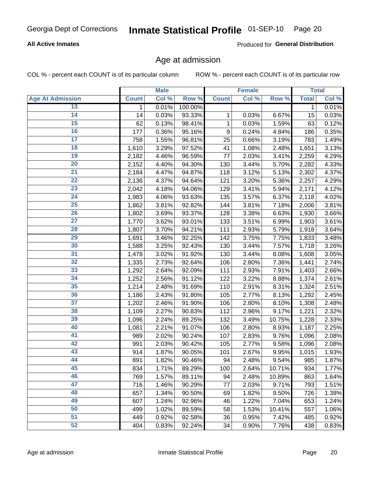### **All Active Inmates**

Produced for General Distribution

### Age at admission

COL % - percent each COUNT is of its particular column

|                         |              | <b>Male</b> |         |              | <b>Female</b> |          |              | <b>Total</b> |
|-------------------------|--------------|-------------|---------|--------------|---------------|----------|--------------|--------------|
| <b>Age At Admission</b> | <b>Count</b> | Col %       | Row %   | <b>Count</b> | Col %         | Row %    | <b>Total</b> | Col %        |
| 13                      | 1            | 0.01%       | 100.00% |              |               |          | 1            | 0.01%        |
| $\overline{14}$         | 14           | 0.03%       | 93.33%  | 1            | 0.03%         | 6.67%    | 15           | 0.03%        |
| 15                      | 62           | 0.13%       | 98.41%  | 1            | 0.03%         | 1.59%    | 63           | 0.12%        |
| 16                      | 177          | 0.36%       | 95.16%  | 9            | 0.24%         | 4.84%    | 186          | 0.35%        |
| $\overline{17}$         | 758          | 1.55%       | 96.81%  | 25           | 0.66%         | 3.19%    | 783          | 1.49%        |
| 18                      | 1,610        | 3.29%       | 97.52%  | 41           | 1.08%         | 2.48%    | 1,651        | 3.13%        |
| 19                      | 2,182        | 4.46%       | 96.59%  | 77           | 2.03%         | 3.41%    | 2,259        | 4.29%        |
| $\overline{20}$         | 2,152        | 4.40%       | 94.30%  | 130          | 3.44%         | 5.70%    | 2,282        | 4.33%        |
| $\overline{21}$         | 2,184        | 4.47%       | 94.87%  | 118          | 3.12%         | 5.13%    | 2,302        | 4.37%        |
| $\overline{22}$         | 2,136        | 4.37%       | 94.64%  | 121          | 3.20%         | 5.36%    | 2,257        | 4.29%        |
| 23                      | 2,042        | 4.18%       | 94.06%  | 129          | 3.41%         | 5.94%    | 2,171        | 4.12%        |
| $\overline{24}$         | 1,983        | 4.06%       | 93.63%  | 135          | 3.57%         | 6.37%    | 2,118        | 4.02%        |
| $\overline{25}$         | 1,862        | 3.81%       | 92.82%  | 144          | 3.81%         | 7.18%    | 2,006        | 3.81%        |
| 26                      | 1,802        | 3.69%       | 93.37%  | 128          | 3.38%         | 6.63%    | 1,930        | 3.66%        |
| 27                      | 1,770        | 3.62%       | 93.01%  | 133          | 3.51%         | 6.99%    | 1,903        | 3.61%        |
| 28                      | 1,807        | 3.70%       | 94.21%  | 111          | 2.93%         | 5.79%    | 1,918        | 3.64%        |
| 29                      | 1,691        | 3.46%       | 92.25%  | 142          | 3.75%         | 7.75%    | 1,833        | 3.48%        |
| 30                      | 1,588        | 3.25%       | 92.43%  | 130          | 3.44%         | 7.57%    | 1,718        | 3.26%        |
| 31                      | 1,478        | 3.02%       | 91.92%  | 130          | 3.44%         | 8.08%    | 1,608        | 3.05%        |
| $\overline{32}$         | 1,335        | 2.73%       | 92.64%  | 106          | 2.80%         | 7.36%    | 1,441        | 2.74%        |
| 33                      | 1,292        | 2.64%       | 92.09%  | 111          | 2.93%         | 7.91%    | 1,403        | 2.66%        |
| 34                      | 1,252        | 2.56%       | 91.12%  | 122          | 3.22%         | 8.88%    | 1,374        | 2.61%        |
| 35                      | 1,214        | 2.48%       | 91.69%  | 110          | 2.91%         | $8.31\%$ | 1,324        | 2.51%        |
| 36                      | 1,186        | 2.43%       | 91.80%  | 105          | 2.77%         | 8.13%    | 1,292        | 2.45%        |
| $\overline{37}$         | 1,202        | 2.46%       | 91.90%  | 106          | 2.80%         | 8.10%    | 1,308        | 2.48%        |
| 38                      | 1,109        | 2.27%       | 90.83%  | 112          | 2.96%         | 9.17%    | 1,221        | 2.32%        |
| 39                      | 1,096        | 2.24%       | 89.25%  | 132          | 3.49%         | 10.75%   | 1,228        | 2.33%        |
| 40                      | 1,081        | 2.21%       | 91.07%  | 106          | 2.80%         | 8.93%    | 1,187        | 2.25%        |
| 41                      | 989          | 2.02%       | 90.24%  | 107          | 2.83%         | 9.76%    | 1,096        | 2.08%        |
| 42                      | 991          | 2.03%       | 90.42%  | 105          | 2.77%         | 9.58%    | 1,096        | 2.08%        |
| 43                      | 914          | 1.87%       | 90.05%  | 101          | 2.67%         | 9.95%    | 1,015        | 1.93%        |
| 44                      | 891          | 1.82%       | 90.46%  | 94           | 2.48%         | 9.54%    | 985          | 1.87%        |
| 45                      | 834          | 1.71%       | 89.29%  | 100          | 2.64%         | 10.71%   | 934          | 1.77%        |
| 46                      | 769          | 1.57%       | 89.11%  | 94           | 2.48%         | 10.89%   | 863          | 1.64%        |
| 47                      | 716          | 1.46%       | 90.29%  | 77           | 2.03%         | 9.71%    | 793          | 1.51%        |
| 48                      | 657          | 1.34%       | 90.50%  | 69           | 1.82%         | 9.50%    | 726          | 1.38%        |
| 49                      | 607          | 1.24%       | 92.96%  | 46           | 1.22%         | 7.04%    | 653          | 1.24%        |
| 50                      | 499          | 1.02%       | 89.59%  | 58           | 1.53%         | 10.41%   | 557          | 1.06%        |
| 51                      | 449          | 0.92%       | 92.58%  | 36           | 0.95%         | 7.42%    | 485          | 0.92%        |
| 52                      | 404          | 0.83%       | 92.24%  | 34           | 0.90%         | 7.76%    | 438          | 0.83%        |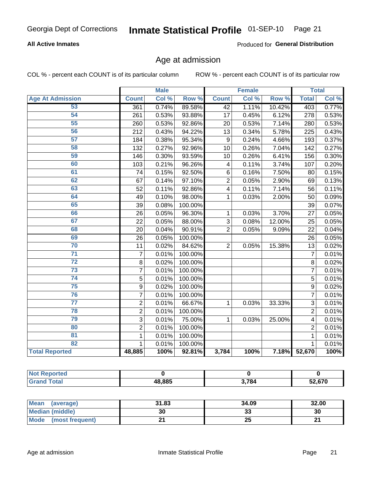### **All Active Inmates**

Produced for General Distribution

## Age at admission

COL % - percent each COUNT is of its particular column

|                         |                | <b>Male</b> |         |                 | <b>Female</b> |        |                | <b>Total</b> |
|-------------------------|----------------|-------------|---------|-----------------|---------------|--------|----------------|--------------|
| <b>Age At Admission</b> | <b>Count</b>   | Col %       | Row %   | <b>Count</b>    | Col %         | Row %  | <b>Total</b>   | Col %        |
| 53                      | 361            | 0.74%       | 89.58%  | $\overline{42}$ | 1.11%         | 10.42% | 403            | 0.77%        |
| 54                      | 261            | 0.53%       | 93.88%  | 17              | 0.45%         | 6.12%  | 278            | 0.53%        |
| $\overline{55}$         | 260            | 0.53%       | 92.86%  | 20              | 0.53%         | 7.14%  | 280            | 0.53%        |
| 56                      | 212            | 0.43%       | 94.22%  | 13              | 0.34%         | 5.78%  | 225            | 0.43%        |
| 57                      | 184            | 0.38%       | 95.34%  | 9               | 0.24%         | 4.66%  | 193            | 0.37%        |
| 58                      | 132            | 0.27%       | 92.96%  | 10              | 0.26%         | 7.04%  | 142            | 0.27%        |
| 59                      | 146            | 0.30%       | 93.59%  | 10              | 0.26%         | 6.41%  | 156            | 0.30%        |
| 60                      | 103            | 0.21%       | 96.26%  | 4               | 0.11%         | 3.74%  | 107            | 0.20%        |
| 61                      | 74             | 0.15%       | 92.50%  | 6               | 0.16%         | 7.50%  | 80             | 0.15%        |
| 62                      | 67             | 0.14%       | 97.10%  | $\overline{2}$  | 0.05%         | 2.90%  | 69             | 0.13%        |
| 63                      | 52             | 0.11%       | 92.86%  | 4               | 0.11%         | 7.14%  | 56             | 0.11%        |
| 64                      | 49             | 0.10%       | 98.00%  | 1               | 0.03%         | 2.00%  | 50             | 0.09%        |
| 65                      | 39             | 0.08%       | 100.00% |                 |               |        | 39             | 0.07%        |
| 66                      | 26             | 0.05%       | 96.30%  | 1               | 0.03%         | 3.70%  | 27             | 0.05%        |
| 67                      | 22             | 0.05%       | 88.00%  | 3               | 0.08%         | 12.00% | 25             | 0.05%        |
| 68                      | 20             | 0.04%       | 90.91%  | $\overline{2}$  | 0.05%         | 9.09%  | 22             | 0.04%        |
| 69                      | 26             | 0.05%       | 100.00% |                 |               |        | 26             | 0.05%        |
| 70                      | 11             | 0.02%       | 84.62%  | $\overline{2}$  | 0.05%         | 15.38% | 13             | 0.02%        |
| 71                      | $\overline{7}$ | 0.01%       | 100.00% |                 |               |        | 7              | 0.01%        |
| $\overline{72}$         | $\bf 8$        | 0.02%       | 100.00% |                 |               |        | 8              | 0.02%        |
| $\overline{73}$         | $\overline{7}$ | 0.01%       | 100.00% |                 |               |        | $\overline{7}$ | 0.01%        |
| 74                      | $\sqrt{5}$     | 0.01%       | 100.00% |                 |               |        | $\overline{5}$ | 0.01%        |
| $\overline{75}$         | 9              | 0.02%       | 100.00% |                 |               |        | 9              | 0.02%        |
| 76                      | $\overline{7}$ | 0.01%       | 100.00% |                 |               |        | $\overline{7}$ | 0.01%        |
| $\overline{77}$         | $\overline{c}$ | 0.01%       | 66.67%  | 1               | 0.03%         | 33.33% | 3              | 0.01%        |
| 78                      | $\overline{c}$ | 0.01%       | 100.00% |                 |               |        | $\overline{2}$ | 0.01%        |
| 79                      | 3              | 0.01%       | 75.00%  | 1               | 0.03%         | 25.00% | 4              | 0.01%        |
| 80                      | $\overline{2}$ | 0.01%       | 100.00% |                 |               |        | $\overline{2}$ | 0.01%        |
| $\overline{81}$         | $\mathbf 1$    | 0.01%       | 100.00% |                 |               |        | $\mathbf{1}$   | 0.01%        |
| 82                      | 1              | 0.01%       | 100.00% |                 |               |        | 1              | 0.01%        |
| <b>Total Reported</b>   | 48,885         | 100%        | 92.81%  | 3,784           | 100%          |        | 7.18% 52,670   | 100%         |

| <b>Not Reported</b> |        |       |        |
|---------------------|--------|-------|--------|
| <b>Grand Total</b>  | 48,885 | 3,784 | 52,670 |

| Mean<br>(average)       | 31.83 | 34.09 | 32.00 |
|-------------------------|-------|-------|-------|
| <b>Median (middle)</b>  | 30    | აა    | 30    |
| Mode<br>(most frequent) |       | 25    | n,    |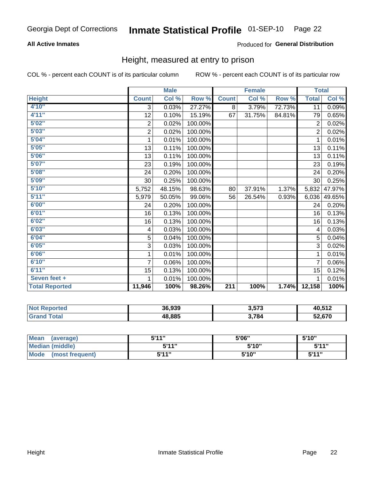### **All Active Inmates**

### Produced for General Distribution

### Height, measured at entry to prison

COL % - percent each COUNT is of its particular column

|                       |                  | <b>Male</b> |         |                  | <b>Female</b> |        |                | <b>Total</b> |
|-----------------------|------------------|-------------|---------|------------------|---------------|--------|----------------|--------------|
| <b>Height</b>         | <b>Count</b>     | Col %       | Row %   | <b>Count</b>     | Col %         | Row %  | <b>Total</b>   | Col %        |
| 4'10"                 | 3                | 0.03%       | 27.27%  | 8                | 3.79%         | 72.73% | 11             | 0.09%        |
| 4'11''                | 12               | 0.10%       | 15.19%  | 67               | 31.75%        | 84.81% | 79             | 0.65%        |
| 5'02''                | $\boldsymbol{2}$ | 0.02%       | 100.00% |                  |               |        | $\overline{2}$ | 0.02%        |
| 5'03''                | $\mathbf 2$      | 0.02%       | 100.00% |                  |               |        | $\overline{2}$ | 0.02%        |
| 5'04"                 | 1                | 0.01%       | 100.00% |                  |               |        | 1              | 0.01%        |
| 5'05''                | 13               | 0.11%       | 100.00% |                  |               |        | 13             | 0.11%        |
| 5'06''                | 13               | 0.11%       | 100.00% |                  |               |        | 13             | 0.11%        |
| 5'07''                | 23               | 0.19%       | 100.00% |                  |               |        | 23             | 0.19%        |
| 5'08''                | 24               | 0.20%       | 100.00% |                  |               |        | 24             | 0.20%        |
| 5'09''                | 30               | 0.25%       | 100.00% |                  |               |        | 30             | 0.25%        |
| 5'10''                | 5,752            | 48.15%      | 98.63%  | 80               | 37.91%        | 1.37%  | 5,832          | 47.97%       |
| 5'11''                | 5,979            | 50.05%      | 99.06%  | 56               | 26.54%        | 0.93%  | 6,036          | 49.65%       |
| 6'00''                | 24               | 0.20%       | 100.00% |                  |               |        | 24             | 0.20%        |
| 6'01''                | 16               | 0.13%       | 100.00% |                  |               |        | 16             | 0.13%        |
| 6'02''                | 16               | 0.13%       | 100.00% |                  |               |        | 16             | 0.13%        |
| 6'03''                | 4                | 0.03%       | 100.00% |                  |               |        | 4              | 0.03%        |
| 6'04''                | $\overline{5}$   | 0.04%       | 100.00% |                  |               |        | 5              | 0.04%        |
| 6'05''                | 3                | 0.03%       | 100.00% |                  |               |        | 3              | 0.02%        |
| 6'06''                | 1                | 0.01%       | 100.00% |                  |               |        | 1              | 0.01%        |
| 6'10''                | $\overline{7}$   | 0.06%       | 100.00% |                  |               |        | 7              | 0.06%        |
| 6'11''                | 15               | 0.13%       | 100.00% |                  |               |        | 15             | 0.12%        |
| Seven feet +          | 1                | 0.01%       | 100.00% |                  |               |        |                | 0.01%        |
| <b>Total Reported</b> | 11,946           | 100%        | 98.26%  | $\overline{211}$ | 100%          | 1.74%  | 12,158         | 100%         |

| ported<br>' NOT      | 36,939 | 3.573<br>ט וט ט | 40,512 |
|----------------------|--------|-----------------|--------|
| $\sim$<br>$-$ Gr $-$ | 48,885 | 3,784           | 52,670 |

| Mean<br>(average)              | <b>5'11"</b> | 5'06" | 5'10"                 |
|--------------------------------|--------------|-------|-----------------------|
| Median (middle)                | 544"         | 5'10" | 5'11"                 |
| <b>Mode</b><br>(most frequent) | 544"         | 5'10" | <b>5'44"</b><br>J I I |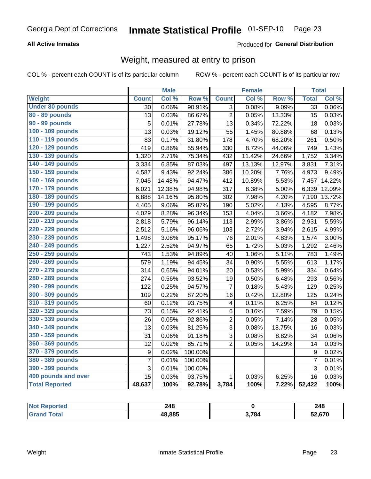### **All Active Inmates**

### Produced for General Distribution

## Weight, measured at entry to prison

COL % - percent each COUNT is of its particular column

|                        |                | <b>Male</b> |                  |                | <b>Female</b> |        | <b>Total</b>    |        |
|------------------------|----------------|-------------|------------------|----------------|---------------|--------|-----------------|--------|
| <b>Weight</b>          | <b>Count</b>   | Col %       | Row <sup>%</sup> | <b>Count</b>   | Col %         | Row %  | <b>Total</b>    | Col %  |
| <b>Under 80 pounds</b> | 30             | 0.06%       | 90.91%           | $\overline{3}$ | 0.08%         | 9.09%  | $\overline{33}$ | 0.06%  |
| 80 - 89 pounds         | 13             | 0.03%       | 86.67%           | $\overline{2}$ | 0.05%         | 13.33% | 15              | 0.03%  |
| 90 - 99 pounds         | 5              | 0.01%       | 27.78%           | 13             | 0.34%         | 72.22% | 18              | 0.03%  |
| 100 - 109 pounds       | 13             | 0.03%       | 19.12%           | 55             | 1.45%         | 80.88% | 68              | 0.13%  |
| 110 - 119 pounds       | 83             | 0.17%       | 31.80%           | 178            | 4.70%         | 68.20% | 261             | 0.50%  |
| 120 - 129 pounds       | 419            | 0.86%       | 55.94%           | 330            | 8.72%         | 44.06% | 749             | 1.43%  |
| 130 - 139 pounds       | 1,320          | 2.71%       | 75.34%           | 432            | 11.42%        | 24.66% | 1,752           | 3.34%  |
| 140 - 149 pounds       | 3,334          | 6.85%       | 87.03%           | 497            | 13.13%        | 12.97% | 3,831           | 7.31%  |
| 150 - 159 pounds       | 4,587          | 9.43%       | 92.24%           | 386            | 10.20%        | 7.76%  | 4,973           | 9.49%  |
| 160 - 169 pounds       | 7,045          | 14.48%      | 94.47%           | 412            | 10.89%        | 5.53%  | 7,457           | 14.22% |
| 170 - 179 pounds       | 6,021          | 12.38%      | 94.98%           | 317            | 8.38%         | 5.00%  | 6,339           | 12.09% |
| 180 - 189 pounds       | 6,888          | 14.16%      | 95.80%           | 302            | 7.98%         | 4.20%  | 7,190           | 13.72% |
| 190 - 199 pounds       | 4,405          | 9.06%       | 95.87%           | 190            | 5.02%         | 4.13%  | 4,595           | 8.77%  |
| 200 - 209 pounds       | 4,029          | 8.28%       | 96.34%           | 153            | 4.04%         | 3.66%  | 4,182           | 7.98%  |
| 210 - 219 pounds       | 2,818          | 5.79%       | 96.14%           | 113            | 2.99%         | 3.86%  | 2,931           | 5.59%  |
| 220 - 229 pounds       | 2,512          | 5.16%       | 96.06%           | 103            | 2.72%         | 3.94%  | 2,615           | 4.99%  |
| 230 - 239 pounds       | 1,498          | 3.08%       | 95.17%           | 76             | 2.01%         | 4.83%  | 1,574           | 3.00%  |
| 240 - 249 pounds       | 1,227          | 2.52%       | 94.97%           | 65             | 1.72%         | 5.03%  | 1,292           | 2.46%  |
| 250 - 259 pounds       | 743            | 1.53%       | 94.89%           | 40             | 1.06%         | 5.11%  | 783             | 1.49%  |
| 260 - 269 pounds       | 579            | 1.19%       | 94.45%           | 34             | 0.90%         | 5.55%  | 613             | 1.17%  |
| 270 - 279 pounds       | 314            | 0.65%       | 94.01%           | 20             | 0.53%         | 5.99%  | 334             | 0.64%  |
| 280 - 289 pounds       | 274            | 0.56%       | 93.52%           | 19             | 0.50%         | 6.48%  | 293             | 0.56%  |
| 290 - 299 pounds       | 122            | 0.25%       | 94.57%           | 7              | 0.18%         | 5.43%  | 129             | 0.25%  |
| 300 - 309 pounds       | 109            | 0.22%       | 87.20%           | 16             | 0.42%         | 12.80% | 125             | 0.24%  |
| 310 - 319 pounds       | 60             | 0.12%       | 93.75%           | 4              | 0.11%         | 6.25%  | 64              | 0.12%  |
| 320 - 329 pounds       | 73             | 0.15%       | 92.41%           | 6              | 0.16%         | 7.59%  | 79              | 0.15%  |
| 330 - 339 pounds       | 26             | 0.05%       | 92.86%           | $\overline{2}$ | 0.05%         | 7.14%  | 28              | 0.05%  |
| 340 - 349 pounds       | 13             | 0.03%       | 81.25%           | 3              | 0.08%         | 18.75% | 16              | 0.03%  |
| 350 - 359 pounds       | 31             | 0.06%       | 91.18%           | 3              | 0.08%         | 8.82%  | 34              | 0.06%  |
| 360 - 369 pounds       | 12             | 0.02%       | 85.71%           | $\overline{2}$ | 0.05%         | 14.29% | 14              | 0.03%  |
| 370 - 379 pounds       | 9              | 0.02%       | 100.00%          |                |               |        | 9               | 0.02%  |
| 380 - 389 pounds       | $\overline{7}$ | 0.01%       | 100.00%          |                |               |        | $\overline{7}$  | 0.01%  |
| 390 - 399 pounds       | 3              | 0.01%       | 100.00%          |                |               |        | 3               | 0.01%  |
| 400 pounds and over    | 15             | 0.03%       | 93.75%           | $\mathbf{1}$   | 0.03%         | 6.25%  | 16              | 0.03%  |
| <b>Total Reported</b>  | 48,637         | 100%        | 92.78%           | 3,784          | 100%          | 7.22%  | 52,422          | 100%   |

| <b>Not</b><br>ported<br>nel | 248    |       | 248    |
|-----------------------------|--------|-------|--------|
| ⊺otai                       | 48.885 | 3,784 | 52,670 |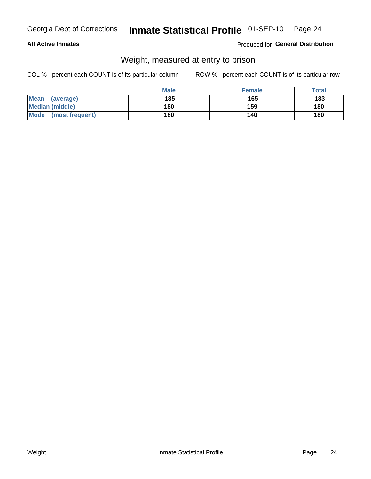### **All Active Inmates**

### Produced for General Distribution

## Weight, measured at entry to prison

COL % - percent each COUNT is of its particular column

|                          | <b>Male</b> | <b>Female</b> | Total |
|--------------------------|-------------|---------------|-------|
| <b>Mean</b><br>(average) | 185         | 165           | 183   |
| <b>Median (middle)</b>   | 180         | 159           | 180   |
| Mode<br>(most frequent)  | 180         | 140           | 180   |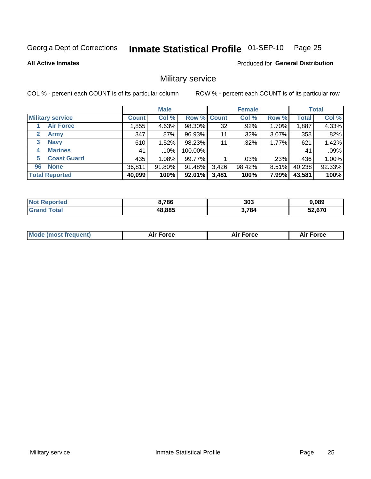#### Inmate Statistical Profile 01-SEP-10 Page 25

### **All Active Inmates**

**Produced for General Distribution** 

## Military service

COL % - percent each COUNT is of its particular column

|                             |              | <b>Male</b> |             |       | <b>Female</b> |          |              | <b>Total</b> |
|-----------------------------|--------------|-------------|-------------|-------|---------------|----------|--------------|--------------|
| <b>Military service</b>     | <b>Count</b> | Col %       | Row % Count |       | Col %         | Row %    | <b>Total</b> | Col %        |
| <b>Air Force</b>            | ,855         | 4.63%       | 98.30%      | 32    | .92%          | 1.70%    | 1,887        | 4.33%        |
| $\mathbf{2}$<br><b>Army</b> | 347          | $.87\%$     | 96.93%      | 11    | .32%          | 3.07%    | 358          | .82%         |
| <b>Navy</b><br>3            | 610          | 1.52%       | 98.23%      | 11    | .32%          | 1.77%    | 621          | 1.42%        |
| <b>Marines</b><br>4         | 41           | $.10\%$     | 100.00%     |       |               |          | 41           | .09%         |
| <b>Coast Guard</b><br>5.    | 435          | 1.08%       | 99.77%      |       | .03%          | .23%     | 436          | 1.00%        |
| <b>None</b><br>96           | 36,811       | 91.80%      | 91.48%      | 3,426 | 98.42%        | $8.51\%$ | 40,238       | 92.33%       |
| <b>Total Reported</b>       | 40,099       | 100%        | $92.01\%$   | 3,481 | 100%          | 7.99%    | 43,581       | 100%         |

| <b>ported</b><br>Nt    | 3,786  | 303   | 9,089  |
|------------------------|--------|-------|--------|
| <b>otal</b><br>' Grand | 48,885 | 3,784 | 52,670 |

| <b>Mode (most frequent)</b><br><b>Force</b><br><b>Force</b><br>orce<br>Aır |
|----------------------------------------------------------------------------|
|----------------------------------------------------------------------------|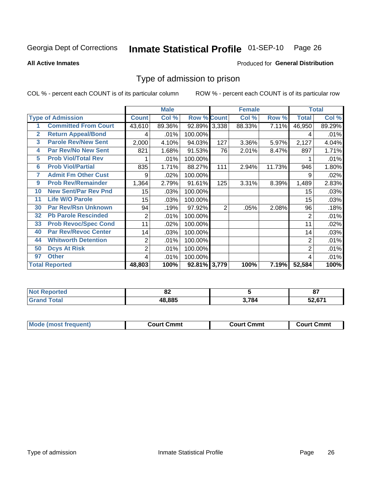#### Inmate Statistical Profile 01-SEP-10 Page 26

**All Active Inmates** 

### Produced for General Distribution

### Type of admission to prison

COL % - percent each COUNT is of its particular column

|              |                             |                | <b>Male</b> |                    |                | <b>Female</b> |        |              | <b>Total</b> |
|--------------|-----------------------------|----------------|-------------|--------------------|----------------|---------------|--------|--------------|--------------|
|              | <b>Type of Admission</b>    | <b>Count</b>   | Col %       | <b>Row % Count</b> |                | Col %         | Row %  | <b>Total</b> | Col %        |
|              | <b>Committed From Court</b> | 43,610         | 89.36%      | 92.89% 3,338       |                | 88.33%        | 7.11%  | 46,950       | 89.29%       |
| $\mathbf{2}$ | <b>Return Appeal/Bond</b>   | 4              | .01%        | 100.00%            |                |               |        | 4            | .01%         |
| 3            | <b>Parole Rev/New Sent</b>  | 2,000          | 4.10%       | 94.03%             | 127            | 3.36%         | 5.97%  | 2,127        | 4.04%        |
| 4            | <b>Par Rev/No New Sent</b>  | 821            | 1.68%       | 91.53%             | 76             | 2.01%         | 8.47%  | 897          | 1.71%        |
| 5            | <b>Prob Viol/Total Rev</b>  |                | .01%        | 100.00%            |                |               |        |              | .01%         |
| 6            | <b>Prob Viol/Partial</b>    | 835            | 1.71%       | 88.27%             | 111            | 2.94%         | 11.73% | 946          | 1.80%        |
| 7            | <b>Admit Fm Other Cust</b>  | 9              | $.02\%$     | 100.00%            |                |               |        | 9            | .02%         |
| 9            | <b>Prob Rev/Remainder</b>   | 1,364          | 2.79%       | 91.61%             | 125            | 3.31%         | 8.39%  | 1,489        | 2.83%        |
| 10           | <b>New Sent/Par Rev Pnd</b> | 15             | .03%        | 100.00%            |                |               |        | 15           | .03%         |
| 11           | <b>Life W/O Parole</b>      | 15             | .03%        | 100.00%            |                |               |        | 15           | .03%         |
| 30           | <b>Par Rev/Rsn Unknown</b>  | 94             | .19%        | 97.92%             | $\overline{2}$ | .05%          | 2.08%  | 96           | .18%         |
| 32           | <b>Pb Parole Rescinded</b>  | 2              | .01%        | 100.00%            |                |               |        | 2            | .01%         |
| 33           | <b>Prob Revoc/Spec Cond</b> | 11             | .02%        | 100.00%            |                |               |        | 11           | .02%         |
| 40           | <b>Par Rev/Revoc Center</b> | 14             | .03%        | 100.00%            |                |               |        | 14           | .03%         |
| 44           | <b>Whitworth Detention</b>  | $\overline{2}$ | .01%        | 100.00%            |                |               |        | 2            | .01%         |
| 50           | <b>Dcys At Risk</b>         | $\overline{2}$ | .01%        | 100.00%            |                |               |        | 2            | .01%         |
| 97           | <b>Other</b>                | 4              | .01%        | 100.00%            |                |               |        | 4            | .01%         |
|              | <b>Total Reported</b>       | 48,803         | 100%        | 92.81% 3,779       |                | 100%          | 7.19%  | 52,584       | 100%         |

| <b>Not</b><br>ported<br>. IN 617 | n c<br>ОZ |                 | 07<br>$\mathbf{o}$ |
|----------------------------------|-----------|-----------------|--------------------|
| <b>Total</b>                     | 48.885    | <u>ገ 784 - </u> | $\sim$ 0.74        |

| <b>Mode (most frequent)</b> | Court Cmmt | <b>Court Cmmt</b> | Court Cmmt |
|-----------------------------|------------|-------------------|------------|
|                             |            |                   |            |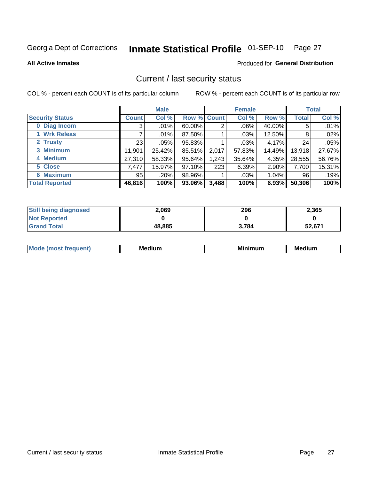## Inmate Statistical Profile 01-SEP-10 Page 27

**All Active Inmates** 

### Produced for General Distribution

### Current / last security status

COL % - percent each COUNT is of its particular column

|                        |              | <b>Male</b> |                    |       | <b>Female</b> |          |        | <b>Total</b> |
|------------------------|--------------|-------------|--------------------|-------|---------------|----------|--------|--------------|
| <b>Security Status</b> | <b>Count</b> | Col %       | <b>Row % Count</b> |       | Col %         | Row %    | Total  | Col %        |
| 0 Diag Incom           | 3            | .01%        | $60.00\%$          | 2     | $.06\%$       | 40.00%   | 5      | .01%         |
| 1 Wrk Releas           |              | $.01\%$     | 87.50%             |       | .03%          | 12.50%   | 8      | .02%         |
| 2 Trusty               | 23           | $.05\%$     | 95.83%             |       | $.03\%$       | 4.17%    | 24     | .05%         |
| 3 Minimum              | 11,901       | 25.42%      | 85.51%             | 2,017 | 57.83%        | 14.49%   | 13,918 | 27.67%       |
| 4 Medium               | 27,310       | 58.33%      | 95.64%             | 1,243 | 35.64%        | 4.35%    | 28,555 | 56.76%       |
| 5 Close                | 7,477        | 15.97%      | 97.10%             | 223   | 6.39%         | 2.90%    | 7,700  | 15.31%       |
| <b>Maximum</b><br>6.   | 95           | .20%        | 98.96%             |       | .03%          | $1.04\%$ | 96     | .19%         |
| <b>Total Reported</b>  | 46,816       | 100%        | 93.06%             | 3,488 | 100%          | 6.93%    | 50,306 | 100%         |

| <b>Still being diagnosed</b> | 2,069  | 296   | 2,365  |
|------------------------------|--------|-------|--------|
| <b>Not Reported</b>          |        |       |        |
| <b>Grand Total</b>           | 48,885 | 3,784 | 52,671 |

| <b>Mode</b><br>`reauent) | <b>Medium</b> | <b>BRID</b><br>num | Mer<br>dium |
|--------------------------|---------------|--------------------|-------------|
|                          |               |                    |             |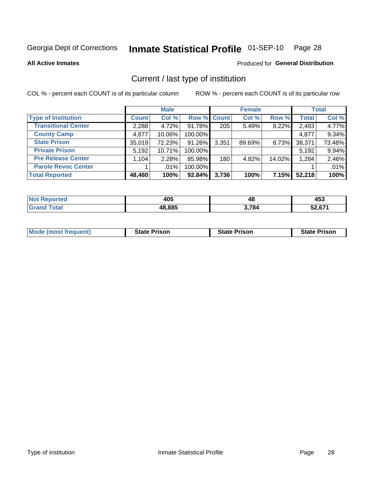## Inmate Statistical Profile 01-SEP-10 Page 28

**All Active Inmates** 

### Produced for General Distribution

## Current / last type of institution

COL % - percent each COUNT is of its particular column

|                            |              | <b>Male</b> |             |       | <b>Female</b> |        |              | <b>Total</b> |
|----------------------------|--------------|-------------|-------------|-------|---------------|--------|--------------|--------------|
| <b>Type of Institution</b> | <b>Count</b> | Col %       | Row % Count |       | Col %         | Row %  | <b>Total</b> | Col %        |
| <b>Transitional Center</b> | 2,288        | 4.72%       | 91.78%      | 205   | 5.49%         | 8.22%  | 2,493        | 4.77%        |
| <b>County Camp</b>         | 4,877        | 10.06%      | 100.00%     |       |               |        | 4,877        | 9.34%        |
| <b>State Prison</b>        | 35,018       | 72.23%      | 91.26%      | 3,351 | 89.69%        | 8.73%  | 38,371       | 73.48%       |
| <b>Private Prison</b>      | 5,192        | 10.71%      | 100.00%     |       |               |        | 5,192        | 9.94%        |
| <b>Pre Release Center</b>  | 1,104        | 2.28%       | 85.98%      | 180   | 4.82%         | 14.02% | 1,284        | 2.46%        |
| <b>Parole Revoc Center</b> |              | $.01\%$     | 100.00%     |       |               |        |              | .01%         |
| <b>Total Reported</b>      | 48,480       | 100%        | 92.84%      | 3,736 | 100%          | 7.15%  | 52,218       | 100%         |

| е | ᄳᅂ<br>−∪◡ | 48    | .<br>499 |
|---|-----------|-------|----------|
|   | 48.885    | 3.784 | EO CZA   |

| <b>Mode (most frequent)</b><br><b>State Prison</b><br><b>State Prison</b><br><b>State Prison</b> |
|--------------------------------------------------------------------------------------------------|
|--------------------------------------------------------------------------------------------------|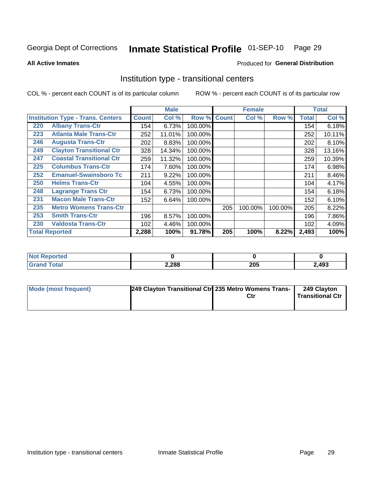#### Inmate Statistical Profile 01-SEP-10 Page 29

**Produced for General Distribution** 

### **All Active Inmates**

## Institution type - transitional centers

COL % - percent each COUNT is of its particular column

|                                          |                                 |              | <b>Male</b> |         |              | <b>Female</b> |         |              | <b>Total</b> |
|------------------------------------------|---------------------------------|--------------|-------------|---------|--------------|---------------|---------|--------------|--------------|
| <b>Institution Type - Trans. Centers</b> |                                 | <b>Count</b> | Col %       | Row %   | <b>Count</b> | Col %         | Row %   | <b>Total</b> | Col %        |
| 220                                      | <b>Albany Trans-Ctr</b>         | 154          | 6.73%       | 100.00% |              |               |         | 154          | 6.18%        |
| 223                                      | <b>Atlanta Male Trans-Ctr</b>   | 252          | 11.01%      | 100.00% |              |               |         | 252          | 10.11%       |
| 246                                      | <b>Augusta Trans-Ctr</b>        | 202          | 8.83%       | 100.00% |              |               |         | 202          | 8.10%        |
| 249                                      | <b>Clayton Transitional Ctr</b> | 328          | 14.34%      | 100.00% |              |               |         | 328          | 13.16%       |
| 247                                      | <b>Coastal Transitional Ctr</b> | 259          | 11.32%      | 100.00% |              |               |         | 259          | 10.39%       |
| 225                                      | <b>Columbus Trans-Ctr</b>       | 174          | 7.60%       | 100.00% |              |               |         | 174          | 6.98%        |
| 252                                      | <b>Emanuel-Swainsboro Tc</b>    | 211          | 9.22%       | 100.00% |              |               |         | 211          | 8.46%        |
| 250                                      | <b>Helms Trans-Ctr</b>          | 104          | 4.55%       | 100.00% |              |               |         | 104          | 4.17%        |
| 248                                      | <b>Lagrange Trans Ctr</b>       | 154          | 6.73%       | 100.00% |              |               |         | 154          | 6.18%        |
| 231                                      | <b>Macon Male Trans-Ctr</b>     | 152          | 6.64%       | 100.00% |              |               |         | 152          | 6.10%        |
| 235                                      | <b>Metro Womens Trans-Ctr</b>   |              |             |         | 205          | 100.00%       | 100.00% | 205          | 8.22%        |
| 253                                      | <b>Smith Trans-Ctr</b>          | 196          | 8.57%       | 100.00% |              |               |         | 196          | 7.86%        |
| 230                                      | <b>Valdosta Trans-Ctr</b>       | 102          | 4.46%       | 100.00% |              |               |         | 102          | 4.09%        |
|                                          | <b>Total Reported</b>           | 2,288        | 100%        | 91.78%  | 205          | 100%          | 8.22%   | 2,493        | 100%         |

| <b>rteo</b><br>n a |       |     |       |
|--------------------|-------|-----|-------|
|                    | 2,288 | 205 | 2,493 |

| <b>Mode (most frequent)</b> | 249 Clayton Transitional Ctr 235 Metro Womens Trans- | 249 Clayton<br>Transitional Ctr |
|-----------------------------|------------------------------------------------------|---------------------------------|
|                             |                                                      |                                 |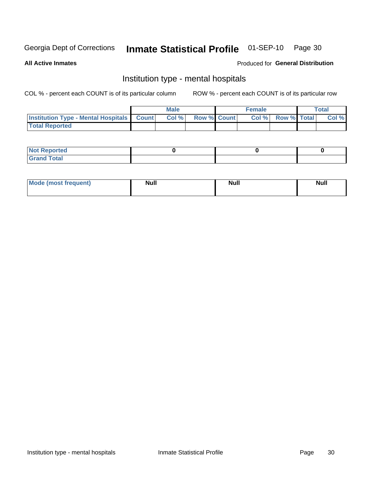#### Inmate Statistical Profile 01-SEP-10 Page 30

### **All Active Inmates**

### **Produced for General Distribution**

## Institution type - mental hospitals

COL % - percent each COUNT is of its particular column

|                                                  | Male  |                    | <b>Female</b> |                   | <b>Total</b> |
|--------------------------------------------------|-------|--------------------|---------------|-------------------|--------------|
| <b>Institution Type - Mental Hospitals Count</b> | Col % | <b>Row % Count</b> |               | Col % Row % Total | Col %        |
| <b>Total Reported</b>                            |       |                    |               |                   |              |

| <b>Not Reported</b>                     |  |  |
|-----------------------------------------|--|--|
| <b>otal</b><br>C <sub>r</sub><br>______ |  |  |

| Mode.<br>frequent) | <b>Nul</b><br>_____ | <b>Null</b> | <b>Null</b> |
|--------------------|---------------------|-------------|-------------|
|                    |                     |             |             |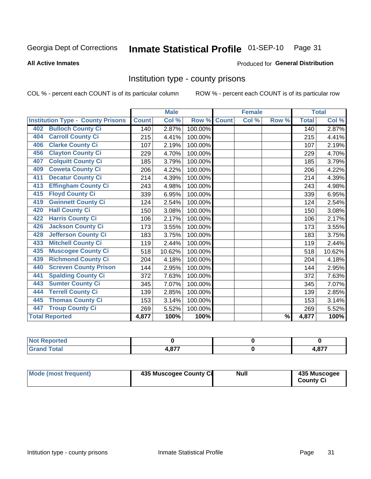#### Inmate Statistical Profile 01-SEP-10 Page 31

#### **All Active Inmates**

### **Produced for General Distribution**

### Institution type - county prisons

COL % - percent each COUNT is of its particular column

|                                          |              | <b>Male</b> |         |              | <b>Female</b> |               |              | <b>Total</b> |
|------------------------------------------|--------------|-------------|---------|--------------|---------------|---------------|--------------|--------------|
| <b>Institution Type - County Prisons</b> | <b>Count</b> | Col %       | Row %   | <b>Count</b> | Col %         | Row %         | <b>Total</b> | Col %        |
| <b>Bulloch County Ci</b><br>402          | 140          | 2.87%       | 100.00% |              |               |               | 140          | 2.87%        |
| <b>Carroll County Ci</b><br>404          | 215          | 4.41%       | 100.00% |              |               |               | 215          | 4.41%        |
| <b>Clarke County Ci</b><br>406           | 107          | 2.19%       | 100.00% |              |               |               | 107          | 2.19%        |
| <b>Clayton County Ci</b><br>456          | 229          | 4.70%       | 100.00% |              |               |               | 229          | 4.70%        |
| <b>Colquitt County Ci</b><br>407         | 185          | 3.79%       | 100.00% |              |               |               | 185          | 3.79%        |
| <b>Coweta County Ci</b><br>409           | 206          | 4.22%       | 100.00% |              |               |               | 206          | 4.22%        |
| <b>Decatur County Ci</b><br>411          | 214          | 4.39%       | 100.00% |              |               |               | 214          | 4.39%        |
| <b>Effingham County Ci</b><br>413        | 243          | 4.98%       | 100.00% |              |               |               | 243          | 4.98%        |
| <b>Floyd County Ci</b><br>415            | 339          | 6.95%       | 100.00% |              |               |               | 339          | 6.95%        |
| <b>Gwinnett County Ci</b><br>419         | 124          | 2.54%       | 100.00% |              |               |               | 124          | 2.54%        |
| <b>Hall County Ci</b><br>420             | 150          | 3.08%       | 100.00% |              |               |               | 150          | 3.08%        |
| <b>Harris County Ci</b><br>422           | 106          | 2.17%       | 100.00% |              |               |               | 106          | 2.17%        |
| <b>Jackson County Ci</b><br>426          | 173          | 3.55%       | 100.00% |              |               |               | 173          | 3.55%        |
| <b>Jefferson County Ci</b><br>428        | 183          | 3.75%       | 100.00% |              |               |               | 183          | 3.75%        |
| <b>Mitchell County Ci</b><br>433         | 119          | 2.44%       | 100.00% |              |               |               | 119          | 2.44%        |
| <b>Muscogee County Ci</b><br>435         | 518          | 10.62%      | 100.00% |              |               |               | 518          | 10.62%       |
| <b>Richmond County Ci</b><br>439         | 204          | 4.18%       | 100.00% |              |               |               | 204          | 4.18%        |
| <b>Screven County Prison</b><br>440      | 144          | 2.95%       | 100.00% |              |               |               | 144          | 2.95%        |
| <b>Spalding County Ci</b><br>441         | 372          | 7.63%       | 100.00% |              |               |               | 372          | 7.63%        |
| <b>Sumter County Ci</b><br>443           | 345          | 7.07%       | 100.00% |              |               |               | 345          | 7.07%        |
| <b>Terrell County Ci</b><br>444          | 139          | 2.85%       | 100.00% |              |               |               | 139          | 2.85%        |
| <b>Thomas County Ci</b><br>445           | 153          | 3.14%       | 100.00% |              |               |               | 153          | 3.14%        |
| <b>Troup County Ci</b><br>447            | 269          | 5.52%       | 100.00% |              |               |               | 269          | 5.52%        |
| <b>Total Reported</b>                    | 4,877        | 100%        | 100%    |              |               | $\frac{9}{6}$ | 4,877        | 100%         |

| <b>Not Reported</b>          |        |              |
|------------------------------|--------|--------------|
| <b>Total</b><br><b>Grand</b> | $07 -$ | - 077<br>.01 |

| <b>Mode (most frequent)</b> | 435 Muscogee County Ci | <b>Null</b> | 435 Muscogee<br><b>County Ci</b> |
|-----------------------------|------------------------|-------------|----------------------------------|
|-----------------------------|------------------------|-------------|----------------------------------|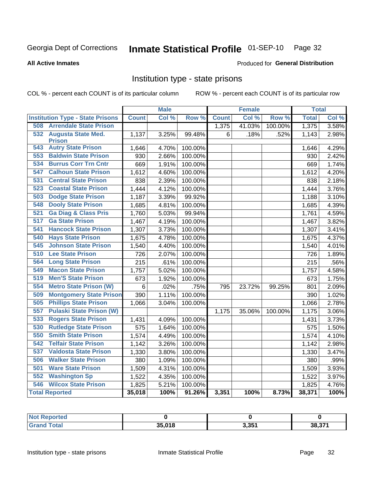## Inmate Statistical Profile 01-SEP-10 Page 32

### **All Active Inmates**

### Produced for General Distribution

### Institution type - state prisons

COL % - percent each COUNT is of its particular column

|                                         |              | <b>Male</b> |         |              | <b>Female</b> |         | <b>Total</b> |       |
|-----------------------------------------|--------------|-------------|---------|--------------|---------------|---------|--------------|-------|
| <b>Institution Type - State Prisons</b> | <b>Count</b> | Col %       | Row %   | <b>Count</b> | Col %         | Row %   | <b>Total</b> | Col % |
| <b>508 Arrendale State Prison</b>       |              |             |         | 1,375        | 41.03%        | 100.00% | 1,375        | 3.58% |
| 532<br><b>Augusta State Med.</b>        | 1,137        | 3.25%       | 99.48%  | 6            | .18%          | .52%    | 1,143        | 2.98% |
| <b>Prison</b>                           |              |             |         |              |               |         |              |       |
| <b>543 Autry State Prison</b>           | 1,646        | 4.70%       | 100.00% |              |               |         | 1,646        | 4.29% |
| <b>Baldwin State Prison</b><br>553      | 930          | 2.66%       | 100.00% |              |               |         | 930          | 2.42% |
| <b>Burrus Corr Trn Cntr</b><br>534      | 669          | 1.91%       | 100.00% |              |               |         | 669          | 1.74% |
| 547<br><b>Calhoun State Prison</b>      | 1,612        | 4.60%       | 100.00% |              |               |         | 1,612        | 4.20% |
| <b>Central State Prison</b><br>531      | 838          | 2.39%       | 100.00% |              |               |         | 838          | 2.18% |
| 523<br><b>Coastal State Prison</b>      | 1,444        | 4.12%       | 100.00% |              |               |         | 1,444        | 3.76% |
| <b>Dodge State Prison</b><br>503        | 1,187        | 3.39%       | 99.92%  |              |               |         | 1,188        | 3.10% |
| <b>Dooly State Prison</b><br>548        | 1,685        | 4.81%       | 100.00% |              |               |         | 1,685        | 4.39% |
| <b>Ga Diag &amp; Class Pris</b><br>521  | 1,760        | 5.03%       | 99.94%  |              |               |         | 1,761        | 4.59% |
| 517<br><b>Ga State Prison</b>           | 1,467        | 4.19%       | 100.00% |              |               |         | 1,467        | 3.82% |
| <b>Hancock State Prison</b><br>541      | 1,307        | 3.73%       | 100.00% |              |               |         | 1,307        | 3.41% |
| <b>Hays State Prison</b><br>540         | 1,675        | 4.78%       | 100.00% |              |               |         | 1,675        | 4.37% |
| <b>Johnson State Prison</b><br>545      | 1,540        | 4.40%       | 100.00% |              |               |         | 1,540        | 4.01% |
| <b>Lee State Prison</b><br>510          | 726          | 2.07%       | 100.00% |              |               |         | 726          | 1.89% |
| 564<br><b>Long State Prison</b>         | 215          | .61%        | 100.00% |              |               |         | 215          | .56%  |
| <b>Macon State Prison</b><br>549        | 1,757        | 5.02%       | 100.00% |              |               |         | 1,757        | 4.58% |
| 519<br><b>Men'S State Prison</b>        | 673          | 1.92%       | 100.00% |              |               |         | 673          | 1.75% |
| <b>Metro State Prison (W)</b><br>554    | 6            | .02%        | .75%    | 795          | 23.72%        | 99.25%  | 801          | 2.09% |
| 509<br><b>Montgomery State Prison</b>   | 390          | 1.11%       | 100.00% |              |               |         | 390          | 1.02% |
| <b>Phillips State Prison</b><br>505     | 1,066        | 3.04%       | 100.00% |              |               |         | 1,066        | 2.78% |
| 557<br><b>Pulaski State Prison (W)</b>  |              |             |         | 1,175        | 35.06%        | 100.00% | 1,175        | 3.06% |
| 533<br><b>Rogers State Prison</b>       | 1,431        | 4.09%       | 100.00% |              |               |         | 1,431        | 3.73% |
| <b>Rutledge State Prison</b><br>530     | 575          | 1.64%       | 100.00% |              |               |         | 575          | 1.50% |
| <b>Smith State Prison</b><br>550        | 1,574        | 4.49%       | 100.00% |              |               |         | 1,574        | 4.10% |
| <b>Telfair State Prison</b><br>542      | 1,142        | 3.26%       | 100.00% |              |               |         | 1,142        | 2.98% |
| <b>Valdosta State Prison</b><br>537     | 1,330        | 3.80%       | 100.00% |              |               |         | 1,330        | 3.47% |
| 506<br><b>Walker State Prison</b>       | 380          | 1.09%       | 100.00% |              |               |         | 380          | .99%  |
| <b>Ware State Prison</b><br>501         | 1,509        | 4.31%       | 100.00% |              |               |         | 1,509        | 3.93% |
| <b>Washington Sp</b><br>552             | 1,522        | 4.35%       | 100.00% |              |               |         | 1,522        | 3.97% |
| <b>Wilcox State Prison</b><br>546       | 1,825        | 5.21%       | 100.00% |              |               |         | 1,825        | 4.76% |
| <b>Total Reported</b>                   | 35,018       | 100%        | 91.26%  | 3,351        | 100%          | 8.73%   | 38,371       | 100%  |

| Reported     |        |       |        |
|--------------|--------|-------|--------|
| <b>Total</b> | 35.018 | 3,351 | 38,371 |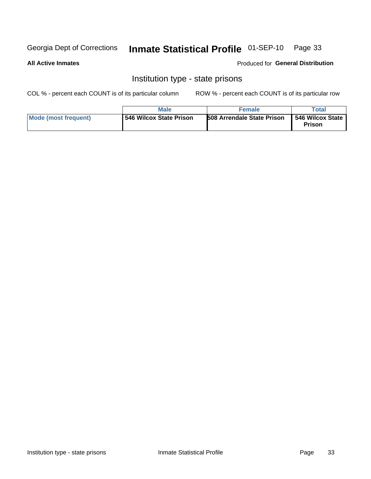## Inmate Statistical Profile 01-SEP-10 Page 33

### **All Active Inmates**

### Produced for General Distribution

### Institution type - state prisons

COL % - percent each COUNT is of its particular column

|                      | <b>Male</b>             | Female                            | Total                      |
|----------------------|-------------------------|-----------------------------------|----------------------------|
| Mode (most frequent) | 546 Wilcox State Prison | <b>508 Arrendale State Prison</b> | 546 Wilcox State<br>Prison |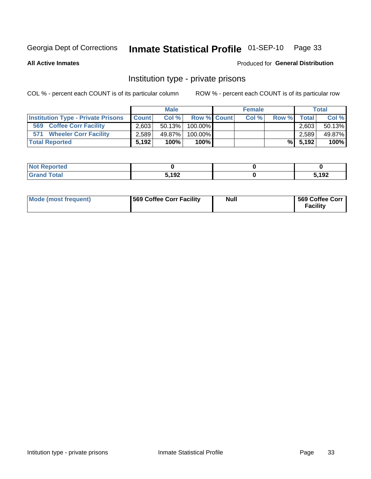## Inmate Statistical Profile 01-SEP-10 Page 33

**All Active Inmates** 

### Produced for General Distribution

## Institution type - private prisons

COL % - percent each COUNT is of its particular column

|                                           |              | <b>Male</b> |                    | <b>Female</b> |       |              | <b>Total</b> |
|-------------------------------------------|--------------|-------------|--------------------|---------------|-------|--------------|--------------|
| <b>Institution Type - Private Prisons</b> | <b>Count</b> | Col%        | <b>Row % Count</b> | Col %         | Row % | <b>Total</b> | Col %        |
| 569<br><b>Coffee Corr Facility</b>        | 2.603        | $50.13\%$   | 100.00%            |               |       | 2.603        | 50.13%       |
| <b>Wheeler Corr Facility</b><br>571       | 2.589.       | 49.87%      | 100.00%            |               |       | 2,589        | 49.87%       |
| <b>Total Reported</b>                     | 5.192        | 100%        | $100\%$            |               |       | $\%$ 5,192   | 100%         |

| Reported<br>NO |       |       |
|----------------|-------|-------|
| 'otal          | 5,192 | 5,192 |

| Mode (most frequent) | <b>569 Coffee Corr Facility</b> | <b>Null</b> | 569 Coffee Corr<br><b>Facility</b> |
|----------------------|---------------------------------|-------------|------------------------------------|
|----------------------|---------------------------------|-------------|------------------------------------|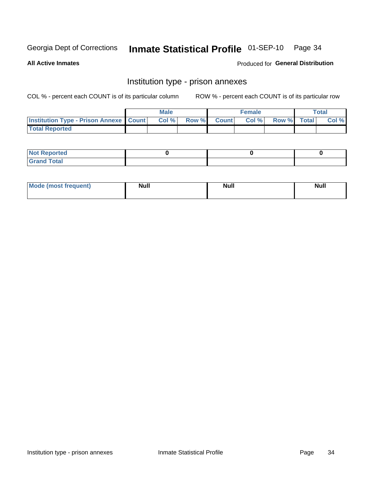## Inmate Statistical Profile 01-SEP-10 Page 34

**All Active Inmates** 

Produced for General Distribution

## Institution type - prison annexes

COL % - percent each COUNT is of its particular column

|                                                   | <b>Male</b> |                    | <b>Female</b> |             | <b>Total</b> |
|---------------------------------------------------|-------------|--------------------|---------------|-------------|--------------|
| <b>Institution Type - Prison Annexe   Count  </b> | Col %       | <b>Row % Count</b> | Col %         | Row % Total | Col %        |
| <b>Total Reported</b>                             |             |                    |               |             |              |

| <b>Reported</b><br>I NOT                      |  |  |
|-----------------------------------------------|--|--|
| <b>Total</b><br>Carar<br>$\sim$ . When $\sim$ |  |  |

| <b>Mode</b>     | <b>Null</b> | <b>Null</b> | <b>Null</b> |
|-----------------|-------------|-------------|-------------|
| most frequent). |             |             |             |
|                 |             |             |             |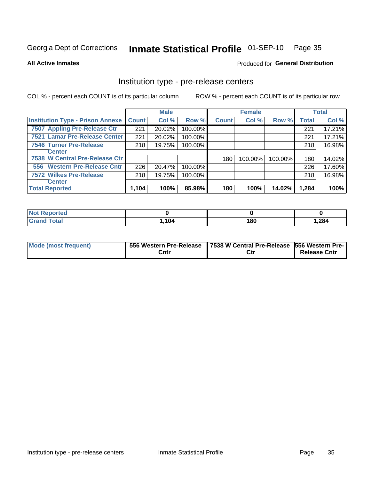## Inmate Statistical Profile 01-SEP-10 Page 35

**All Active Inmates** 

Produced for General Distribution

## Institution type - pre-release centers

COL % - percent each COUNT is of its particular column

|                                         |              | <b>Male</b> |         |              | <b>Female</b> |         |              | <b>Total</b> |
|-----------------------------------------|--------------|-------------|---------|--------------|---------------|---------|--------------|--------------|
| <b>Institution Type - Prison Annexe</b> | <b>Count</b> | Col %       | Row %   | <b>Count</b> | Col %         | Row %   | <b>Total</b> | Col %        |
| 7507 Appling Pre-Release Ctr            | 221          | 20.02%      | 100.00% |              |               |         | 221          | 17.21%       |
| 7521 Lamar Pre-Release Center           | 221          | 20.02%      | 100.00% |              |               |         | 221          | 17.21%       |
| <b>7546 Turner Pre-Release</b>          | 218          | 19.75%      | 100.00% |              |               |         | 218          | 16.98%       |
| <b>Center</b>                           |              |             |         |              |               |         |              |              |
| 7538 W Central Pre-Release Ctr          |              |             |         | 180          | 100.00%       | 100.00% | 180          | 14.02%       |
| 556 Western Pre-Release Cntr            | 226          | 20.47%      | 100.00% |              |               |         | 226          | 17.60%       |
| 7572 Wilkes Pre-Release                 | 218          | 19.75%      | 100.00% |              |               |         | 218          | 16.98%       |
| <b>Center</b>                           |              |             |         |              |               |         |              |              |
| <b>Total Reported</b>                   | 1,104        | 100%        | 85.98%  | 180          | 100%          | 14.02%  | 1,284        | 100%         |

| oorted<br>NI ( |       |     |       |
|----------------|-------|-----|-------|
| 'otal          | 1,104 | 180 | 1,284 |

| Mode (most frequent) |      | 556 Western Pre-Release   7538 W Central Pre-Release   556 Western Pre- |                     |  |  |
|----------------------|------|-------------------------------------------------------------------------|---------------------|--|--|
|                      | Cntr | Ctr                                                                     | <b>Release Cntr</b> |  |  |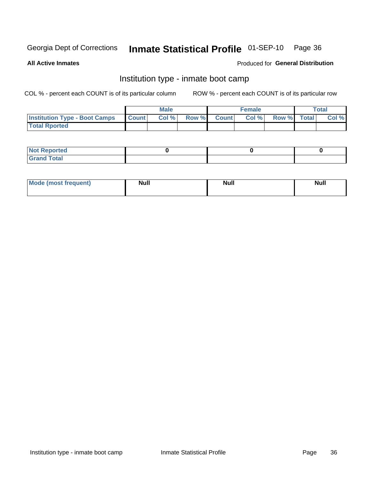#### Inmate Statistical Profile 01-SEP-10 Page 36

**All Active Inmates** 

#### Produced for General Distribution

# Institution type - inmate boot camp

COL % - percent each COUNT is of its particular column

|                                      |              | <b>Male</b> |             | <b>Female</b> |             | Total |
|--------------------------------------|--------------|-------------|-------------|---------------|-------------|-------|
| <b>Institution Type - Boot Camps</b> | <b>Count</b> | Col %       | Row % Count | Col%          | Row % Total | Col % |
| <b>Total Rported</b>                 |              |             |             |               |             |       |

| <b>Not Reported</b><br>.        |  |  |
|---------------------------------|--|--|
| Total<br><b>C</b> <sub>He</sub> |  |  |

| <b>AhoM</b>       | <b>Null</b> | <b>Null</b> | Ab d' |
|-------------------|-------------|-------------|-------|
| <b>"requent</b> ) |             |             | _____ |
|                   |             |             |       |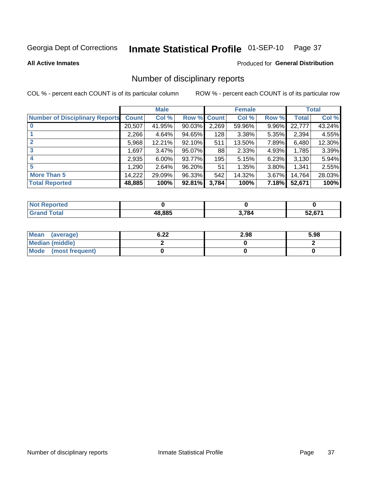#### Inmate Statistical Profile 01-SEP-10 Page 37

**All Active Inmates** 

#### Produced for General Distribution

## Number of disciplinary reports

COL % - percent each COUNT is of its particular column

|                                       |              | <b>Male</b> |             |       | <b>Female</b> |       |        | <b>Total</b> |
|---------------------------------------|--------------|-------------|-------------|-------|---------------|-------|--------|--------------|
| <b>Number of Disciplinary Reports</b> | <b>Count</b> | Col %       | Row % Count |       | Col %         | Row % | Total  | Col %        |
|                                       | 20,507       | 41.95%      | 90.03%      | 2,269 | 59.96%        | 9.96% | 22,777 | 43.24%       |
|                                       | 2,266        | 4.64%       | 94.65%      | 128   | 3.38%         | 5.35% | 2,394  | 4.55%        |
| $\mathbf{2}$                          | 5,968        | 12.21%      | 92.10%      | 511   | 13.50%        | 7.89% | 6,480  | 12.30%       |
| 3                                     | .697         | 3.47%       | 95.07%      | 88    | 2.33%         | 4.93% | 1,785  | 3.39%        |
|                                       | 2,935        | 6.00%       | 93.77%      | 195   | 5.15%         | 6.23% | 3,130  | 5.94%        |
| 5                                     | ا 290.1      | 2.64%       | 96.20%      | 51    | 1.35%         | 3.80% | 1,341  | 2.55%        |
| <b>More Than 5</b>                    | 14,222       | 29.09%      | 96.33%      | 542   | 14.32%        | 3.67% | 14,764 | 28.03%       |
| <b>Total Reported</b>                 | 48,885       | 100%        | 92.81%      | 3,784 | 100%          | 7.18% | 52,671 | 100%         |

| <b>Not Reported</b> |        |       |        |
|---------------------|--------|-------|--------|
| Total               | 48.885 | ` 784 | 52,671 |

| Mean (average)       | ר ה<br>0.ZZ | 2.98 | 5.98 |
|----------------------|-------------|------|------|
| Median (middle)      |             |      |      |
| Mode (most frequent) |             |      |      |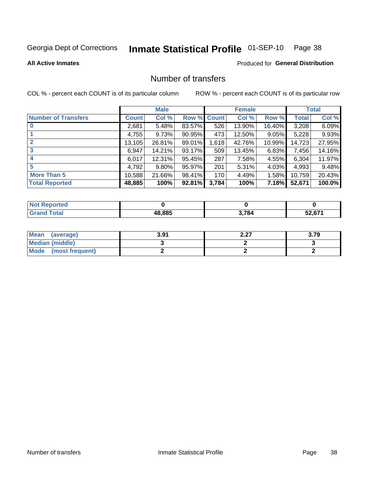# Inmate Statistical Profile 01-SEP-10 Page 38

#### **All Active Inmates**

### **Produced for General Distribution**

# Number of transfers

COL % - percent each COUNT is of its particular column

|                            |         | <b>Male</b> |        |              | <b>Female</b> |        |              | <b>Total</b> |
|----------------------------|---------|-------------|--------|--------------|---------------|--------|--------------|--------------|
| <b>Number of Transfers</b> | Count l | Col %       | Row %  | <b>Count</b> | Col %         | Row %  | <b>Total</b> | Col %        |
| $\bf{0}$                   | 2,681   | 5.48%       | 83.57% | 526          | 13.90%        | 16.40% | 3,208        | 6.09%        |
|                            | 4,755   | 9.73%       | 90.95% | 473          | 12.50%        | 9.05%  | 5,228        | 9.93%        |
| $\mathbf{2}$               | 13,105  | 26.81%      | 89.01% | 1,618        | 42.76%        | 10.99% | 14,723       | 27.95%       |
| 3                          | 6,947   | 14.21%      | 93.17% | 509          | 13.45%        | 6.83%  | 7,456        | 14.16%       |
| 4                          | 6,017   | $12.31\%$   | 95.45% | 287          | 7.58%         | 4.55%  | 6,304        | 11.97%       |
| 5                          | 4,792   | $9.80\%$    | 95.97% | 201          | 5.31%         | 4.03%  | 4,993        | 9.48%        |
| <b>More Than 5</b>         | 10,588  | 21.66%      | 98.41% | 170          | 4.49%         | 1.58%  | 10,759       | 20.43%       |
| <b>Total Reported</b>      | 48,885  | 100%        | 92.81% | 3,784        | 100%          | 7.18%  | 52,671       | 100.0%       |

| วrted<br>NO. |              |              |                           |
|--------------|--------------|--------------|---------------------------|
| <b>Total</b> | 18.885<br>Δэ | <b>3.784</b> | $E^{\prime}$ $E^{\prime}$ |

| Mean (average)         | 3.91 | דר ר<br>Z.ZI | 3.79 |
|------------------------|------|--------------|------|
| <b>Median (middle)</b> |      |              |      |
| Mode (most frequent)   |      |              |      |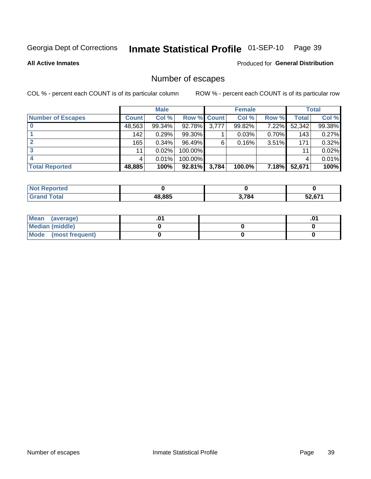# Inmate Statistical Profile 01-SEP-10 Page 39

**All Active Inmates** 

**Produced for General Distribution** 

# Number of escapes

COL % - percent each COUNT is of its particular column

|                          |              | <b>Male</b> |             |       | <b>Female</b> |       |        | <b>Total</b> |
|--------------------------|--------------|-------------|-------------|-------|---------------|-------|--------|--------------|
| <b>Number of Escapes</b> | <b>Count</b> | Col %       | Row % Count |       | Col %         | Row % | Total  | Col %        |
|                          | 48,563       | 99.34%      | 92.78%      | 3,777 | 99.82%        | 7.22% | 52,342 | 99.38%       |
|                          | 142          | 0.29%       | $99.30\%$   |       | 0.03%         | 0.70% | 143    | 0.27%        |
|                          | 165          | 0.34%       | 96.49%      | 6     | 0.16%         | 3.51% | 171    | 0.32%        |
|                          | 11           | 0.02%       | $100.00\%$  |       |               |       | 11     | 0.02%        |
|                          |              | 0.01%       | $100.00\%$  |       |               |       |        | 0.01%        |
| <b>Total Reported</b>    | 48,885       | 100%        | 92.81%      | 3,784 | 100.0%        | 7.18% | 52,671 | 100%         |

| <b>Not Reported</b> |        |       |               |
|---------------------|--------|-------|---------------|
| <b>Total</b>        | 48.885 | 3.784 | <u>።ግ ድግብ</u> |

| Mean (average)         |  | .0 <sup>4</sup> |
|------------------------|--|-----------------|
| <b>Median (middle)</b> |  |                 |
| Mode (most frequent)   |  |                 |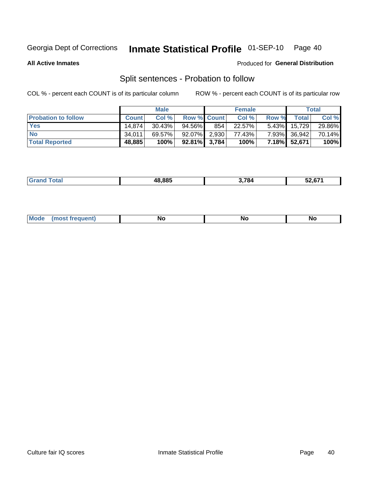#### Inmate Statistical Profile 01-SEP-10 Page 40

**All Active Inmates** 

#### Produced for General Distribution

# Split sentences - Probation to follow

COL % - percent each COUNT is of its particular column

|                            |              | <b>Male</b> |                    |     | <b>Female</b> |          |              | <b>Total</b> |
|----------------------------|--------------|-------------|--------------------|-----|---------------|----------|--------------|--------------|
| <b>Probation to follow</b> | <b>Count</b> | Col%        | <b>Row % Count</b> |     | Col %         | Row %    | <b>Total</b> | Col %        |
| <b>Yes</b>                 | 14.874       | $30.43\%$   | 94.56%             | 854 | 22.57%        |          | 5.43% 15,729 | 29.86%       |
| <b>No</b>                  | 34.011       | 69.57%      | $92.07\%$ 2.930    |     | 77.43%        |          | 7.93% 36,942 | 70.14%       |
| <b>Total Reported</b>      | 48,885       | 100%        | 92.81% 3,784       |     | 100%          | $7.18\%$ | 52,671       | 100%         |

|--|

| $M$ ode<br>uent).<br>.<br><b>No</b><br><b>NC</b><br><b>NO</b> |
|---------------------------------------------------------------|
|---------------------------------------------------------------|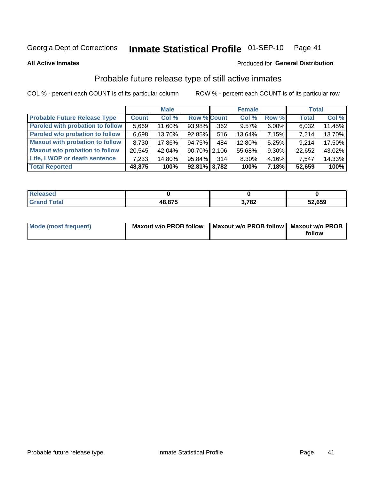#### Inmate Statistical Profile 01-SEP-10 Page 41

**All Active Inmates** 

#### Produced for General Distribution

# Probable future release type of still active inmates

COL % - percent each COUNT is of its particular column

|                                         |              | <b>Male</b> |                    |     | <b>Female</b> |          | <b>Total</b> |        |
|-----------------------------------------|--------------|-------------|--------------------|-----|---------------|----------|--------------|--------|
| <b>Probable Future Release Type</b>     | <b>Count</b> | Col %       | <b>Row % Count</b> |     | Col %         | Row %    | <b>Total</b> | Col %  |
| <b>Paroled with probation to follow</b> | 5,669        | 11.60%      | 93.98%             | 362 | 9.57%         | $6.00\%$ | 6,032        | 11.45% |
| Paroled w/o probation to follow         | 6,698        | 13.70%      | 92.85%             | 516 | 13.64%        | 7.15%    | 7,214        | 13.70% |
| <b>Maxout with probation to follow</b>  | 8,730        | 17.86%      | 94.75%             | 484 | 12.80%        | 5.25%    | 9,214        | 17.50% |
| <b>Maxout w/o probation to follow</b>   | 20,545       | 42.04%      | $90.70\%$ 2.106    |     | 55.68%        | 9.30%    | 22,652       | 43.02% |
| Life, LWOP or death sentence            | 7,233        | 14.80%      | 95.84%             | 314 | 8.30%         | 4.16%    | 7,547        | 14.33% |
| <b>Total Reported</b>                   | 48,875       | 100%        | $92.81\%$ 3,782    |     | 100%          | 7.18%    | 52,659       | 100%   |

| eleased |                     |             |        |
|---------|---------------------|-------------|--------|
| otal    | $AB$ <sub>R75</sub> | <u> 70ງ</u> | 52,659 |

| <b>Mode (most frequent)</b> | <b>Maxout w/o PROB follow</b> | Maxout w/o PROB follow   Maxout w/o PROB |        |
|-----------------------------|-------------------------------|------------------------------------------|--------|
|                             |                               |                                          | follow |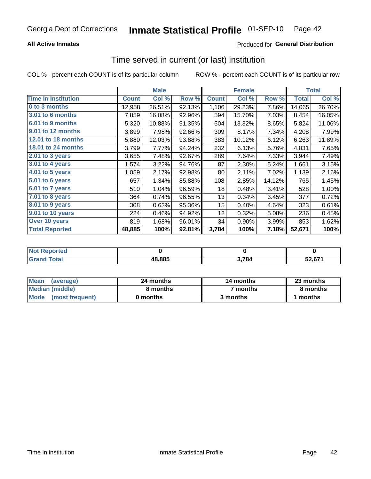### **All Active Inmates**

### **Produced for General Distribution**

# Time served in current (or last) institution

COL % - percent each COUNT is of its particular column

|                            |              | <b>Male</b> |        |              | <b>Female</b> |        |              | <b>Total</b> |
|----------------------------|--------------|-------------|--------|--------------|---------------|--------|--------------|--------------|
| <b>Time In Institution</b> | <b>Count</b> | Col %       | Row %  | <b>Count</b> | Col %         | Row %  | <b>Total</b> | Col %        |
| 0 to 3 months              | 12,958       | 26.51%      | 92.13% | 1,106        | 29.23%        | 7.86%  | 14,065       | 26.70%       |
| 3.01 to 6 months           | 7,859        | 16.08%      | 92.96% | 594          | 15.70%        | 7.03%  | 8,454        | 16.05%       |
| 6.01 to 9 months           | 5,320        | 10.88%      | 91.35% | 504          | 13.32%        | 8.65%  | 5,824        | 11.06%       |
| 9.01 to 12 months          | 3,899        | 7.98%       | 92.66% | 309          | 8.17%         | 7.34%  | 4,208        | 7.99%        |
| 12.01 to 18 months         | 5,880        | 12.03%      | 93.88% | 383          | 10.12%        | 6.12%  | 6,263        | 11.89%       |
| <b>18.01 to 24 months</b>  | 3,799        | 7.77%       | 94.24% | 232          | 6.13%         | 5.76%  | 4,031        | 7.65%        |
| $2.01$ to 3 years          | 3,655        | 7.48%       | 92.67% | 289          | 7.64%         | 7.33%  | 3,944        | 7.49%        |
| 3.01 to 4 years            | 1,574        | 3.22%       | 94.76% | 87           | 2.30%         | 5.24%  | 1,661        | 3.15%        |
| $4.01$ to 5 years          | 1,059        | 2.17%       | 92.98% | 80           | 2.11%         | 7.02%  | 1,139        | 2.16%        |
| 5.01 to 6 years            | 657          | 1.34%       | 85.88% | 108          | 2.85%         | 14.12% | 765          | 1.45%        |
| 6.01 to 7 years            | 510          | 1.04%       | 96.59% | 18           | 0.48%         | 3.41%  | 528          | 1.00%        |
| 7.01 to 8 years            | 364          | 0.74%       | 96.55% | 13           | 0.34%         | 3.45%  | 377          | 0.72%        |
| $8.01$ to 9 years          | 308          | 0.63%       | 95.36% | 15           | 0.40%         | 4.64%  | 323          | 0.61%        |
| 9.01 to 10 years           | 224          | 0.46%       | 94.92% | 12           | 0.32%         | 5.08%  | 236          | 0.45%        |
| Over 10 years              | 819          | 1.68%       | 96.01% | 34           | 0.90%         | 3.99%  | 853          | 1.62%        |
| <b>Total Reported</b>      | 48,885       | 100%        | 92.81% | 3,784        | 100%          | 7.18%  | 52,671       | 100%         |

| <b>NOT</b><br>чес |        |     |            |
|-------------------|--------|-----|------------|
|                   | 48,885 | 784 | $E = 0.77$ |

| <b>Mean</b><br>(average) | 24 months | 14 months | 23 months |  |
|--------------------------|-----------|-----------|-----------|--|
| Median (middle)          | 8 months  | 7 months  | 8 months  |  |
| Mode (most frequent)     | 0 months  | 3 months  | 1 months  |  |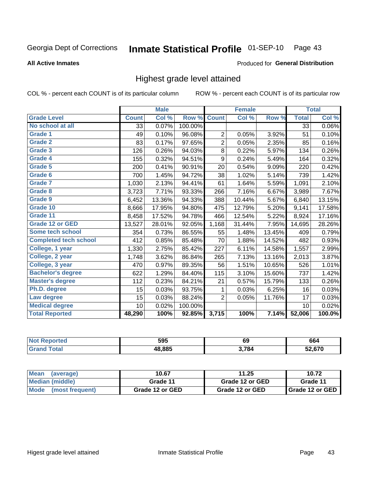#### Inmate Statistical Profile 01-SEP-10 Page 43

#### **All Active Inmates**

#### Produced for General Distribution

## Highest grade level attained

COL % - percent each COUNT is of its particular column

|                              |                 | <b>Male</b> |         |                         | <b>Female</b> |        |              | <b>Total</b> |
|------------------------------|-----------------|-------------|---------|-------------------------|---------------|--------|--------------|--------------|
| <b>Grade Level</b>           | <b>Count</b>    | Col %       | Row %   | <b>Count</b>            | Col %         | Row %  | <b>Total</b> | Col %        |
| No school at all             | 33              | 0.07%       | 100.00% |                         |               |        | 33           | $0.06\%$     |
| <b>Grade 1</b>               | 49              | 0.10%       | 96.08%  | $\overline{2}$          | 0.05%         | 3.92%  | 51           | 0.10%        |
| <b>Grade 2</b>               | 83              | 0.17%       | 97.65%  | $\overline{\mathbf{c}}$ | 0.05%         | 2.35%  | 85           | 0.16%        |
| Grade 3                      | 126             | 0.26%       | 94.03%  | $\bf 8$                 | 0.22%         | 5.97%  | 134          | 0.26%        |
| Grade 4                      | 155             | 0.32%       | 94.51%  | $\boldsymbol{9}$        | 0.24%         | 5.49%  | 164          | 0.32%        |
| Grade 5                      | 200             | 0.41%       | 90.91%  | 20                      | 0.54%         | 9.09%  | 220          | 0.42%        |
| Grade 6                      | 700             | 1.45%       | 94.72%  | 38                      | 1.02%         | 5.14%  | 739          | 1.42%        |
| <b>Grade 7</b>               | 1,030           | 2.13%       | 94.41%  | 61                      | 1.64%         | 5.59%  | 1,091        | 2.10%        |
| Grade 8                      | 3,723           | 7.71%       | 93.33%  | 266                     | 7.16%         | 6.67%  | 3,989        | 7.67%        |
| Grade 9                      | 6,452           | 13.36%      | 94.33%  | 388                     | 10.44%        | 5.67%  | 6,840        | 13.15%       |
| Grade 10                     | 8,666           | 17.95%      | 94.80%  | 475                     | 12.79%        | 5.20%  | 9,141        | 17.58%       |
| Grade 11                     | 8,458           | 17.52%      | 94.78%  | 466                     | 12.54%        | 5.22%  | 8,924        | 17.16%       |
| <b>Grade 12 or GED</b>       | 13,527          | 28.01%      | 92.05%  | 1,168                   | 31.44%        | 7.95%  | 14,695       | 28.26%       |
| Some tech school             | 354             | 0.73%       | 86.55%  | 55                      | 1.48%         | 13.45% | 409          | 0.79%        |
| <b>Completed tech school</b> | 412             | 0.85%       | 85.48%  | 70                      | 1.88%         | 14.52% | 482          | 0.93%        |
| College, 1 year              | 1,330           | 2.75%       | 85.42%  | 227                     | 6.11%         | 14.58% | 1,557        | 2.99%        |
| College, 2 year              | 1,748           | 3.62%       | 86.84%  | 265                     | 7.13%         | 13.16% | 2,013        | 3.87%        |
| College, 3 year              | 470             | 0.97%       | 89.35%  | 56                      | 1.51%         | 10.65% | 526          | 1.01%        |
| <b>Bachelor's degree</b>     | 622             | 1.29%       | 84.40%  | 115                     | 3.10%         | 15.60% | 737          | 1.42%        |
| <b>Master's degree</b>       | 112             | 0.23%       | 84.21%  | 21                      | 0.57%         | 15.79% | 133          | 0.26%        |
| Ph.D. degree                 | 15              | 0.03%       | 93.75%  | 1                       | 0.03%         | 6.25%  | 16           | 0.03%        |
| Law degree                   | 15              | 0.03%       | 88.24%  | $\overline{2}$          | 0.05%         | 11.76% | 17           | 0.03%        |
| <b>Medical degree</b>        | 10 <sub>1</sub> | 0.02%       | 100.00% |                         |               |        | 10           | 0.02%        |
| <b>Total Reported</b>        | 48,290          | 100%        | 92.85%  | 3,715                   | 100%          | 7.14%  | 52,006       | 100.0%       |

| r 20 | 595    | <b>69</b>  | 664<br>$ -$ |
|------|--------|------------|-------------|
|      | 18.885 | <b>704</b> | -^ ^-^      |

| <b>Mean</b><br>(average)       | 10.67           | 11.25           | 10.72             |
|--------------------------------|-----------------|-----------------|-------------------|
| Median (middle)                | Grade 11        | Grade 12 or GED | Grade 11          |
| <b>Mode</b><br>(most frequent) | Grade 12 or GED | Grade 12 or GED | I Grade 12 or GED |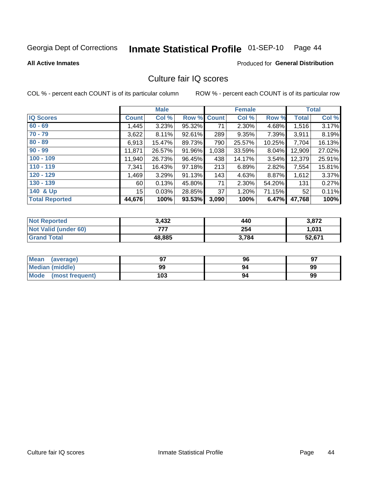# Inmate Statistical Profile 01-SEP-10 Page 44

#### **All Active Inmates**

# **Produced for General Distribution**

# Culture fair IQ scores

COL % - percent each COUNT is of its particular column

|                       |              | <b>Male</b> |             |       | <b>Female</b> |        |              | <b>Total</b> |
|-----------------------|--------------|-------------|-------------|-------|---------------|--------|--------------|--------------|
| <b>IQ Scores</b>      | <b>Count</b> | Col %       | Row % Count |       | Col %         | Row %  | <b>Total</b> | Col %        |
| $60 - 69$             | ,445         | 3.23%       | 95.32%      | 71    | 2.30%         | 4.68%  | 1,516        | 3.17%        |
| $70 - 79$             | 3,622        | 8.11%       | 92.61%      | 289   | 9.35%         | 7.39%  | 3,911        | 8.19%        |
| $80 - 89$             | 6,913        | 15.47%      | 89.73%      | 790   | 25.57%        | 10.25% | 7,704        | 16.13%       |
| $90 - 99$             | 11,871       | 26.57%      | 91.96%      | 1,038 | 33.59%        | 8.04%  | 12,909       | 27.02%       |
| $100 - 109$           | 11,940       | 26.73%      | 96.45%      | 438   | 14.17%        | 3.54%  | 12,379       | 25.91%       |
| $110 - 119$           | 7,341        | 16.43%      | 97.18%      | 213   | 6.89%         | 2.82%  | 7,554        | 15.81%       |
| $120 - 129$           | ,469         | 3.29%       | 91.13%      | 143   | 4.63%         | 8.87%  | 1,612        | 3.37%        |
| $130 - 139$           | 60           | 0.13%       | 45.80%      | 71    | 2.30%         | 54.20% | 131          | 0.27%        |
| 140 & Up              | 15           | 0.03%       | 28.85%      | 37    | 1.20%         | 71.15% | 52           | 0.11%        |
| <b>Total Reported</b> | 44,676       | 100%        | 93.53%      | 3,090 | 100%          | 6.47%  | 47,768       | 100%         |

| <b>Not Reported</b>         | 3,432  | 440   | 3,872  |
|-----------------------------|--------|-------|--------|
| <b>Not Valid (under 60)</b> | フフフ    | 254   | 1,031  |
| <b>Grand Total</b>          | 48,885 | 3,784 | 52,671 |

| <b>Mean</b><br>(average)       | כם  | 96 | 97 |
|--------------------------------|-----|----|----|
| Median (middle)                | 99  | 94 | 99 |
| <b>Mode</b><br>(most frequent) | 103 | 94 | 99 |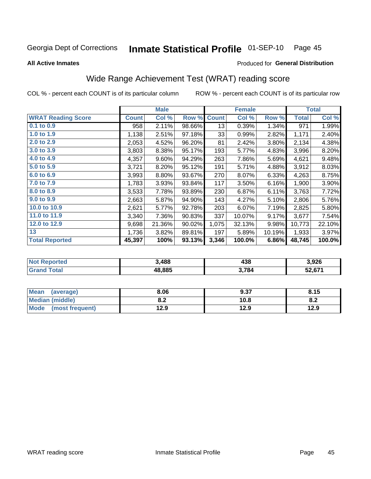#### Inmate Statistical Profile 01-SEP-10 Page 45

**All Active Inmates** 

#### Produced for General Distribution

# Wide Range Achievement Test (WRAT) reading score

COL % - percent each COUNT is of its particular column

|                           |              | <b>Male</b> |        |              | <b>Female</b> |        |              | <b>Total</b> |
|---------------------------|--------------|-------------|--------|--------------|---------------|--------|--------------|--------------|
| <b>WRAT Reading Score</b> | <b>Count</b> | Col %       | Row %  | <b>Count</b> | Col %         | Row %  | <b>Total</b> | Col %        |
| 0.1 to 0.9                | 958          | 2.11%       | 98.66% | 13           | 0.39%         | 1.34%  | 971          | 1.99%        |
| 1.0 to 1.9                | 1,138        | 2.51%       | 97.18% | 33           | 0.99%         | 2.82%  | 1,171        | 2.40%        |
| 2.0 to 2.9                | 2,053        | 4.52%       | 96.20% | 81           | 2.42%         | 3.80%  | 2,134        | 4.38%        |
| 3.0 to 3.9                | 3,803        | 8.38%       | 95.17% | 193          | 5.77%         | 4.83%  | 3,996        | 8.20%        |
| 4.0 to 4.9                | 4,357        | 9.60%       | 94.29% | 263          | 7.86%         | 5.69%  | 4,621        | 9.48%        |
| 5.0 to 5.9                | 3,721        | 8.20%       | 95.12% | 191          | 5.71%         | 4.88%  | 3,912        | 8.03%        |
| 6.0 to 6.9                | 3,993        | 8.80%       | 93.67% | 270          | 8.07%         | 6.33%  | 4,263        | 8.75%        |
| 7.0 to 7.9                | 1,783        | 3.93%       | 93.84% | 117          | 3.50%         | 6.16%  | 1,900        | 3.90%        |
| 8.0 to 8.9                | 3,533        | 7.78%       | 93.89% | 230          | 6.87%         | 6.11%  | 3,763        | 7.72%        |
| 9.0 to 9.9                | 2,663        | 5.87%       | 94.90% | 143          | 4.27%         | 5.10%  | 2,806        | 5.76%        |
| 10.0 to 10.9              | 2,621        | 5.77%       | 92.78% | 203          | 6.07%         | 7.19%  | 2,825        | 5.80%        |
| 11.0 to 11.9              | 3,340        | 7.36%       | 90.83% | 337          | 10.07%        | 9.17%  | 3,677        | 7.54%        |
| 12.0 to 12.9              | 9,698        | 21.36%      | 90.02% | 1,075        | 32.13%        | 9.98%  | 10,773       | 22.10%       |
| 13                        | 1,736        | 3.82%       | 89.81% | 197          | 5.89%         | 10.19% | 1,933        | 3.97%        |
| <b>Total Reported</b>     | 45,397       | 100%        | 93.13% | 3,346        | 100.0%        | 6.86%  | 48,745       | 100.0%       |

| <b>rted</b><br>NO | 3,488  | 190<br>490 | 3,926  |
|-------------------|--------|------------|--------|
| $T$ stol $T$      | 48.885 | 3,784      | EN 674 |

| Mean<br>(average)      | 8.06       | 9.37 | 8.15 |
|------------------------|------------|------|------|
| <b>Median (middle)</b> | י ה<br>0.Z | 10.8 | 0.Z  |
| Mode (most frequent)   | 12.9       | 12.9 | 12.9 |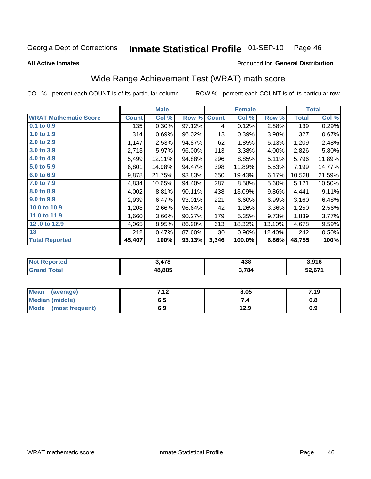#### Inmate Statistical Profile 01-SEP-10 Page 46

**All Active Inmates** 

#### Produced for General Distribution

# Wide Range Achievement Test (WRAT) math score

COL % - percent each COUNT is of its particular column

|                              |              | <b>Male</b> |        |              | <b>Female</b> |        |              | <b>Total</b> |
|------------------------------|--------------|-------------|--------|--------------|---------------|--------|--------------|--------------|
| <b>WRAT Mathematic Score</b> | <b>Count</b> | Col %       | Row %  | <b>Count</b> | Col %         | Row %  | <b>Total</b> | Col %        |
| $0.1$ to $0.9$               | 135          | 0.30%       | 97.12% | 4            | 0.12%         | 2.88%  | 139          | 0.29%        |
| 1.0 to 1.9                   | 314          | 0.69%       | 96.02% | 13           | 0.39%         | 3.98%  | 327          | 0.67%        |
| 2.0 to 2.9                   | 1,147        | 2.53%       | 94.87% | 62           | 1.85%         | 5.13%  | 1,209        | 2.48%        |
| 3.0 to 3.9                   | 2,713        | 5.97%       | 96.00% | 113          | 3.38%         | 4.00%  | 2,826        | 5.80%        |
| 4.0 to 4.9                   | 5,499        | 12.11%      | 94.88% | 296          | 8.85%         | 5.11%  | 5,796        | 11.89%       |
| 5.0 to 5.9                   | 6,801        | 14.98%      | 94.47% | 398          | 11.89%        | 5.53%  | 7,199        | 14.77%       |
| 6.0 to 6.9                   | 9,878        | 21.75%      | 93.83% | 650          | 19.43%        | 6.17%  | 10,528       | 21.59%       |
| 7.0 to 7.9                   | 4,834        | 10.65%      | 94.40% | 287          | 8.58%         | 5.60%  | 5,121        | 10.50%       |
| 8.0 to 8.9                   | 4,002        | 8.81%       | 90.11% | 438          | 13.09%        | 9.86%  | 4,441        | 9.11%        |
| 9.0 to 9.9                   | 2,939        | 6.47%       | 93.01% | 221          | 6.60%         | 6.99%  | 3,160        | 6.48%        |
| 10.0 to 10.9                 | 1,208        | 2.66%       | 96.64% | 42           | 1.26%         | 3.36%  | 1,250        | 2.56%        |
| 11.0 to 11.9                 | 1,660        | 3.66%       | 90.27% | 179          | 5.35%         | 9.73%  | 1,839        | 3.77%        |
| 12.0 to 12.9                 | 4,065        | 8.95%       | 86.90% | 613          | 18.32%        | 13.10% | 4,678        | 9.59%        |
| 13                           | 212          | 0.47%       | 87.60% | 30           | 0.90%         | 12.40% | 242          | 0.50%        |
| <b>Total Reported</b>        | 45,407       | 100%        | 93.13% | 3,346        | 100.0%        | 6.86%  | 48,755       | 100%         |

| enorted?<br>NO1 | ,478   | ാറ<br>490 | 3.916  |
|-----------------|--------|-----------|--------|
| ota             | 18.885 | 3,784     | 52,671 |

| <b>Mean</b><br>(average)       | 712<br>. | 8.05 | 7.19 |
|--------------------------------|----------|------|------|
| <b>Median (middle)</b>         | כ.ס      |      | o.o  |
| <b>Mode</b><br>(most frequent) | 6.9      | 12.9 | 6.9  |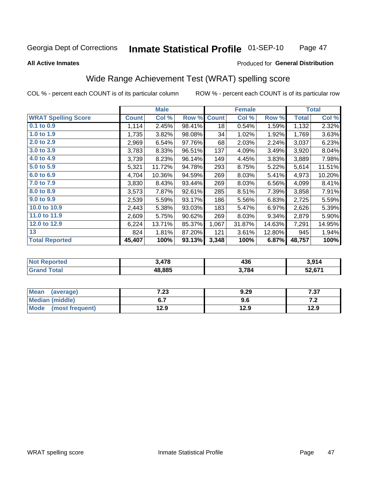#### Inmate Statistical Profile 01-SEP-10 Page 47

#### **All Active Inmates**

#### Produced for General Distribution

# Wide Range Achievement Test (WRAT) spelling score

COL % - percent each COUNT is of its particular column

|                            |              | <b>Male</b> |        |              | <b>Female</b> |        |              | <b>Total</b> |
|----------------------------|--------------|-------------|--------|--------------|---------------|--------|--------------|--------------|
| <b>WRAT Spelling Score</b> | <b>Count</b> | Col %       | Row %  | <b>Count</b> | Col %         | Row %  | <b>Total</b> | Col %        |
| $0.1$ to $0.9$             | 1,114        | 2.45%       | 98.41% | 18           | 0.54%         | 1.59%  | 1,132        | 2.32%        |
| 1.0 to 1.9                 | 1,735        | 3.82%       | 98.08% | 34           | 1.02%         | 1.92%  | 1,769        | 3.63%        |
| 2.0 to 2.9                 | 2,969        | 6.54%       | 97.76% | 68           | 2.03%         | 2.24%  | 3,037        | 6.23%        |
| 3.0 to 3.9                 | 3,783        | 8.33%       | 96.51% | 137          | 4.09%         | 3.49%  | 3,920        | 8.04%        |
| 4.0 to 4.9                 | 3,739        | 8.23%       | 96.14% | 149          | 4.45%         | 3.83%  | 3,889        | 7.98%        |
| 5.0 to 5.9                 | 5,321        | 11.72%      | 94.78% | 293          | 8.75%         | 5.22%  | 5,614        | 11.51%       |
| 6.0 to 6.9                 | 4,704        | 10.36%      | 94.59% | 269          | 8.03%         | 5.41%  | 4,973        | 10.20%       |
| 7.0 to 7.9                 | 3,830        | 8.43%       | 93.44% | 269          | 8.03%         | 6.56%  | 4,099        | 8.41%        |
| 8.0 to 8.9                 | 3,573        | 7.87%       | 92.61% | 285          | 8.51%         | 7.39%  | 3,858        | 7.91%        |
| 9.0 to 9.9                 | 2,539        | 5.59%       | 93.17% | 186          | 5.56%         | 6.83%  | 2,725        | 5.59%        |
| 10.0 to 10.9               | 2,443        | 5.38%       | 93.03% | 183          | 5.47%         | 6.97%  | 2,626        | 5.39%        |
| 11.0 to 11.9               | 2,609        | 5.75%       | 90.62% | 269          | 8.03%         | 9.34%  | 2,879        | 5.90%        |
| 12.0 to 12.9               | 6,224        | 13.71%      | 85.37% | 1,067        | 31.87%        | 14.63% | 7,291        | 14.95%       |
| 13                         | 824          | 1.81%       | 87.20% | 121          | 3.61%         | 12.80% | 945          | 1.94%        |
| <b>Total Reported</b>      | 45,407       | 100%        | 93.13% | 3,348        | 100%          | 6.87%  | 48,757       | 100%         |

| orted<br>NO | 3,478  | 10C<br>490 | .914   |
|-------------|--------|------------|--------|
| <b>otal</b> | 18.885 | 3,784      | 52,671 |

| <b>Mean</b><br>(average) | 7.23 | 9.29 | , מ<br>، ن |
|--------------------------|------|------|------------|
| <b>Median (middle)</b>   | ν.,  | 9.6  | . . Z      |
| Mode (most frequent)     | 12.9 | 12.9 | 12.9       |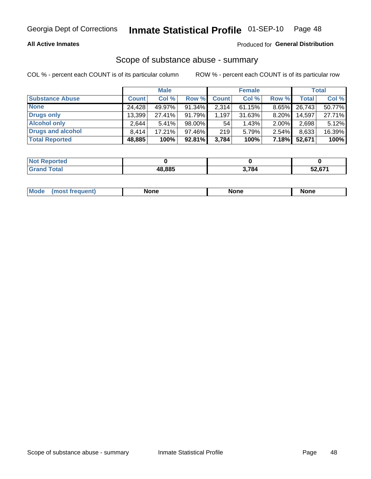### **All Active Inmates**

### Produced for General Distribution

### Scope of substance abuse - summary

COL % - percent each COUNT is of its particular column

|                        |              | <b>Male</b> |           |              | <b>Female</b> |          |        | Total  |
|------------------------|--------------|-------------|-----------|--------------|---------------|----------|--------|--------|
| <b>Substance Abuse</b> | <b>Count</b> | Col %       | Row %     | <b>Count</b> | Col %         | Row %    | Total  | Col %  |
| <b>None</b>            | 24.428       | 49.97%      | 91.34%    | 2,314        | 61.15%        | $8.65\%$ | 26,743 | 50.77% |
| <b>Drugs only</b>      | 13,399       | $27.41\%$   | $91.79\%$ | .197         | 31.63%        | $8.20\%$ | 14,597 | 27.71% |
| <b>Alcohol only</b>    | 2.644        | $5.41\%$    | 98.00%    | 54           | 1.43%         | $2.00\%$ | 2,698  | 5.12%  |
| Drugs and alcohol      | 8.414        | $17.21\%$   | 97.46%    | 219          | 5.79%         | 2.54%    | 8,633  | 16.39% |
| <b>Total Reported</b>  | 48,885       | 100%        | $92.81\%$ | 3,784        | 100%          | 7.18%    | 52,671 | 100%   |

| <b>Not Reported</b> |        |       |        |
|---------------------|--------|-------|--------|
| <b>Grand Total</b>  | 18.885 | 3,784 | 52,671 |

| nuem | <b>Mo</b> | None | <b>None</b> | None |
|------|-----------|------|-------------|------|
|------|-----------|------|-------------|------|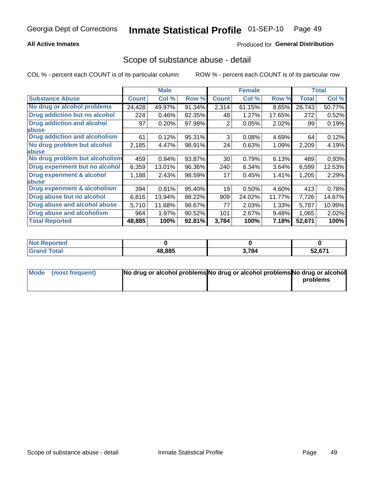### **All Active Inmates**

### **Produced for General Distribution**

### Scope of substance abuse - detail

COL % - percent each COUNT is of its particular column

|                                      |              | <b>Male</b> |        |              | <b>Female</b> |        |              | <b>Total</b> |
|--------------------------------------|--------------|-------------|--------|--------------|---------------|--------|--------------|--------------|
| <b>Substance Abuse</b>               | <b>Count</b> | Col %       | Row %  | <b>Count</b> | Col %         | Row %  | <b>Total</b> | Col %        |
| No drug or alcohol problems          | 24,428       | 49.97%      | 91.34% | 2,314        | 61.15%        | 8.65%  | 26,743       | 50.77%       |
| <b>Drug addiction but no alcohol</b> | 224          | 0.46%       | 82.35% | 48           | 1.27%         | 17.65% | 272          | 0.52%        |
| <b>Drug addiction and alcohol</b>    | 97           | 0.20%       | 97.98% | 2            | 0.05%         | 2.02%  | 99           | 0.19%        |
| <b>labuse</b>                        |              |             |        |              |               |        |              |              |
| <b>Drug addiction and alcoholism</b> | 61           | 0.12%       | 95.31% | 3            | 0.08%         | 4.69%  | 64           | 0.12%        |
| No drug problem but alcohol          | 2,185        | 4.47%       | 98.91% | 24           | 0.63%         | 1.09%  | 2,209        | 4.19%        |
| <b>labuse</b>                        |              |             |        |              |               |        |              |              |
| No drug problem but alcoholism       | 459          | 0.94%       | 93.87% | 30           | 0.79%         | 6.13%  | 489          | 0.93%        |
| Drug experiment but no alcohol       | 6,359        | 13.01%      | 96.36% | 240          | 6.34%         | 3.64%  | 6,599        | 12.53%       |
| <b>Drug experiment &amp; alcohol</b> | 1,188        | 2.43%       | 98.59% | 17           | 0.45%         | 1.41%  | 1,205        | 2.29%        |
| <b>labuse</b>                        |              |             |        |              |               |        |              |              |
| Drug experiment & alcoholism         | 394          | 0.81%       | 95.40% | 19           | 0.50%         | 4.60%  | 413          | 0.78%        |
| Drug abuse but no alcohol            | 6,816        | 13.94%      | 88.22% | 909          | 24.02%        | 11.77% | 7,726        | 14.67%       |
| Drug abuse and alcohol abuse         | 5,710        | 11.68%      | 98.67% | 77           | 2.03%         | 1.33%  | 5,787        | 10.99%       |
| <b>Drug abuse and alcoholism</b>     | 964          | 1.97%       | 90.52% | 101          | 2.67%         | 9.48%  | 1,065        | 2.02%        |
| <b>Total Reported</b>                | 48,885       | 100%        | 92.81% | 3,784        | 100%          | 7.18%  | 52,671       | 100%         |

| oorted<br>NO |        |       |                      |
|--------------|--------|-------|----------------------|
| 'otal        | 48.885 | 3,784 | $E0$ $E74$<br>10, SC |

| Mode (most frequent) | No drug or alcohol problems No drug or alcohol problems No drug or alcohol |          |
|----------------------|----------------------------------------------------------------------------|----------|
|                      |                                                                            | problems |
|                      |                                                                            |          |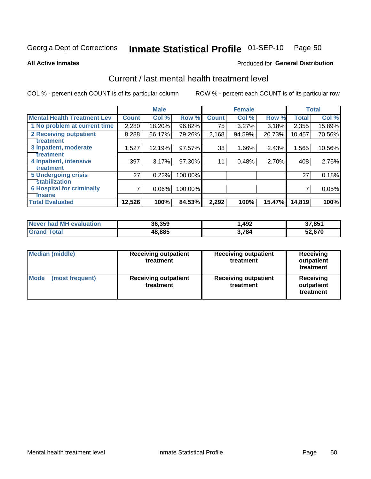#### Inmate Statistical Profile 01-SEP-10 Page 50

**All Active Inmates** 

### **Produced for General Distribution**

# Current / last mental health treatment level

COL % - percent each COUNT is of its particular column

|                                    |              | <b>Male</b> |         |              | <b>Female</b> |        |              | <b>Total</b> |
|------------------------------------|--------------|-------------|---------|--------------|---------------|--------|--------------|--------------|
| <b>Mental Health Treatment Lev</b> | <b>Count</b> | Col %       | Row %   | <b>Count</b> | Col %         | Row %  | <b>Total</b> | Col %        |
| 1 No problem at current time       | 2,280        | 18.20%      | 96.82%  | 75           | 3.27%         | 3.18%  | 2,355        | 15.89%       |
| 2 Receiving outpatient             | 8,288        | 66.17%      | 79.26%  | 2,168        | 94.59%        | 20.73% | 10,457       | 70.56%       |
| <b>Treatment</b>                   |              |             |         |              |               |        |              |              |
| 3 Inpatient, moderate              | 1,527        | 12.19%      | 97.57%  | 38           | 1.66%         | 2.43%  | 1,565        | 10.56%       |
| <b>Treatment</b>                   |              |             |         |              |               |        |              |              |
| 4 Inpatient, intensive             | 397          | 3.17%       | 97.30%  | 11           | 0.48%         | 2.70%  | 408          | 2.75%        |
| <b>Treatment</b>                   |              |             |         |              |               |        |              |              |
| <b>5 Undergoing crisis</b>         | 27           | 0.22%       | 100.00% |              |               |        | 27           | 0.18%        |
| <b>stabilization</b>               |              |             |         |              |               |        |              |              |
| <b>6 Hospital for criminally</b>   | 7            | 0.06%       | 100.00% |              |               |        | 7            | 0.05%        |
| <b>Tinsane</b>                     |              |             |         |              |               |        |              |              |
| <b>Total Evaluated</b>             | 12,526       | 100%        | 84.53%  | 2,292        | 100%          | 15.47% | 14,819       | 100%         |

| Never had MH evaluation | 36,359 | 1,492 | 37,851 |
|-------------------------|--------|-------|--------|
| <b>Grand Total</b>      | 48,885 | 3,784 | 52,670 |

| <b>Median (middle)</b>         | <b>Receiving outpatient</b><br>treatment | <b>Receiving outpatient</b><br>treatment | <b>Receiving</b><br>outpatient<br>treatment |
|--------------------------------|------------------------------------------|------------------------------------------|---------------------------------------------|
| <b>Mode</b><br>(most frequent) | <b>Receiving outpatient</b><br>treatment | <b>Receiving outpatient</b><br>treatment | Receiving<br>outpatient<br>treatment        |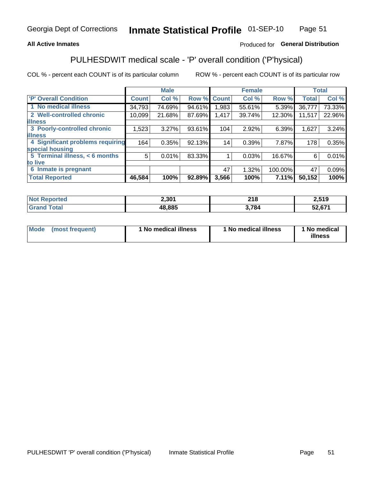### **All Active Inmates**

### Produced for General Distribution

# PULHESDWIT medical scale - 'P' overall condition ('P'hysical)

COL % - percent each COUNT is of its particular column

|                                         | <b>Male</b> |        |              |                                     |        |               | <b>Total</b>               |
|-----------------------------------------|-------------|--------|--------------|-------------------------------------|--------|---------------|----------------------------|
| <b>Count</b>                            | Col %       |        | <b>Count</b> | Col %                               | Row %  | <b>Total</b>  | Col %                      |
| 34,793                                  | 74.69%      | 94.61% | 1,983        | 55.61%                              | 5.39%  | 36,777        | 73.33%                     |
| 10,099                                  | 21.68%      | 87.69% | 1,417        | 39.74%                              | 12.30% | 11,517        | 22.96%                     |
|                                         |             |        |              |                                     |        |               |                            |
| 1,523                                   | 3.27%       |        | 104          | 2.92%                               | 6.39%  | 1,627         | 3.24%                      |
|                                         |             |        |              |                                     |        |               |                            |
| 4 Significant problems requiring<br>164 | 0.35%       |        | 14           | 0.39%                               |        | 178           | 0.35%                      |
|                                         |             |        |              |                                     |        |               |                            |
| 5                                       | 0.01%       |        |              | 0.03%                               |        | 6             | 0.01%                      |
|                                         |             |        |              |                                     |        |               |                            |
|                                         |             |        | 47           | 1.32%                               |        | 47            | 0.09%                      |
| 46,584                                  | 100%        | 92.89% | 3,566        | 100%                                | 7.11%  | 50,152        | 100%                       |
|                                         |             |        |              | Row %<br>93.61%<br>92.13%<br>83.33% |        | <b>Female</b> | 7.87%<br>16.67%<br>100.00% |

| тео | 2,301  | 218 | 510<br>6.J I J  |
|-----|--------|-----|-----------------|
|     | 10.00E | 784 | ca ata<br>J∠,o≠ |

| Mode | (most frequent) | 1 No medical illness | 1 No medical illness | 1 No medical<br>illness |
|------|-----------------|----------------------|----------------------|-------------------------|
|------|-----------------|----------------------|----------------------|-------------------------|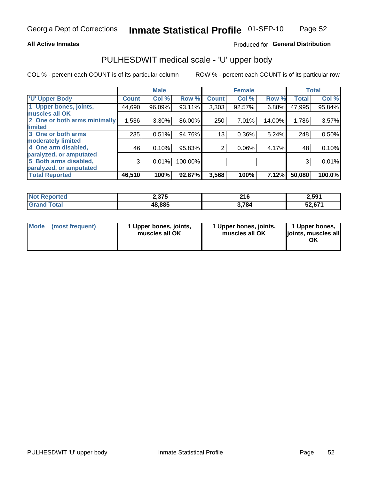#### **All Active Inmates**

### Produced for General Distribution

# PULHESDWIT medical scale - 'U' upper body

COL % - percent each COUNT is of its particular column

|                              |              | <b>Male</b> |         |                | <b>Female</b> |        |              | <b>Total</b> |
|------------------------------|--------------|-------------|---------|----------------|---------------|--------|--------------|--------------|
| <b>U' Upper Body</b>         | <b>Count</b> | Col %       | Row %   | <b>Count</b>   | Col %         | Row %  | <b>Total</b> | Col %        |
| 1 Upper bones, joints,       | 44,690       | 96.09%      | 93.11%  | 3,303          | 92.57%        | 6.88%  | 47,995       | 95.84%       |
| muscles all OK               |              |             |         |                |               |        |              |              |
| 2 One or both arms minimally | 1,536        | 3.30%       | 86.00%  | 250            | 7.01%         | 14.00% | 1,786        | 3.57%        |
| limited                      |              |             |         |                |               |        |              |              |
| 3 One or both arms           | 235          | 0.51%       | 94.76%  | 13             | 0.36%         | 5.24%  | 248          | 0.50%        |
| <b>moderately limited</b>    |              |             |         |                |               |        |              |              |
| 4 One arm disabled,          | 46           | 0.10%       | 95.83%  | $\overline{2}$ | 0.06%         | 4.17%  | 48           | 0.10%        |
| paralyzed, or amputated      |              |             |         |                |               |        |              |              |
| 5 Both arms disabled,        | 3            | 0.01%       | 100.00% |                |               |        | 3            | 0.01%        |
| paralyzed, or amputated      |              |             |         |                |               |        |              |              |
| <b>Total Reported</b>        | 46,510       | 100%        | 92.87%  | 3,568          | 100%          | 7.12%  | 50,080       | 100.0%       |

| <b>Not Reported</b> | 2,375  | 216   | 2,591  |
|---------------------|--------|-------|--------|
| <b>Grand Total</b>  | 48,885 | 3,784 | 52,671 |

| Mode (most frequent) | 1 Upper bones, joints,<br>muscles all OK | 1 Upper bones, joints,<br>muscles all OK | 1 Upper bones,<br>joints, muscles all<br>ΟK |
|----------------------|------------------------------------------|------------------------------------------|---------------------------------------------|
|----------------------|------------------------------------------|------------------------------------------|---------------------------------------------|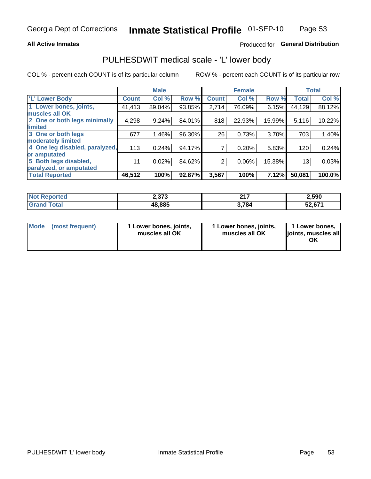#### **All Active Inmates**

### Produced for General Distribution

# PULHESDWIT medical scale - 'L' lower body

COL % - percent each COUNT is of its particular column

|                                |              | <b>Male</b> |        |              | <b>Female</b> |        |              | <b>Total</b> |
|--------------------------------|--------------|-------------|--------|--------------|---------------|--------|--------------|--------------|
| 'L' Lower Body                 | <b>Count</b> | Col %       | Row %  | <b>Count</b> | Col %         | Row %  | <b>Total</b> | Col %        |
| 1 Lower bones, joints,         | 41,413       | 89.04%      | 93.85% | 2,714        | 76.09%        | 6.15%  | 44,129       | 88.12%       |
| muscles all OK                 |              |             |        |              |               |        |              |              |
| 2 One or both legs minimally   | 4,298        | 9.24%       | 84.01% | 818          | 22.93%        | 15.99% | 5,116        | 10.22%       |
| limited                        |              |             |        |              |               |        |              |              |
| 3 One or both legs             | 677          | 1.46%       | 96.30% | 26           | 0.73%         | 3.70%  | 703          | 1.40%        |
| moderately limited             |              |             |        |              |               |        |              |              |
| 4 One leg disabled, paralyzed, | 113          | 0.24%       | 94.17% |              | 0.20%         | 5.83%  | 120          | 0.24%        |
| or amputated                   |              |             |        |              |               |        |              |              |
| 5 Both legs disabled,          | 11           | 0.02%       | 84.62% | 2            | 0.06%         | 15.38% | 13           | 0.03%        |
| paralyzed, or amputated        |              |             |        |              |               |        |              |              |
| <b>Total Reported</b>          | 46,512       | 100%        | 92.87% | 3,567        | 100%          | 7.12%  | 50,081       | 100.0%       |

| <b>Not Reported</b>   | 0.272<br>ں ان ک | <b>047</b><br>- 11 | 2,590  |
|-----------------------|-----------------|--------------------|--------|
| <b>Total</b><br>Grand | 48,885          | 3,784              | 52,671 |

|  | Mode (most frequent) | 1 Lower bones, joints,<br>muscles all OK | 1 Lower bones, joints,<br>muscles all OK | 1 Lower bones,<br>joints, muscles all<br>ΟK |
|--|----------------------|------------------------------------------|------------------------------------------|---------------------------------------------|
|--|----------------------|------------------------------------------|------------------------------------------|---------------------------------------------|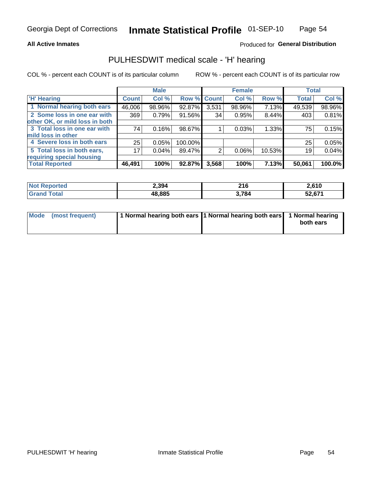#### **All Active Inmates**

### Produced for General Distribution

## PULHESDWIT medical scale - 'H' hearing

COL % - percent each COUNT is of its particular column

|                                |              | <b>Male</b> |             |       | <b>Female</b> |        | <b>Total</b> |        |
|--------------------------------|--------------|-------------|-------------|-------|---------------|--------|--------------|--------|
| <b>'H' Hearing</b>             | <b>Count</b> | Col %       | Row % Count |       | Col %         | Row %  | <b>Total</b> | Col %  |
| 1 Normal hearing both ears     | 46,006       | 98.96%      | 92.87%      | 3,531 | 98.96%        | 7.13%  | 49,539       | 98.96% |
| 2 Some loss in one ear with    | 369          | 0.79%       | 91.56%      | 34    | 0.95%         | 8.44%  | 403          | 0.81%  |
| other OK, or mild loss in both |              |             |             |       |               |        |              |        |
| 3 Total loss in one ear with   | 74           | 0.16%       | 98.67%      |       | 0.03%         | 1.33%  | 75           | 0.15%  |
| mild loss in other             |              |             |             |       |               |        |              |        |
| 4 Severe loss in both ears     | 25           | 0.05%       | 100.00%     |       |               |        | 25           | 0.05%  |
| 5 Total loss in both ears,     | 17           | 0.04%       | 89.47%      | 2     | $0.06\%$      | 10.53% | 19           | 0.04%  |
| requiring special housing      |              |             |             |       |               |        |              |        |
| <b>Total Reported</b>          | 46,491       | 100%        | 92.87%      | 3,568 | 100%          | 7.13%  | 50,061       | 100.0% |

| morted and   | 2,394  | 216<br>$\sim$ | 2,610  |
|--------------|--------|---------------|--------|
| <b>Total</b> | 48.885 | .784          | 52,671 |

| Mode (most frequent) | 1 Normal hearing both ears 11 Normal hearing both ears 1 Normal hearing | both ears |
|----------------------|-------------------------------------------------------------------------|-----------|
|                      |                                                                         |           |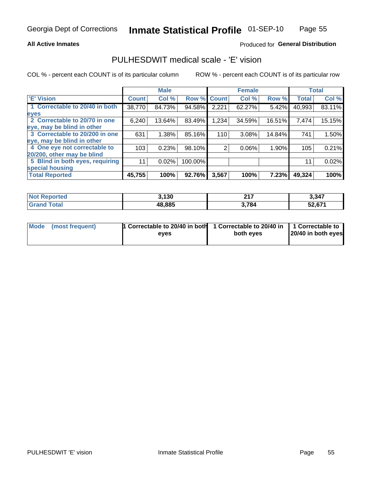#### **All Active Inmates**

### Produced for General Distribution

## PULHESDWIT medical scale - 'E' vision

COL % - percent each COUNT is of its particular column

|                                 |              | <b>Male</b> |         |              | <b>Female</b> |        |              | <b>Total</b> |
|---------------------------------|--------------|-------------|---------|--------------|---------------|--------|--------------|--------------|
| <b>E' Vision</b>                | <b>Count</b> | Col %       | Row %   | <b>Count</b> | Col %         | Row %  | <b>Total</b> | Col %        |
| 1 Correctable to 20/40 in both  | 38,770       | 84.73%      | 94.58%  | 2,221        | 62.27%        | 5.42%  | 40,993       | 83.11%       |
| eyes                            |              |             |         |              |               |        |              |              |
| 2 Correctable to 20/70 in one   | 6,240        | 13.64%      | 83.49%  | 1,234        | 34.59%        | 16.51% | 7,474        | 15.15%       |
| eye, may be blind in other      |              |             |         |              |               |        |              |              |
| 3 Correctable to 20/200 in one  | 631          | 1.38%       | 85.16%  | 110          | 3.08%         | 14.84% | 741          | 1.50%        |
| eye, may be blind in other      |              |             |         |              |               |        |              |              |
| 4 One eye not correctable to    | 103          | 0.23%       | 98.10%  | 2            | 0.06%         | 1.90%  | 105          | 0.21%        |
| 20/200, other may be blind      |              |             |         |              |               |        |              |              |
| 5 Blind in both eyes, requiring | 11           | 0.02%       | 100.00% |              |               |        | 11           | 0.02%        |
| special housing                 |              |             |         |              |               |        |              |              |
| <b>Total Reported</b>           | 45,755       | 100%        | 92.76%  | 3,567        | 100%          | 7.23%  | 49,324       | 100%         |

| <b>Not Reported</b> | 3,130  | 247<br>4 I I | 3,347  |
|---------------------|--------|--------------|--------|
| <b>Total</b>        | 48,885 | 3,784        | 52,671 |

| Mode (most frequent) | 1 Correctable to 20/40 in both<br>eves | 1 Correctable to 20/40 in   1 Correctable to  <br>both eves | 20/40 in both eyes |
|----------------------|----------------------------------------|-------------------------------------------------------------|--------------------|
|                      |                                        |                                                             |                    |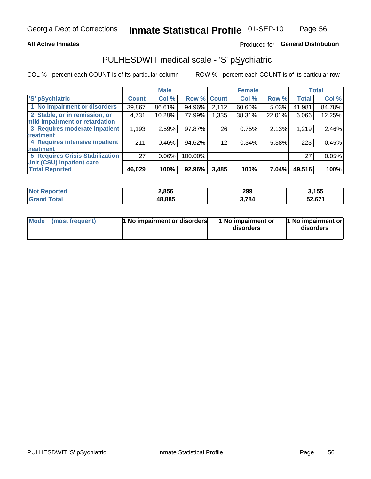#### **All Active Inmates**

### Produced for General Distribution

# PULHESDWIT medical scale - 'S' pSychiatric

COL % - percent each COUNT is of its particular column

|                                        |              | <b>Male</b> |         |             | <b>Female</b> |          |              | <b>Total</b> |
|----------------------------------------|--------------|-------------|---------|-------------|---------------|----------|--------------|--------------|
| 'S' pSychiatric                        | <b>Count</b> | Col %       |         | Row % Count | Col %         | Row %    | <b>Total</b> | Col %        |
| 1 No impairment or disorders           | 39,867       | 86.61%      | 94.96%  | 2,112       | 60.60%        | $5.03\%$ | 41,981       | 84.78%       |
| 2 Stable, or in remission, or          | 4,731        | 10.28%      | 77.99%  | 1,335       | 38.31%        | 22.01%   | 6,066        | 12.25%       |
| mild impairment or retardation         |              |             |         |             |               |          |              |              |
| 3 Requires moderate inpatient          | 1,193        | 2.59%       | 97.87%  | 26          | 0.75%         | 2.13%    | 1,219        | 2.46%        |
| treatment                              |              |             |         |             |               |          |              |              |
| 4 Requires intensive inpatient         | 211          | 0.46%       | 94.62%  | 12          | 0.34%         | 5.38%    | 223          | 0.45%        |
| treatment                              |              |             |         |             |               |          |              |              |
| <b>5 Requires Crisis Stabilization</b> | 27           | $0.06\%$    | 100.00% |             |               |          | 27           | 0.05%        |
| Unit (CSU) inpatient care              |              |             |         |             |               |          |              |              |
| <b>Total Reported</b>                  | 46,029       | 100%        | 92.96%  | 3,485       | 100%          | 7.04%    | 49,516       | 100%         |

| <b>Not Reported</b> | 2,856  | 299   | 3,155                   |
|---------------------|--------|-------|-------------------------|
| $\tau$ otal         | 48,885 | 3,784 | EN 074<br><b>52,671</b> |

| Mode            | <b>1 No impairment or disorders</b> | 1 No impairment or | 1 No impairment or |
|-----------------|-------------------------------------|--------------------|--------------------|
| (most frequent) |                                     | disorders          | disorders          |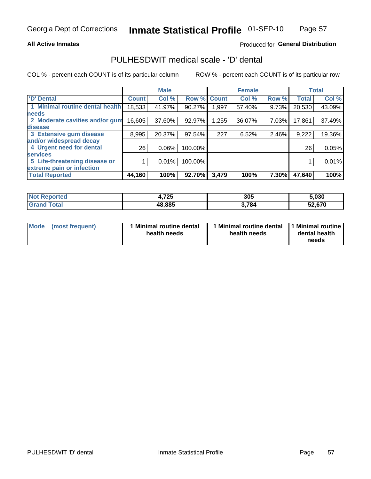#### **All Active Inmates**

### Produced for General Distribution

# PULHESDWIT medical scale - 'D' dental

COL % - percent each COUNT is of its particular column

|                                 |                 | <b>Male</b> |         |              | <b>Female</b> |       |              | <b>Total</b> |
|---------------------------------|-----------------|-------------|---------|--------------|---------------|-------|--------------|--------------|
| 'D' Dental                      | <b>Count</b>    | Col %       | Row %   | <b>Count</b> | Col %         | Row % | <b>Total</b> | Col %        |
| 1 Minimal routine dental health | 18,533          | 41.97%      | 90.27%  | .997         | 57.40%        | 9.73% | 20,530       | 43.09%       |
| <b>needs</b>                    |                 |             |         |              |               |       |              |              |
| 2 Moderate cavities and/or gum  | 16,605          | 37.60%      | 92.97%  | 1,255        | 36.07%        | 7.03% | 17,861       | 37.49%       |
| disease                         |                 |             |         |              |               |       |              |              |
| 3 Extensive gum disease         | 8,995           | 20.37%      | 97.54%  | 227          | 6.52%         | 2.46% | 9,222        | 19.36%       |
| and/or widespread decay         |                 |             |         |              |               |       |              |              |
| 4 Urgent need for dental        | 26 <sub>1</sub> | 0.06%       | 100.00% |              |               |       | 26           | 0.05%        |
| <b>services</b>                 |                 |             |         |              |               |       |              |              |
| 5 Life-threatening disease or   |                 | 0.01%       | 100.00% |              |               |       |              | 0.01%        |
| extreme pain or infection       |                 |             |         |              |               |       |              |              |
| <b>Total Reported</b>           | 44,160          | 100%        | 92.70%  | 3,479        | 100%          | 7.30% | 47,640       | 100%         |

| <b>Not Reported</b> | 4,725  | 305   | 5,030  |
|---------------------|--------|-------|--------|
| <b>Total</b>        | 48,885 | 3,784 | 52.670 |

| 1 Minimal routine dental<br>Mode<br>(most frequent)<br>health needs | 1 Minimal routine dental 1 Minimal routine<br>health needs | dental health<br>needs |
|---------------------------------------------------------------------|------------------------------------------------------------|------------------------|
|---------------------------------------------------------------------|------------------------------------------------------------|------------------------|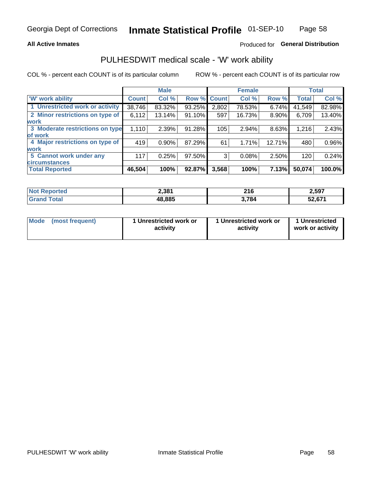#### **All Active Inmates**

### Produced for General Distribution

# PULHESDWIT medical scale - 'W' work ability

COL % - percent each COUNT is of its particular column

|                                 |              | <b>Male</b> |        |             | <b>Female</b> |        |              | <b>Total</b> |
|---------------------------------|--------------|-------------|--------|-------------|---------------|--------|--------------|--------------|
| 'W' work ability                | <b>Count</b> | Col %       |        | Row % Count | Col %         | Row %  | <b>Total</b> | Col %        |
| 1 Unrestricted work or activity | 38,746       | 83.32%      | 93.25% | 2,802       | 78.53%        | 6.74%  | 41,549       | 82.98%       |
| 2 Minor restrictions on type of | 6,112        | 13.14%      | 91.10% | 597         | 16.73%        | 8.90%  | 6,709        | 13.40%       |
| <b>work</b>                     |              |             |        |             |               |        |              |              |
| 3 Moderate restrictions on type | 1,110        | 2.39%       | 91.28% | 105         | 2.94%         | 8.63%  | 1,216        | 2.43%        |
| of work                         |              |             |        |             |               |        |              |              |
| 4 Major restrictions on type of | 419          | $0.90\%$    | 87.29% | 61          | 1.71%         | 12.71% | 480          | 0.96%        |
| <b>work</b>                     |              |             |        |             |               |        |              |              |
| 5 Cannot work under any         | 117          | 0.25%       | 97.50% | 3           | 0.08%         | 2.50%  | 120          | 0.24%        |
| <b>circumstances</b>            |              |             |        |             |               |        |              |              |
| <b>Total Reported</b>           | 46,504       | 100%        | 92.87% | 3,568       | 100%          | 7.13%  | 50,074       | 100.0%       |

| <b>Emorted</b><br>N. | 2,381  | <b>01C</b><br>ZIV | 2,597           |
|----------------------|--------|-------------------|-----------------|
| <b>Total</b>         | 48,885 | <b>े784</b>       | EN C74<br>52.67 |

| Mode            | 1 Unrestricted work or | 1 Unrestricted work or | 1 Unrestricted   |
|-----------------|------------------------|------------------------|------------------|
| (most frequent) | activity               | activity               | work or activity |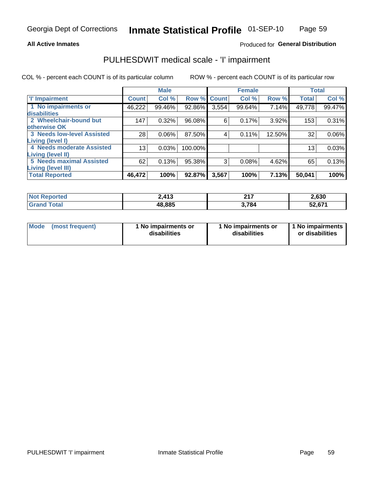#### **All Active Inmates**

### Produced for General Distribution

# PULHESDWIT medical scale - 'I' impairment

COL % - percent each COUNT is of its particular column

|                                   |                    | <b>Male</b> |         |              | <b>Female</b> |        |              | <b>Total</b> |
|-----------------------------------|--------------------|-------------|---------|--------------|---------------|--------|--------------|--------------|
| <b>T' Impairment</b>              | Count <sup>1</sup> | Col %       | Row %   | <b>Count</b> | Col %         | Row %  | <b>Total</b> | Col %        |
| 1 No impairments or               | 46,222             | 99.46%      | 92.86%  | 3,554        | 99.64%        | 7.14%  | 49,778       | 99.47%       |
| disabilities                      |                    |             |         |              |               |        |              |              |
| 2 Wheelchair-bound but            | 147                | 0.32%       | 96.08%  | 6            | 0.17%         | 3.92%  | 153          | 0.31%        |
| otherwise OK                      |                    |             |         |              |               |        |              |              |
| <b>3 Needs low-level Assisted</b> | 28                 | 0.06%       | 87.50%  | 4            | 0.11%         | 12.50% | 32           | $0.06\%$     |
| Living (level I)                  |                    |             |         |              |               |        |              |              |
| 4 Needs moderate Assisted         | 13                 | 0.03%       | 100.00% |              |               |        | 13           | 0.03%        |
| <b>Living (level II)</b>          |                    |             |         |              |               |        |              |              |
| <b>5 Needs maximal Assisted</b>   | 62                 | 0.13%       | 95.38%  | 3            | 0.08%         | 4.62%  | 65           | 0.13%        |
| Living (level III)                |                    |             |         |              |               |        |              |              |
| <b>Total Reported</b>             | 46,472             | 100%        | 92.87%  | 3,567        | 100%          | 7.13%  | 50,041       | 100%         |

| <b>rted</b><br>NO1 | 2,413  | $\sim$<br>. | 2,630   |
|--------------------|--------|-------------|---------|
| int                | 48,885 | ,784        | 52.67'' |

| <b>Mode</b>     | l No impairments or | 1 No impairments or | 1 No impairments |
|-----------------|---------------------|---------------------|------------------|
| (most frequent) | disabilities        | disabilities        | or disabilities  |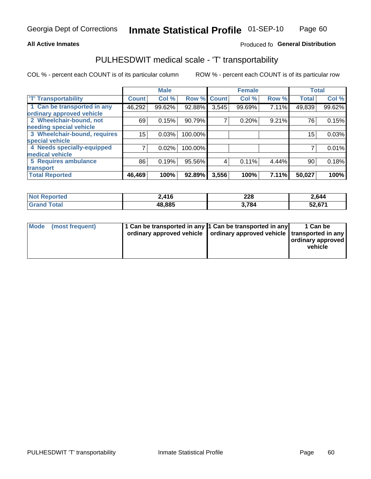#### **All Active Inmates**

### Produced fo General Distribution

# PULHESDWIT medical scale - 'T' transportability

COL % - percent each COUNT is of its particular column

|                              |              | <b>Male</b> |         |              | <b>Female</b> |       |              | <b>Total</b> |
|------------------------------|--------------|-------------|---------|--------------|---------------|-------|--------------|--------------|
| <b>T' Transportability</b>   | <b>Count</b> | Col %       | Row %   | <b>Count</b> | Col %         | Row % | <b>Total</b> | Col %        |
| 1 Can be transported in any  | 46,292       | 99.62%      | 92.88%  | 3,545        | 99.69%        | 7.11% | 49,839       | 99.62%       |
| ordinary approved vehicle    |              |             |         |              |               |       |              |              |
| 2 Wheelchair-bound, not      | 69           | 0.15%       | 90.79%  | 7            | 0.20%         | 9.21% | 76           | 0.15%        |
| needing special vehicle      |              |             |         |              |               |       |              |              |
| 3 Wheelchair-bound, requires | 15           | 0.03%       | 100.00% |              |               |       | 15           | 0.03%        |
| special vehicle              |              |             |         |              |               |       |              |              |
| 4 Needs specially-equipped   |              | 0.02%       | 100.00% |              |               |       |              | 0.01%        |
| medical vehicle              |              |             |         |              |               |       |              |              |
| <b>5 Requires ambulance</b>  | 86           | 0.19%       | 95.56%  | 4            | 0.11%         | 4.44% | 90           | 0.18%        |
| transport                    |              |             |         |              |               |       |              |              |
| <b>Total Reported</b>        | 46,469       | 100%        | 92.89%  | 3,556        | 100%          | 7.11% | 50,027       | 100%         |

| <b>Not</b><br>Reported | 2,416  | 228<br>____ | 2,644 |
|------------------------|--------|-------------|-------|
| <b>otal</b>            | 48,885 | .784        | E2E74 |

|  | Mode (most frequent) | 1 Can be transported in any 1 Can be transported in any<br>ordinary approved vehicle   ordinary approved vehicle   transported in any |  | 1 Can be<br>  ordinary approved  <br>vehicle |
|--|----------------------|---------------------------------------------------------------------------------------------------------------------------------------|--|----------------------------------------------|
|--|----------------------|---------------------------------------------------------------------------------------------------------------------------------------|--|----------------------------------------------|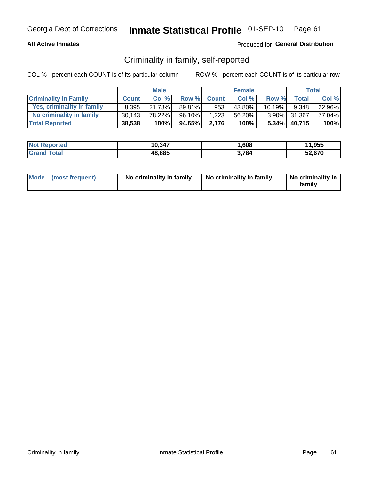#### **All Active Inmates**

### Produced for General Distribution

## Criminality in family, self-reported

COL % - percent each COUNT is of its particular column

|                              |              | <b>Male</b> |        |              | <b>Female</b> |           |              | <b>Total</b> |
|------------------------------|--------------|-------------|--------|--------------|---------------|-----------|--------------|--------------|
| <b>Criminality In Family</b> | <b>Count</b> | Col%        | Row %  | <b>Count</b> | Col %         | Row %     | Total        | Col %        |
| Yes, criminality in family   | 8.395        | 21.78%      | 89.81% | 953          | 43.80%        | $10.19\%$ | 9.348        | 22.96%       |
| No criminality in family     | 30.143       | 78.22%      | 96.10% | 1,223        | 56.20%        |           | 3.90% 31,367 | 77.04%       |
| <b>Total Reported</b>        | 38,538       | 100%        | 94.65% | 2.176        | 100%          | $5.34\%$  | 40,715       | $100\%$      |

| <b>Not</b><br>Reported | 10,347 | .608 | 1,955  |
|------------------------|--------|------|--------|
| <b>Total</b>           | 48,885 | ,784 | 52.670 |

|  | Mode (most frequent) | No criminality in family | No criminality in family | No criminality in<br>family |
|--|----------------------|--------------------------|--------------------------|-----------------------------|
|--|----------------------|--------------------------|--------------------------|-----------------------------|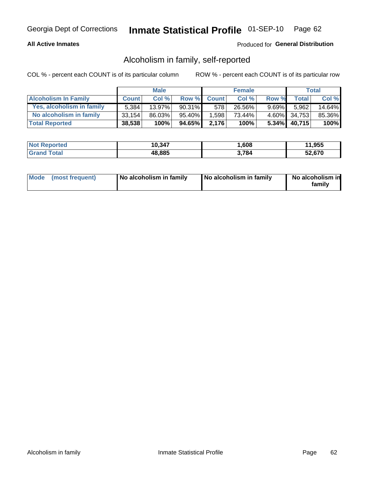#### **All Active Inmates**

### Produced for General Distribution

## Alcoholism in family, self-reported

COL % - percent each COUNT is of its particular column

|                             |              | <b>Male</b> |        |              | <b>Female</b> |          |              | Total   |
|-----------------------------|--------------|-------------|--------|--------------|---------------|----------|--------------|---------|
| <b>Alcoholism In Family</b> | <b>Count</b> | Col%        | Row %  | <b>Count</b> | Col %         | Row %    | <b>Total</b> | Col %   |
| Yes, alcoholism in family   | 5.384        | $13.97\%$   | 90.31% | 578          | 26.56%        | $9.69\%$ | 5,962        | 14.64%  |
| No alcoholism in family     | 33,154       | 86.03%      | 95.40% | 1,598        | 73.44%        |          | 4.60% 34,753 | 85.36%  |
| <b>Total Reported</b>       | 38,538       | 100%        | 94.65% | 2.176        | 100%          |          | 5.34% 40,715 | $100\%$ |

| <b>Not Reported</b>     | 10,347 | 608. | 1,955  |
|-------------------------|--------|------|--------|
| <b>Fotal</b><br>l Grand | 48,885 | 784، | 52,670 |

|  | Mode (most frequent) | No alcoholism in family | No alcoholism in family | No alcoholism in<br>family |
|--|----------------------|-------------------------|-------------------------|----------------------------|
|--|----------------------|-------------------------|-------------------------|----------------------------|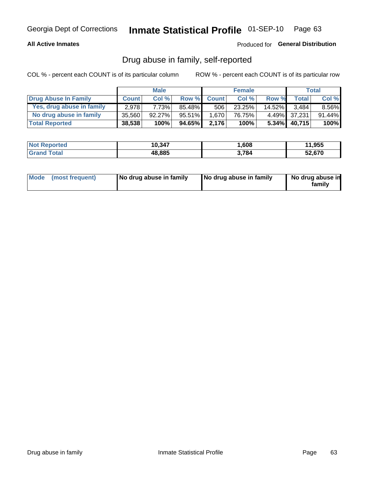#### **All Active Inmates**

### Produced for General Distribution

## Drug abuse in family, self-reported

COL % - percent each COUNT is of its particular column

|                           |              | <b>Male</b> |        |              | <b>Female</b> |           |              | Total    |
|---------------------------|--------------|-------------|--------|--------------|---------------|-----------|--------------|----------|
| Drug Abuse In Family      | <b>Count</b> | Col%        | Row %  | <b>Count</b> | Col %         | Row %     | <b>Total</b> | Col %    |
| Yes, drug abuse in family | 2,978        | 7.73%       | 85.48% | 506          | 23.25%        | $14.52\%$ | 3.484        | $8.56\%$ |
| No drug abuse in family   | 35.560       | $92.27\%$   | 95.51% | 1.670        | 76.75%        |           | 4.49% 37,231 | 91.44%   |
| <b>Total Reported</b>     | 38,538       | 100%        | 94.65% | 2.176        | 100%          |           | 5.34% 40,715 | $100\%$  |

| <b>Not Reported</b>     | 10,347 | 608. | 1,955  |
|-------------------------|--------|------|--------|
| <b>Fotal</b><br>l Grand | 48,885 | 784، | 52,670 |

|  | Mode (most frequent) | No drug abuse in family | No drug abuse in family | No drug abuse in<br>family |
|--|----------------------|-------------------------|-------------------------|----------------------------|
|--|----------------------|-------------------------|-------------------------|----------------------------|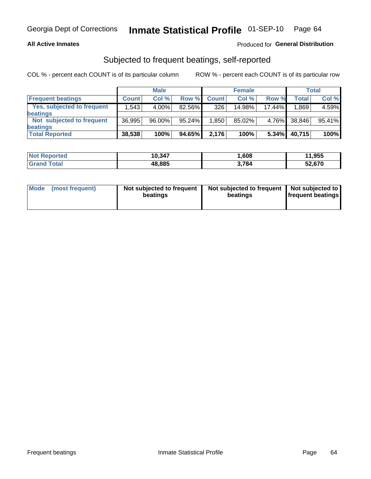### **All Active Inmates**

### Produced for General Distribution

## Subjected to frequent beatings, self-reported

COL % - percent each COUNT is of its particular column

|                            |              | <b>Male</b> |        |              | <b>Female</b> |          |        | Total  |
|----------------------------|--------------|-------------|--------|--------------|---------------|----------|--------|--------|
| <b>Frequent beatings</b>   | <b>Count</b> | Col %       | Row %  | <b>Count</b> | Col %         | Row %    | Total  | Col%   |
| Yes, subjected to frequent | 1,543        | 4.00%       | 82.56% | 326          | $14.98\%$     | 17.44%   | .869   | 4.59%  |
| beatings                   |              |             |        |              |               |          |        |        |
| Not subjected to frequent  | 36,995       | 96.00%      | 95.24% | $1,850 +$    | 85.02%        | 4.76%    | 38,846 | 95.41% |
| beatings                   |              |             |        |              |               |          |        |        |
| <b>Total Reported</b>      | 38,538       | 100%        | 94.65% | 2,176        | 100%          | $5.34\%$ | 40,715 | 100%   |

| <b>Not</b><br>Reported | 10,347 | 608, ا | 11,955 |
|------------------------|--------|--------|--------|
| Total                  | 48,885 | 3,784  | 52,670 |

| Mode (most frequent) | Not subjected to frequent<br>beatings | Not subjected to frequent<br>beatings | Not subjected to<br><b>frequent beatings</b> |
|----------------------|---------------------------------------|---------------------------------------|----------------------------------------------|
|                      |                                       |                                       |                                              |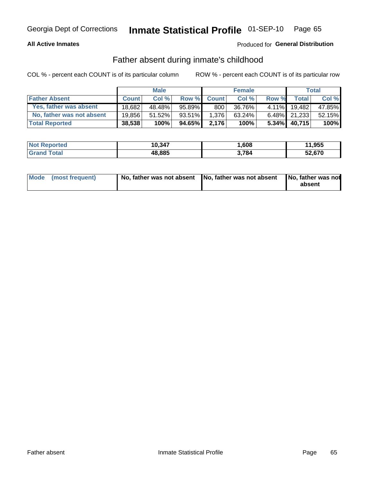### **All Active Inmates**

### **Produced for General Distribution**

## Father absent during inmate's childhood

COL % - percent each COUNT is of its particular column

|                           |              | <b>Male</b> |        |              | <b>Female</b> |          |              | Total  |
|---------------------------|--------------|-------------|--------|--------------|---------------|----------|--------------|--------|
| <b>Father Absent</b>      | <b>Count</b> | Col %       | Row %  | <b>Count</b> | Col %         | Row %    | <b>Total</b> | Col %  |
| Yes, father was absent    | 18.682       | 48.48%      | 95.89% | 800          | 36.76%        | $4.11\%$ | 19,482       | 47.85% |
| No, father was not absent | 19.856       | 51.52%      | 93.51% | 1.376        | 63.24%        |          | 6.48% 21,233 | 52.15% |
| <b>Total Reported</b>     | 38,538       | 100%        | 94.65% | 2.176        | 100%          | $5.34\%$ | 40,715       | 100%   |

| <b>Not Reported</b> | 10,347 | .608  | 11,955 |
|---------------------|--------|-------|--------|
| <b>Grand Total</b>  | 48,885 | 3,784 | 52,670 |

|  | Mode (most frequent) | No, father was not absent No, father was not absent |  | No, father was not<br>absent |
|--|----------------------|-----------------------------------------------------|--|------------------------------|
|--|----------------------|-----------------------------------------------------|--|------------------------------|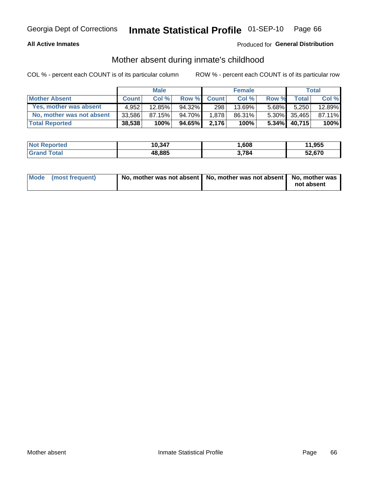#### **All Active Inmates**

### Produced for General Distribution

## Mother absent during inmate's childhood

COL % - percent each COUNT is of its particular column

|                           |              | <b>Male</b> |        |              | <b>Female</b> |          |              | Total  |
|---------------------------|--------------|-------------|--------|--------------|---------------|----------|--------------|--------|
| <b>Mother Absent</b>      | <b>Count</b> | Col%        | Row %  | <b>Count</b> | Col %         | Row %    | <b>Total</b> | Col %  |
| Yes, mother was absent    | 4.952'       | 12.85%      | 94.32% | 298          | 13.69%        | $5.68\%$ | 5,250        | 12.89% |
| No, mother was not absent | 33.586       | 87.15%      | 94.70% | 1,878        | 86.31%        |          | 5.30% 35,465 | 87.11% |
| <b>Total Reported</b>     | 38,538       | 100%        | 94.65% | 2.176        | 100%          | $5.34\%$ | 40,715       | 100%   |

| <b>Not</b><br>Reported | 10,347 | .608 | 1,955  |
|------------------------|--------|------|--------|
| ota <sup>-</sup>       | 48,885 | .784 | 52,670 |

| Mode (most frequent) | No, mother was not absent   No, mother was not absent   No, mother was | not absent |
|----------------------|------------------------------------------------------------------------|------------|
|                      |                                                                        |            |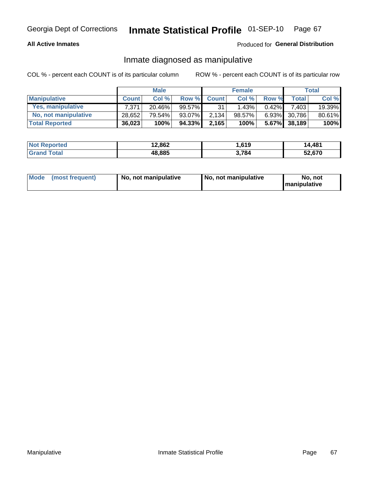### **All Active Inmates**

### Produced for General Distribution

## Inmate diagnosed as manipulative

COL % - percent each COUNT is of its particular column

|                       |              | <b>Male</b> |        |              | <b>Female</b> |          |                 | Total  |
|-----------------------|--------------|-------------|--------|--------------|---------------|----------|-----------------|--------|
| <b>Manipulative</b>   | <b>Count</b> | Col %       | Row %  | <b>Count</b> | Col%          | Row %    | <b>Total</b>    | Col %  |
| Yes, manipulative     | 7.371        | $20.46\%$   | 99.57% | 31           | 1.43%         | $0.42\%$ | 7.403           | 19.39% |
| No, not manipulative  | 28,652       | 79.54%      | 93.07% | 2,134        | 98.57%        | $6.93\%$ | 30,786          | 80.61% |
| <b>Total Reported</b> | 36,023       | 100%        | 94.33% | 2,165        | 100%          |          | $5.67\%$ 38,189 | 100%   |

| <b>Not Reported</b>          | 12,862 | ,619  | 14,481 |
|------------------------------|--------|-------|--------|
| <b>Total</b><br><b>Grand</b> | 48,885 | 3,784 | 52.670 |

|  | Mode (most frequent) | No, not manipulative | No, not manipulative | No. not<br><b>I</b> manipulative |
|--|----------------------|----------------------|----------------------|----------------------------------|
|--|----------------------|----------------------|----------------------|----------------------------------|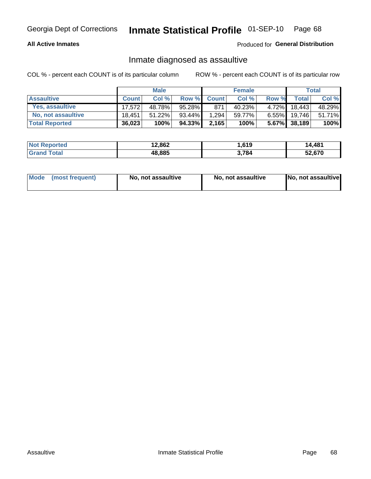#### **All Active Inmates**

Produced for General Distribution

## Inmate diagnosed as assaultive

COL % - percent each COUNT is of its particular column

|                           |              | <b>Male</b> |        |              | <b>Female</b> |          |              | Total  |
|---------------------------|--------------|-------------|--------|--------------|---------------|----------|--------------|--------|
| <b>Assaultive</b>         | <b>Count</b> | Col%        | Row %  | <b>Count</b> | Col %         | Row %    | <b>Total</b> | Col %  |
| Yes, assaultive           | 17.572       | 48.78%      | 95.28% | 871          | 40.23%        | 4.72%    | 18,443       | 48.29% |
| <b>No, not assaultive</b> | 18.451       | $51.22\%$   | 93.44% | 1,294        | 59.77%        | $6.55\%$ | 19,746       | 51.71% |
| <b>Total Reported</b>     | 36,023       | 100%        | 94.33% | 2,165        | 100%          |          | 5.67% 38,189 | 100%   |

| <b>Not Reported</b> | 12,862 | 1,619 | 14,481 |
|---------------------|--------|-------|--------|
| <b>Grand Total</b>  | 48,885 | 3,784 | 52,670 |

|  | Mode (most frequent) | No, not assaultive | No, not assaultive | No, not assaultive |
|--|----------------------|--------------------|--------------------|--------------------|
|--|----------------------|--------------------|--------------------|--------------------|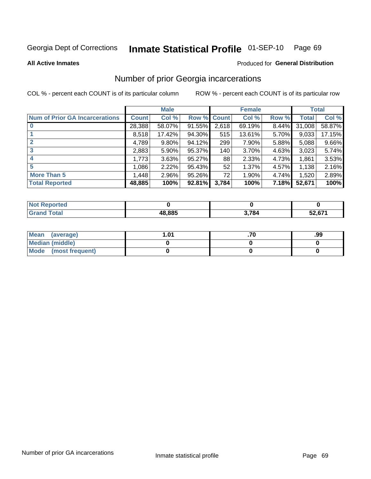#### Inmate Statistical Profile 01-SEP-10 Page 69

**All Active Inmates** 

#### **Produced for General Distribution**

## Number of prior Georgia incarcerations

COL % - percent each COUNT is of its particular column

|                                       |              | <b>Male</b> |                    |       | <b>Female</b> |       |        | <b>Total</b> |
|---------------------------------------|--------------|-------------|--------------------|-------|---------------|-------|--------|--------------|
| <b>Num of Prior GA Incarcerations</b> | <b>Count</b> | Col %       | <b>Row % Count</b> |       | Col %         | Row % | Total  | Col %        |
| $\bf{0}$                              | 28,388       | 58.07%      | 91.55%             | 2,618 | 69.19%        | 8.44% | 31,008 | 58.87%       |
|                                       | 8,518        | 17.42%      | 94.30%             | 515   | 13.61%        | 5.70% | 9,033  | 17.15%       |
| $\mathbf{2}$                          | 4,789        | 9.80%       | 94.12%             | 299   | 7.90%         | 5.88% | 5,088  | 9.66%        |
| 3                                     | 2,883        | 5.90%       | 95.37%             | 140   | 3.70%         | 4.63% | 3,023  | 5.74%        |
| 4                                     | 1,773        | 3.63%       | 95.27%             | 88    | 2.33%         | 4.73% | 1,861  | 3.53%        |
| 5                                     | 1,086        | 2.22%       | 95.43%             | 52    | 1.37%         | 4.57% | 1,138  | 2.16%        |
| <b>More Than 5</b>                    | 1,448        | 2.96%       | 95.26%             | 72    | 1.90%         | 4.74% | 1,520  | 2.89%        |
| <b>Total Reported</b>                 | 48,885       | 100%        | 92.81%             | 3,784 | 100%          | 7.18% | 52,671 | 100%         |

| <b>Not Reported</b> |        |       |        |
|---------------------|--------|-------|--------|
| <b>Total</b>        | 48,885 | 3,784 | 52,671 |

| Mean (average)       | l.01 | .99 |
|----------------------|------|-----|
| Median (middle)      |      |     |
| Mode (most frequent) |      |     |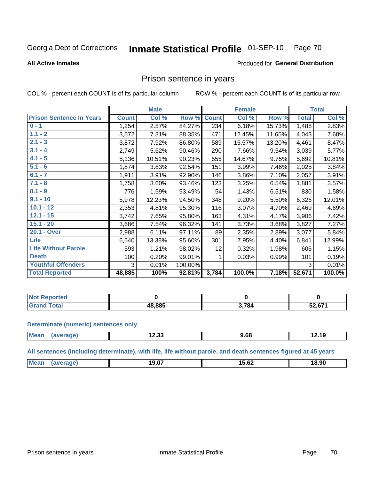#### Inmate Statistical Profile 01-SEP-10 Page 70

#### **All Active Inmates**

#### Produced for General Distribution

### Prison sentence in years

COL % - percent each COUNT is of its particular column

ROW % - percent each COUNT is of its particular row

|                                 |              | <b>Male</b> |         |              | <b>Female</b> |        |              | <b>Total</b> |
|---------------------------------|--------------|-------------|---------|--------------|---------------|--------|--------------|--------------|
| <b>Prison Sentence In Years</b> | <b>Count</b> | Col %       | Row %   | <b>Count</b> | Col %         | Row %  | <b>Total</b> | Col %        |
| $0 - 1$                         | 1,254        | 2.57%       | 84.27%  | 234          | 6.18%         | 15.73% | 1,488        | 2.83%        |
| $1.1 - 2$                       | 3,572        | 7.31%       | 88.35%  | 471          | 12.45%        | 11.65% | 4,043        | 7.68%        |
| $2.1 - 3$                       | 3,872        | 7.92%       | 86.80%  | 589          | 15.57%        | 13.20% | 4,461        | 8.47%        |
| $3.1 - 4$                       | 2,749        | 5.62%       | 90.46%  | 290          | 7.66%         | 9.54%  | 3,039        | 5.77%        |
| $4.1 - 5$                       | 5,136        | 10.51%      | 90.23%  | 555          | 14.67%        | 9.75%  | 5,692        | 10.81%       |
| $5.1 - 6$                       | 1,874        | 3.83%       | 92.54%  | 151          | 3.99%         | 7.46%  | 2,025        | 3.84%        |
| $6.1 - 7$                       | 1,911        | 3.91%       | 92.90%  | 146          | 3.86%         | 7.10%  | 2,057        | 3.91%        |
| $7.1 - 8$                       | 1,758        | 3.60%       | 93.46%  | 123          | 3.25%         | 6.54%  | 1,881        | 3.57%        |
| $8.1 - 9$                       | 776          | 1.59%       | 93.49%  | 54           | 1.43%         | 6.51%  | 830          | 1.58%        |
| $9.1 - 10$                      | 5,978        | 12.23%      | 94.50%  | 348          | 9.20%         | 5.50%  | 6,326        | 12.01%       |
| $10.1 - 12$                     | 2,353        | 4.81%       | 95.30%  | 116          | 3.07%         | 4.70%  | 2,469        | 4.69%        |
| $12.1 - 15$                     | 3,742        | 7.65%       | 95.80%  | 163          | 4.31%         | 4.17%  | 3,906        | 7.42%        |
| $15.1 - 20$                     | 3,686        | 7.54%       | 96.32%  | 141          | 3.73%         | 3.68%  | 3,827        | 7.27%        |
| 20.1 - Over                     | 2,988        | 6.11%       | 97.11%  | 89           | 2.35%         | 2.89%  | 3,077        | 5.84%        |
| <b>Life</b>                     | 6,540        | 13.38%      | 95.60%  | 301          | 7.95%         | 4.40%  | 6,841        | 12.99%       |
| <b>Life Without Parole</b>      | 593          | 1.21%       | 98.02%  | 12           | 0.32%         | 1.98%  | 605          | 1.15%        |
| <b>Death</b>                    | 100          | 0.20%       | 99.01%  |              | 0.03%         | 0.99%  | 101          | 0.19%        |
| <b>Youthful Offenders</b>       | 3            | 0.01%       | 100.00% |              |               |        | 3            | 0.01%        |
| <b>Total Reported</b>           | 48,885       | 100%        | 92.81%  | 3,784        | 100.0%        | 7.18%  | 52,671       | 100.0%       |

| Reported<br>I NOT F      |        |       |        |
|--------------------------|--------|-------|--------|
| A <sub>1</sub><br>. Caro | 18.885 | 8.784 | :2.674 |

#### **Determinate (numeric) sentences only**

| <b>Mea</b><br>1119.0111 | $\sim$ 00<br>دد.ء،<br>___ | ~ | 14. I J |
|-------------------------|---------------------------|---|---------|
|                         |                           |   |         |

All sentences (including determinate), with life, life without parole, and death sentences figured at 45 years

| Mean | .<br>19.V | $\overline{a}$ $\overline{a}$<br>גס.טו | 18.90 |
|------|-----------|----------------------------------------|-------|
|      |           |                                        |       |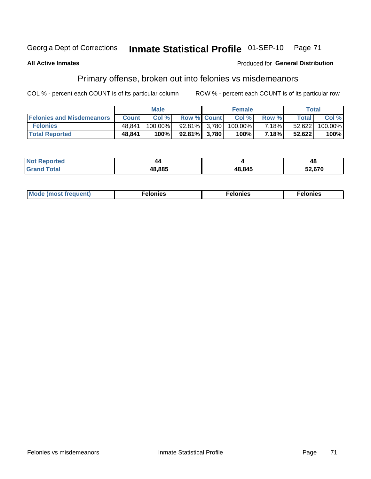#### Inmate Statistical Profile 01-SEP-10 Georgia Dept of Corrections Page 71

#### **All Active Inmates**

#### Produced for General Distribution

# Primary offense, broken out into felonies vs misdemeanors

COL % - percent each COUNT is of its particular column

|                                  |              | <b>Male</b> |                    | <b>Female</b> |          | Total        |         |
|----------------------------------|--------------|-------------|--------------------|---------------|----------|--------------|---------|
| <b>Felonies and Misdemeanors</b> | <b>Count</b> | Col%        | <b>Row % Count</b> | Col %         | Row %    | <b>Total</b> | Col %   |
| <b>Felonies</b>                  | 48.841       | 100.00%     | 92.81% 3.780       | 100.00%       | $7.18\%$ | 52,622       | 100.00% |
| <b>Total Reported</b>            | 48,841       | 100%        | $92.81\%$ 3.780    | 100%          | $7.18\%$ | 52,622       | 100%    |

| <b>Not Repor</b><br><b>ported</b> | 40     |        | 48     |
|-----------------------------------|--------|--------|--------|
| Gran                              | 48.885 | 48,845 | 52,670 |

| <b>Mode</b><br>frequent)<br>nies<br>≧ (most tr.<br>. | onies<br>. | lonies<br>ею<br>____ |
|------------------------------------------------------|------------|----------------------|
|------------------------------------------------------|------------|----------------------|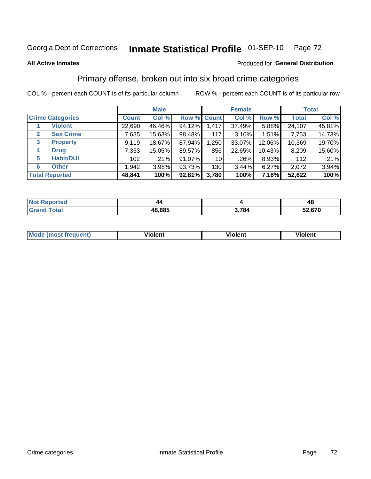#### Inmate Statistical Profile 01-SEP-10 Page 72

#### **All Active Inmates**

### **Produced for General Distribution**

### Primary offense, broken out into six broad crime categories

COL % - percent each COUNT is of its particular column

|                                  |              | <b>Male</b> |        |                 | <b>Female</b> |        |              | <b>Total</b> |
|----------------------------------|--------------|-------------|--------|-----------------|---------------|--------|--------------|--------------|
| <b>Crime Categories</b>          | <b>Count</b> | Col %       |        | Row % Count     | Col %         | Row %  | <b>Total</b> | Col %        |
| <b>Violent</b>                   | 22,690       | 46.46%      | 94.12% | 1,417           | 37.49%        | 5.88%  | 24,107       | 45.81%       |
| <b>Sex Crime</b><br>$\mathbf{2}$ | 7,635        | 15.63%      | 98.48% | 117             | $3.10\%$      | 1.51%  | 7,753        | 14.73%       |
| 3<br><b>Property</b>             | 9,119        | 18.67%      | 87.94% | 1,250           | 33.07%        | 12.06% | 10,369       | 19.70%       |
| <b>Drug</b><br>4                 | 7,353        | 15.05%      | 89.57% | 856             | 22.65%        | 10.43% | 8,209        | 15.60%       |
| <b>Habit/DUI</b><br>5            | 102          | .21%        | 91.07% | 10 <sup>1</sup> | .26%          | 8.93%  | 112          | .21%         |
| <b>Other</b><br>6                | 1,942        | 3.98%       | 93.73% | 130             | 3.44%         | 6.27%  | 2,072        | 3.94%        |
| <b>Total Reported</b>            | 48,841       | 100%        | 92.81% | 3,780           | 100%          | 7.18%  | 52,622       | 100%         |

| <b>Not</b><br><b>Reported</b> |        |       | 40     |
|-------------------------------|--------|-------|--------|
| <b>Total</b>                  | 48,885 | 3,784 | 2,670ء |

| M | - --<br>1010111 | .<br><b>VIOIGIIL</b> | 1.91311 |
|---|-----------------|----------------------|---------|
|   |                 |                      |         |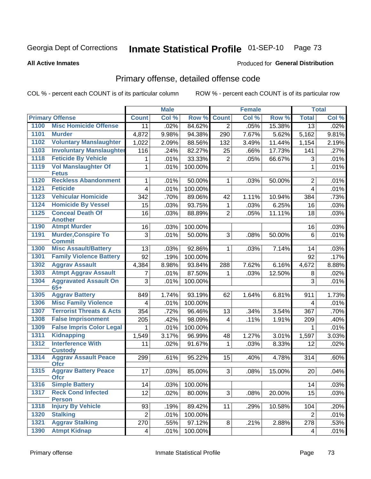# Inmate Statistical Profile 01-SEP-10 Page 73

#### **All Active Inmates**

#### Produced for General Distribution

### Primary offense, detailed offense code

COL % - percent each COUNT is of its particular column

|      |                                            |                         | <b>Male</b> |         |                         | <b>Female</b> |        |                         | <b>Total</b> |
|------|--------------------------------------------|-------------------------|-------------|---------|-------------------------|---------------|--------|-------------------------|--------------|
|      | <b>Primary Offense</b>                     | <b>Count</b>            | Col %       | Row %   | <b>Count</b>            | Col %         | Row %  | <b>Total</b>            | Col %        |
| 1100 | <b>Misc Homicide Offense</b>               | 11                      | .02%        | 84.62%  | $\overline{2}$          | .05%          | 15.38% | $\overline{13}$         | .02%         |
| 1101 | <b>Murder</b>                              | 4,872                   | 9.98%       | 94.38%  | 290                     | 7.67%         | 5.62%  | 5,162                   | 9.81%        |
| 1102 | <b>Voluntary Manslaughter</b>              | 1,022                   | 2.09%       | 88.56%  | 132                     | 3.49%         | 11.44% | 1,154                   | 2.19%        |
| 1103 | <b>Involuntary Manslaughter</b>            | 116                     | .24%        | 82.27%  | 25                      | .66%          | 17.73% | 141                     | .27%         |
| 1118 | <b>Feticide By Vehicle</b>                 | 1                       | .01%        | 33.33%  | $\overline{2}$          | .05%          | 66.67% | 3                       | .01%         |
| 1119 | <b>Vol Manslaughter Of</b>                 | 1                       | .01%        | 100.00% |                         |               |        | 1                       | .01%         |
|      | <b>Fetus</b>                               |                         |             |         |                         |               |        |                         |              |
| 1120 | <b>Reckless Abandonment</b>                | 1                       | .01%        | 50.00%  | $\mathbf{1}$            | .03%          | 50.00% | $\overline{2}$          | .01%         |
| 1121 | <b>Feticide</b>                            | $\overline{\mathbf{4}}$ | .01%        | 100.00% |                         |               |        | $\overline{\mathbf{4}}$ | .01%         |
| 1123 | <b>Vehicular Homicide</b>                  | 342                     | .70%        | 89.06%  | 42                      | 1.11%         | 10.94% | 384                     | .73%         |
| 1124 | <b>Homicide By Vessel</b>                  | 15                      | .03%        | 93.75%  | 1                       | .03%          | 6.25%  | 16                      | .03%         |
| 1125 | <b>Conceal Death Of</b><br><b>Another</b>  | 16                      | .03%        | 88.89%  | $\overline{2}$          | .05%          | 11.11% | 18                      | .03%         |
| 1190 | <b>Atmpt Murder</b>                        | 16                      | .03%        | 100.00% |                         |               |        | 16                      | .03%         |
| 1191 | <b>Murder, Conspire To</b>                 | 3                       | .01%        | 50.00%  | 3                       | .08%          | 50.00% | 6                       | .01%         |
|      | <b>Commit</b>                              |                         |             |         |                         |               |        |                         |              |
| 1300 | <b>Misc Assault/Battery</b>                | 13                      | .03%        | 92.86%  | $\mathbf 1$             | .03%          | 7.14%  | 14                      | .03%         |
| 1301 | <b>Family Violence Battery</b>             | 92                      | .19%        | 100.00% |                         |               |        | 92                      | .17%         |
| 1302 | <b>Aggrav Assault</b>                      | 4,384                   | 8.98%       | 93.84%  | 288                     | 7.62%         | 6.16%  | 4,672                   | 8.88%        |
| 1303 | <b>Atmpt Aggrav Assault</b>                | 7                       | .01%        | 87.50%  | 1                       | .03%          | 12.50% | 8                       | .02%         |
| 1304 | <b>Aggravated Assault On</b>               | 3                       | .01%        | 100.00% |                         |               |        | 3                       | .01%         |
| 1305 | $65+$<br><b>Aggrav Battery</b>             | 849                     | 1.74%       | 93.19%  | 62                      | 1.64%         | 6.81%  | 911                     | 1.73%        |
| 1306 | <b>Misc Family Violence</b>                | 4                       | .01%        | 100.00% |                         |               |        | 4                       | .01%         |
| 1307 | <b>Terrorist Threats &amp; Acts</b>        | 354                     | .72%        | 96.46%  | 13                      | .34%          | 3.54%  | 367                     | .70%         |
| 1308 | <b>False Imprisonment</b>                  | 205                     | .42%        | 98.09%  | $\overline{\mathbf{4}}$ | .11%          | 1.91%  | 209                     | .40%         |
| 1309 | <b>False Impris Color Legal</b>            |                         | .01%        | 100.00% |                         |               |        | 1                       | .01%         |
| 1311 | <b>Kidnapping</b>                          | 1,549                   | 3.17%       | 96.99%  | 48                      | 1.27%         | 3.01%  | 1,597                   | 3.03%        |
| 1312 | <b>Interference With</b>                   | 11                      | .02%        | 91.67%  | $\mathbf 1$             | .03%          | 8.33%  | 12                      | .02%         |
|      | <b>Custody</b>                             |                         |             |         |                         |               |        |                         |              |
| 1314 | <b>Aggrav Assault Peace</b><br><b>Ofcr</b> | 299                     | .61%        | 95.22%  | 15                      | .40%          | 4.78%  | 314                     | .60%         |
| 1315 | <b>Aggrav Battery Peace</b><br><b>Ofcr</b> | 17                      | .03%        | 85.00%  | 3 <sup>1</sup>          | .08%          | 15.00% | 20                      | .04%         |
| 1316 | <b>Simple Battery</b>                      | 14                      | .03%        | 100.00% |                         |               |        | 14                      | .03%         |
| 1317 | <b>Reck Cond Infected</b><br><b>Person</b> | 12                      | .02%        | 80.00%  | 3                       | .08%          | 20.00% | 15                      | .03%         |
| 1318 | <b>Injury By Vehicle</b>                   | 93                      | .19%        | 89.42%  | 11                      | .29%          | 10.58% | 104                     | .20%         |
| 1320 | <b>Stalking</b>                            | $\overline{2}$          | .01%        | 100.00% |                         |               |        | $\overline{2}$          | .01%         |
| 1321 | <b>Aggrav Stalking</b>                     | 270                     | .55%        | 97.12%  | 8 <sup>1</sup>          | .21%          | 2.88%  | 278                     | .53%         |
| 1390 | <b>Atmpt Kidnap</b>                        | 4                       | .01%        | 100.00% |                         |               |        | 4                       | .01%         |
|      |                                            |                         |             |         |                         |               |        |                         |              |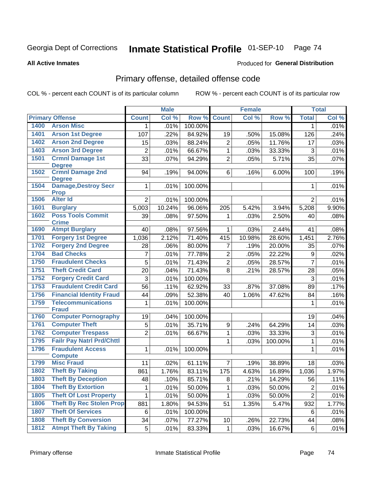#### Inmate Statistical Profile 01-SEP-10 Page 74

#### **All Active Inmates**

### **Produced for General Distribution**

### Primary offense, detailed offense code

COL % - percent each COUNT is of its particular column

|      |                                              |                | <b>Male</b>  |                   |                | <b>Female</b> |                  |                      | <b>Total</b> |
|------|----------------------------------------------|----------------|--------------|-------------------|----------------|---------------|------------------|----------------------|--------------|
|      | <b>Primary Offense</b>                       | <b>Count</b>   | Col %        | Row %             | <b>Count</b>   | Col %         | Row %            | <b>Total</b>         | Col %        |
| 1400 | <b>Arson Misc</b>                            | $\mathbf{1}$   | .01%         | 100.00%           |                |               |                  | $\mathbf 1$          | .01%         |
| 1401 | <b>Arson 1st Degree</b>                      | 107            | .22%         | 84.92%            | 19             | .50%          | 15.08%           | 126                  | .24%         |
| 1402 | <b>Arson 2nd Degree</b>                      | 15             | .03%         | 88.24%            | $\overline{2}$ | .05%          | 11.76%           | 17                   | .03%         |
| 1403 | <b>Arson 3rd Degree</b>                      | $\overline{2}$ | .01%         | 66.67%            | $\mathbf{1}$   | .03%          | 33.33%           | $\mathfrak{S}$       | .01%         |
| 1501 | <b>Crmnl Damage 1st</b>                      | 33             | .07%         | 94.29%            | $\overline{2}$ | .05%          | 5.71%            | 35                   | .07%         |
|      | <b>Degree</b>                                |                |              |                   |                |               |                  |                      |              |
| 1502 | <b>Crmnl Damage 2nd</b>                      | 94             | .19%         | 94.00%            | 6              | .16%          | 6.00%            | 100                  | .19%         |
| 1504 | <b>Degree</b><br><b>Damage, Destroy Secr</b> | $\mathbf{1}$   | .01%         | 100.00%           |                |               |                  | 1                    | .01%         |
|      | <b>Prop</b>                                  |                |              |                   |                |               |                  |                      |              |
| 1506 | <b>Alter Id</b>                              | $\overline{2}$ | .01%         | 100.00%           |                |               |                  | $\overline{2}$       | .01%         |
| 1601 | <b>Burglary</b>                              | 5,003          | 10.24%       | 96.06%            | 205            | 5.42%         | 3.94%            | 5,208                | 9.90%        |
| 1602 | <b>Poss Tools Commit</b>                     | 39             | .08%         | 97.50%            | $\mathbf{1}$   | .03%          | 2.50%            | 40                   | .08%         |
|      | <b>Crime</b>                                 |                |              |                   |                |               |                  |                      |              |
| 1690 | <b>Atmpt Burglary</b>                        | 40             | .08%         | 97.56%            | $\mathbf{1}$   | .03%          | 2.44%            | 41                   | .08%         |
| 1701 | <b>Forgery 1st Degree</b>                    | 1,036          | 2.12%        | 71.40%            | 415            | 10.98%        | 28.60%           | 1,451                | 2.76%        |
| 1702 | <b>Forgery 2nd Degree</b>                    | 28             | .06%         | 80.00%            | $\overline{7}$ | .19%          | 20.00%           | 35                   | .07%         |
| 1704 | <b>Bad Checks</b>                            | 7              | .01%         | 77.78%            | $\overline{2}$ | .05%          | 22.22%           | $\boldsymbol{9}$     | .02%         |
| 1750 | <b>Fraudulent Checks</b>                     | 5              | .01%         | 71.43%            | $\overline{2}$ | .05%          | 28.57%           | $\overline{7}$       | .01%         |
| 1751 | <b>Theft Credit Card</b>                     | 20             | .04%         | 71.43%            | 8              | .21%          | 28.57%           | 28                   | .05%         |
| 1752 | <b>Forgery Credit Card</b>                   | 3              | .01%         | 100.00%           |                |               |                  | 3                    | .01%         |
| 1753 | <b>Fraudulent Credit Card</b>                | 56             | .11%         | 62.92%            | 33             | .87%          | 37.08%           | 89                   | .17%         |
| 1756 | <b>Financial Identity Fraud</b>              | 44             | .09%         | 52.38%            | 40             | 1.06%         | 47.62%           | 84                   | .16%         |
| 1759 | <b>Telecommunications</b>                    | $\mathbf{1}$   | .01%         | 100.00%           |                |               |                  | $\mathbf{1}$         | .01%         |
| 1760 | <b>Fraud</b><br><b>Computer Pornography</b>  | 19             |              |                   |                |               |                  |                      |              |
| 1761 | <b>Computer Theft</b>                        | 5              | .04%<br>.01% | 100.00%<br>35.71% | 9              | .24%          |                  | 19                   | .04%<br>.03% |
| 1762 | <b>Computer Trespass</b>                     | $\overline{2}$ |              |                   | $\mathbf{1}$   | .03%          | 64.29%<br>33.33% | 14<br>$\mathfrak{S}$ | .01%         |
| 1795 | <b>Failr Pay Natrl Prd/Chttl</b>             |                | .01%         | 66.67%            |                |               |                  |                      |              |
| 1796 | <b>Fraudulent Access</b>                     |                |              | 100.00%           | 1              | .03%          | 100.00%          | $\mathbf{1}$         | .01%         |
|      | <b>Compute</b>                               | $\mathbf{1}$   | .01%         |                   |                |               |                  | $\mathbf{1}$         | .01%         |
| 1799 | <b>Misc Fraud</b>                            | 11             | .02%         | 61.11%            | $\overline{7}$ | .19%          | 38.89%           | 18                   | .03%         |
| 1802 | <b>Theft By Taking</b>                       | 861            | 1.76%        | 83.11%            | 175            | 4.63%         | 16.89%           | 1,036                | 1.97%        |
| 1803 | <b>Theft By Deception</b>                    | 48             | .10%         | 85.71%            | 8              | .21%          | 14.29%           | 56                   | .11%         |
| 1804 | <b>Theft By Extortion</b>                    | 1              | .01%         | 50.00%            | $\mathbf{1}$   | .03%          | 50.00%           | 2                    | .01%         |
| 1805 | <b>Theft Of Lost Property</b>                | 1              | .01%         | 50.00%            | $\mathbf{1}$   | .03%          | 50.00%           | $\overline{2}$       | .01%         |
| 1806 | <b>Theft By Rec Stolen Prop</b>              | 881            | 1.80%        | 94.53%            | 51             | 1.35%         | 5.47%            | 932                  | 1.77%        |
| 1807 | <b>Theft Of Services</b>                     | 6              | .01%         | 100.00%           |                |               |                  | 6                    | .01%         |
| 1808 | <b>Theft By Conversion</b>                   | 34             | .07%         | 77.27%            | 10             | .26%          | 22.73%           | 44                   | .08%         |
| 1812 | <b>Atmpt Theft By Taking</b>                 | 5              | .01%         | 83.33%            | $\mathbf 1$    | .03%          | 16.67%           | 6                    | .01%         |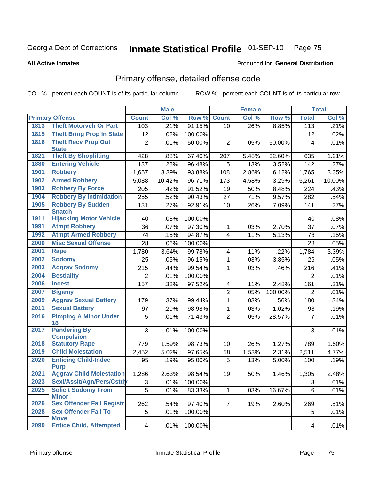# Inmate Statistical Profile 01-SEP-10 Page 75

Produced for General Distribution

#### **All Active Inmates**

# Primary offense, detailed offense code

COL % - percent each COUNT is of its particular column

|      |                                                |                 | <b>Male</b>   |         |                         | <b>Female</b> |                     |                         | <b>Total</b> |
|------|------------------------------------------------|-----------------|---------------|---------|-------------------------|---------------|---------------------|-------------------------|--------------|
|      | <b>Primary Offense</b>                         | <b>Count</b>    | Col %         | Row %   | <b>Count</b>            | Col %         | Row %               | <b>Total</b>            | Col %        |
| 1813 | <b>Theft Motorveh Or Part</b>                  | 103             | .21%          | 91.15%  | 10                      | .26%          | 8.85%               | 113                     | .21%         |
| 1815 | <b>Theft Bring Prop In State</b>               | 12              | .02%          | 100.00% |                         |               |                     | 12                      | .02%         |
| 1816 | <b>Theft Recv Prop Out</b>                     | $\overline{2}$  | .01%          | 50.00%  | $\overline{2}$          | .05%          | 50.00%              | 4                       | .01%         |
| 1821 | <b>State</b><br><b>Theft By Shoplifting</b>    | 428             |               | 67.40%  |                         |               |                     |                         | 1.21%        |
| 1880 | <b>Entering Vehicle</b>                        | 137             | .88%          |         | 207                     | 5.48%         | 32.60%              | 635                     |              |
| 1901 | <b>Robbery</b>                                 | 1,657           | .28%<br>3.39% | 96.48%  | 5                       | .13%<br>2.86% | 3.52%               | 142                     | .27%         |
| 1902 | <b>Armed Robbery</b>                           |                 |               | 93.88%  | 108                     | 4.58%         | 6.12%               | 1,765                   | 3.35%        |
|      |                                                | 5,088           | 10.42%        | 96.71%  | 173                     |               | 3.29%               | 5,261                   | 10.00%       |
| 1903 | <b>Robbery By Force</b>                        | 205             | .42%          | 91.52%  | 19                      | .50%          | 8.48%               | 224                     | .43%         |
| 1904 | <b>Robbery By Intimidation</b>                 | 255             | .52%          | 90.43%  | 27                      | .71%          | 9.57%               | 282                     | .54%         |
| 1905 | <b>Robbery By Sudden</b><br><b>Snatch</b>      | 131             | .27%          | 92.91%  | 10                      | .26%          | 7.09%               | 141                     | .27%         |
| 1911 | <b>Hijacking Motor Vehicle</b>                 | 40              | .08%          | 100.00% |                         |               |                     | 40                      | .08%         |
| 1991 | <b>Atmpt Robbery</b>                           | 36              | .07%          | 97.30%  | 1                       | .03%          | 2.70%               | 37                      | .07%         |
| 1992 | <b>Atmpt Armed Robbery</b>                     | 74              | .15%          | 94.87%  | $\overline{\mathbf{4}}$ | .11%          | $\overline{5.13\%}$ | 78                      | .15%         |
| 2000 | <b>Misc Sexual Offense</b>                     | 28              | .06%          | 100.00% |                         |               |                     | 28                      | .05%         |
| 2001 | <b>Rape</b>                                    | 1,780           | 3.64%         | 99.78%  | 4                       | .11%          | .22%                | 1,784                   | 3.39%        |
| 2002 | <b>Sodomy</b>                                  | 25              | .05%          | 96.15%  | 1                       | .03%          | 3.85%               | 26                      | .05%         |
| 2003 | <b>Aggrav Sodomy</b>                           | 215             | .44%          | 99.54%  | $\mathbf{1}$            | .03%          | .46%                | 216                     | .41%         |
| 2004 | <b>Bestiality</b>                              | $\overline{2}$  | .01%          | 100.00% |                         |               |                     | $\overline{2}$          | .01%         |
| 2006 | <b>Incest</b>                                  | 157             | .32%          | 97.52%  | 4                       | .11%          | 2.48%               | 161                     | .31%         |
| 2007 | <b>Bigamy</b>                                  |                 |               |         | $\overline{2}$          | .05%          | 100.00%             | $\overline{2}$          | .01%         |
| 2009 | <b>Aggrav Sexual Battery</b>                   | 179             | .37%          | 99.44%  | 1                       | .03%          | .56%                | 180                     | .34%         |
| 2011 | <b>Sexual Battery</b>                          | 97              | .20%          | 98.98%  | 1                       | .03%          | 1.02%               | 98                      | .19%         |
| 2016 | <b>Pimping A Minor Under</b>                   | 5               | .01%          | 71.43%  | $\overline{2}$          | .05%          | 28.57%              | $\overline{7}$          | .01%         |
| 2017 | 18<br><b>Pandering By</b>                      | 3               |               |         |                         |               |                     |                         |              |
|      | <b>Compulsion</b>                              |                 | .01%          | 100.00% |                         |               |                     | 3                       | .01%         |
| 2018 | <b>Statutory Rape</b>                          | 779             | 1.59%         | 98.73%  | 10                      | .26%          | 1.27%               | 789                     | 1.50%        |
| 2019 | <b>Child Molestation</b>                       | 2,452           | 5.02%         | 97.65%  | 58                      | 1.53%         | 2.31%               | 2,511                   | 4.77%        |
| 2020 | <b>Enticing Child-Indec</b>                    | 95              | .19%          | 95.00%  | 5                       | .13%          | 5.00%               | 100                     | .19%         |
| 2021 | <b>Purp</b><br><b>Aggrav Child Molestation</b> |                 |               | 98.54%  | 19                      |               |                     |                         | 2.48%        |
| 2023 | Sexl/Asslt/Agn/Pers/Cstdy                      | 1,286<br>3      | 2.63%         | 100.00% |                         | .50%          | 1.46%               | 1,305<br>$\sqrt{3}$     |              |
| 2025 | <b>Solicit Sodomy From</b>                     | $\overline{5}$  | .01%<br>.01%  | 83.33%  | $\mathbf 1$             | .03%          | 16.67%              | 6                       | .01%<br>.01% |
|      | <b>Minor</b>                                   |                 |               |         |                         |               |                     |                         |              |
| 2026 | <b>Sex Offender Fail Registr</b>               | 262             | .54%          | 97.40%  | $\overline{7}$          | .19%          | 2.60%               | 269                     | .51%         |
| 2028 | <b>Sex Offender Fail To</b><br><b>Move</b>     | 5 <sup>1</sup>  | .01%          | 100.00% |                         |               |                     | 5                       | .01%         |
| 2090 | <b>Entice Child, Attempted</b>                 | $\vert 4 \vert$ | .01%          | 100.00% |                         |               |                     | $\overline{\mathbf{4}}$ | .01%         |
|      |                                                |                 |               |         |                         |               |                     |                         |              |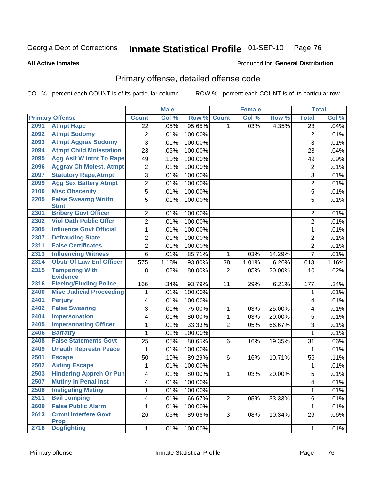# Inmate Statistical Profile 01-SEP-10 Page 76

Produced for General Distribution

#### **All Active Inmates**

### Primary offense, detailed offense code

COL % - percent each COUNT is of its particular column

|      |                                            |                         | <b>Male</b> |         |                | <b>Female</b> |        |                         | <b>Total</b> |
|------|--------------------------------------------|-------------------------|-------------|---------|----------------|---------------|--------|-------------------------|--------------|
|      | <b>Primary Offense</b>                     | <b>Count</b>            | Col %       | Row %   | <b>Count</b>   | Col %         | Row %  | <b>Total</b>            | Col %        |
| 2091 | <b>Atmpt Rape</b>                          | 22                      | .05%        | 95.65%  | $\mathbf{1}$   | .03%          | 4.35%  | 23                      | .04%         |
| 2092 | <b>Atmpt Sodomy</b>                        | $\overline{2}$          | .01%        | 100.00% |                |               |        | 2                       | .01%         |
| 2093 | <b>Atmpt Aggrav Sodomy</b>                 | 3                       | .01%        | 100.00% |                |               |        | 3                       | .01%         |
| 2094 | <b>Atmpt Child Molestation</b>             | 23                      | .05%        | 100.00% |                |               |        | 23                      | .04%         |
| 2095 | <b>Agg Aslt W Intnt To Rape</b>            | 49                      | .10%        | 100.00% |                |               |        | 49                      | .09%         |
| 2096 | <b>Aggrav Ch Molest, Atmpt</b>             | $\overline{c}$          | .01%        | 100.00% |                |               |        | $\overline{2}$          | .01%         |
| 2097 | <b>Statutory Rape, Atmpt</b>               | $\overline{3}$          | .01%        | 100.00% |                |               |        | 3                       | .01%         |
| 2099 | <b>Agg Sex Battery Atmpt</b>               | $\overline{2}$          | .01%        | 100.00% |                |               |        | 2                       | .01%         |
| 2100 | <b>Misc Obscenity</b>                      | $\overline{5}$          | .01%        | 100.00% |                |               |        | 5                       | .01%         |
| 2205 | <b>False Swearng Writtn</b><br><b>Stmt</b> | 5                       | .01%        | 100.00% |                |               |        | 5                       | .01%         |
| 2301 | <b>Bribery Govt Officer</b>                | $\overline{2}$          | .01%        | 100.00% |                |               |        | 2                       | .01%         |
| 2302 | <b>Viol Oath Public Offcr</b>              | $\overline{2}$          | .01%        | 100.00% |                |               |        | $\overline{2}$          | .01%         |
| 2305 | <b>Influence Govt Official</b>             | $\mathbf 1$             | .01%        | 100.00% |                |               |        | 1                       | .01%         |
| 2307 | <b>Defrauding State</b>                    | $\overline{2}$          | .01%        | 100.00% |                |               |        | $\overline{2}$          | .01%         |
| 2311 | <b>False Certificates</b>                  | $\overline{2}$          | .01%        | 100.00% |                |               |        | $\overline{2}$          | .01%         |
| 2313 | <b>Influencing Witness</b>                 | 6                       | .01%        | 85.71%  | $\mathbf{1}$   | .03%          | 14.29% | $\overline{7}$          | .01%         |
| 2314 | <b>Obstr Of Law Enf Officer</b>            | 575                     | 1.18%       | 93.80%  | 38             | 1.01%         | 6.20%  | 613                     | 1.16%        |
| 2315 | <b>Tampering With</b><br><b>Evidence</b>   | 8                       | .02%        | 80.00%  | $\overline{2}$ | .05%          | 20.00% | 10                      | .02%         |
| 2316 | <b>Fleeing/Eluding Police</b>              | 166                     | .34%        | 93.79%  | 11             | .29%          | 6.21%  | 177                     | .34%         |
| 2400 | <b>Misc Judicial Proceeding</b>            | 1                       | .01%        | 100.00% |                |               |        | 1                       | .01%         |
| 2401 | <b>Perjury</b>                             | 4                       | .01%        | 100.00% |                |               |        | 4                       | .01%         |
| 2402 | <b>False Swearing</b>                      | 3                       | .01%        | 75.00%  | $\mathbf{1}$   | .03%          | 25.00% | 4                       | .01%         |
| 2404 | <b>Impersonation</b>                       | $\overline{\mathbf{4}}$ | .01%        | 80.00%  | $\mathbf{1}$   | .03%          | 20.00% | 5                       | .01%         |
| 2405 | <b>Impersonating Officer</b>               | $\mathbf{1}$            | .01%        | 33.33%  | $\overline{2}$ | .05%          | 66.67% | 3                       | .01%         |
| 2406 | <b>Barratry</b>                            | $\mathbf{1}$            | .01%        | 100.00% |                |               |        | 1                       | .01%         |
| 2408 | <b>False Statements Govt</b>               | 25                      | .05%        | 80.65%  | 6              | .16%          | 19.35% | 31                      | .06%         |
| 2409 | <b>Unauth Represtn Peace</b>               | 1                       | .01%        | 100.00% |                |               |        | 1                       | .01%         |
| 2501 | <b>Escape</b>                              | 50                      | .10%        | 89.29%  | 6              | .16%          | 10.71% | 56                      | .11%         |
| 2502 | <b>Aiding Escape</b>                       | 1                       | .01%        | 100.00% |                |               |        | 1                       | .01%         |
| 2503 | <b>Hindering Appreh Or Pun</b>             | $\overline{\mathbf{4}}$ | .01%        | 80.00%  | $\mathbf{1}$   | .03%          | 20.00% | 5                       | .01%         |
| 2507 | <b>Mutiny In Penal Inst</b>                | $\overline{\mathbf{4}}$ | .01%        | 100.00% |                |               |        | $\overline{\mathbf{4}}$ | .01%         |
| 2508 | <b>Instigating Mutiny</b>                  | 1                       | .01%        | 100.00% |                |               |        | 1                       | .01%         |
| 2511 | <b>Bail Jumping</b>                        | $\overline{\mathbf{4}}$ | .01%        | 66.67%  | $\overline{2}$ | .05%          | 33.33% | 6                       | .01%         |
| 2609 | <b>False Public Alarm</b>                  | $\mathbf{1}$            | .01%        | 100.00% |                |               |        | 1                       | .01%         |
| 2613 | <b>Crmnl Interfere Govt</b><br><b>Prop</b> | 26                      | .05%        | 89.66%  | 3 <sup>1</sup> | .08%          | 10.34% | 29                      | .06%         |
| 2718 | <b>Dogfighting</b>                         | $\mathbf{1}$            | .01%        | 100.00% |                |               |        | 1                       | .01%         |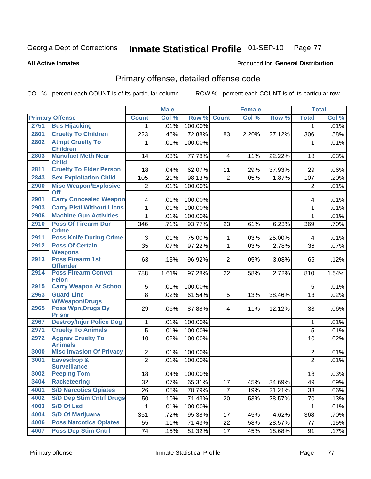# Inmate Statistical Profile 01-SEP-10 Page 77

**All Active Inmates** 

#### Produced for General Distribution

### Primary offense, detailed offense code

COL % - percent each COUNT is of its particular column

|      |                                            |                | <b>Male</b> |         |                | <b>Female</b> |        |                | <b>Total</b> |
|------|--------------------------------------------|----------------|-------------|---------|----------------|---------------|--------|----------------|--------------|
|      | <b>Primary Offense</b>                     | <b>Count</b>   | Col %       | Row %   | <b>Count</b>   | Col %         | Row %  | <b>Total</b>   | Col %        |
| 2751 | <b>Bus Hijacking</b>                       | 1 <sup>1</sup> | .01%        | 100.00% |                |               |        | 1              | .01%         |
| 2801 | <b>Cruelty To Children</b>                 | 223            | .46%        | 72.88%  | 83             | 2.20%         | 27.12% | 306            | .58%         |
| 2802 | <b>Atmpt Cruelty To</b><br><b>Children</b> | 1              | .01%        | 100.00% |                |               |        | 1              | .01%         |
| 2803 | <b>Manufact Meth Near</b><br><b>Child</b>  | 14             | .03%        | 77.78%  | $\overline{4}$ | .11%          | 22.22% | 18             | .03%         |
| 2811 | <b>Cruelty To Elder Person</b>             | 18             | .04%        | 62.07%  | 11             | .29%          | 37.93% | 29             | $.06\%$      |
| 2843 | <b>Sex Exploitation Child</b>              | 105            | .21%        | 98.13%  | $\overline{2}$ | .05%          | 1.87%  | 107            | .20%         |
| 2900 | <b>Misc Weapon/Explosive</b><br><b>Off</b> | $\overline{2}$ | .01%        | 100.00% |                |               |        | $\overline{2}$ | .01%         |
| 2901 | <b>Carry Concealed Weapon</b>              | 4 <sup>1</sup> | .01%        | 100.00% |                |               |        | 4              | .01%         |
| 2903 | <b>Carry Pistl Without Licns</b>           | 1              | .01%        | 100.00% |                |               |        | 1              | .01%         |
| 2906 | <b>Machine Gun Activities</b>              | 1              | .01%        | 100.00% |                |               |        | 1              | .01%         |
| 2910 | <b>Poss Of Firearm Dur</b><br><b>Crime</b> | 346            | .71%        | 93.77%  | 23             | .61%          | 6.23%  | 369            | .70%         |
| 2911 | <b>Poss Knife During Crime</b>             | 3              | .01%        | 75.00%  | 1              | .03%          | 25.00% | 4              | .01%         |
| 2912 | <b>Poss Of Certain</b><br><b>Weapons</b>   | 35             | .07%        | 97.22%  | 1              | .03%          | 2.78%  | 36             | .07%         |
| 2913 | <b>Poss Firearm 1st</b><br><b>Offender</b> | 63             | .13%        | 96.92%  | $\overline{2}$ | .05%          | 3.08%  | 65             | .12%         |
| 2914 | <b>Poss Firearm Convct</b><br><b>Felon</b> | 788            | 1.61%       | 97.28%  | 22             | .58%          | 2.72%  | 810            | 1.54%        |
| 2915 | <b>Carry Weapon At School</b>              | 5 <sup>1</sup> | .01%        | 100.00% |                |               |        | 5              | .01%         |
| 2963 | <b>Guard Line</b><br><b>W/Weapon/Drugs</b> | 8              | .02%        | 61.54%  | 5              | .13%          | 38.46% | 13             | .02%         |
| 2965 | <b>Poss Wpn, Drugs By</b><br><b>Prisnr</b> | 29             | .06%        | 87.88%  | $\overline{4}$ | .11%          | 12.12% | 33             | .06%         |
| 2967 | <b>Destroy/Injur Police Dog</b>            | $\mathbf{1}$   | .01%        | 100.00% |                |               |        | 1              | .01%         |
| 2971 | <b>Cruelty To Animals</b>                  | $\overline{5}$ | .01%        | 100.00% |                |               |        | 5              | .01%         |
| 2972 | <b>Aggrav Cruelty To</b><br><b>Animals</b> | 10             | .02%        | 100.00% |                |               |        | 10             | .02%         |
| 3000 | <b>Misc Invasion Of Privacy</b>            | $\overline{2}$ | .01%        | 100.00% |                |               |        | $\overline{2}$ | .01%         |
| 3001 | <b>Eavesdrop &amp;</b>                     | $\overline{2}$ | .01%        | 100.00% |                |               |        | $\overline{2}$ | .01%         |
|      | <b>Surveillance</b>                        |                |             |         |                |               |        |                |              |
| 3002 | <b>Peeping Tom</b>                         | 18             | .04%        | 100.00% |                |               |        | 18             | .03%         |
| 3404 | <b>Racketeering</b>                        | 32             | .07%        | 65.31%  | 17             | .45%          | 34.69% | 49             | .09%         |
| 4001 | <b>S/D Narcotics Opiates</b>               | 26             | .05%        | 78.79%  | $\overline{7}$ | .19%          | 21.21% | 33             | .06%         |
| 4002 | <b>S/D Dep Stim Cntrf Drugs</b>            | 50             | .10%        | 71.43%  | 20             | .53%          | 28.57% | 70             | .13%         |
| 4003 | <b>S/D Of Lsd</b>                          | 1              | .01%        | 100.00% |                |               |        | 1              | .01%         |
| 4004 | <b>S/D Of Marijuana</b>                    | 351            | .72%        | 95.38%  | 17             | .45%          | 4.62%  | 368            | .70%         |
| 4006 | <b>Poss Narcotics Opiates</b>              | 55             | .11%        | 71.43%  | 22             | .58%          | 28.57% | 77             | .15%         |
| 4007 | <b>Poss Dep Stim Cntrf</b>                 | 74             | .15%        | 81.32%  | 17             | .45%          | 18.68% | 91             | .17%         |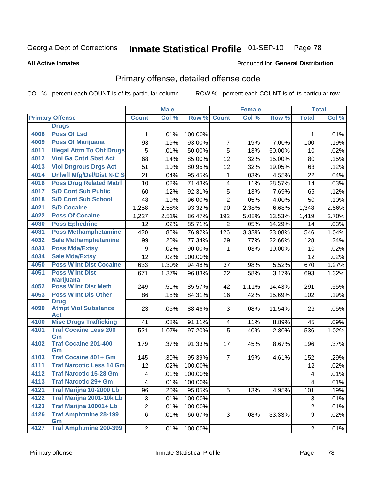# Inmate Statistical Profile 01-SEP-10 Page 78

#### **All Active Inmates**

#### Produced for General Distribution

### Primary offense, detailed offense code

COL % - percent each COUNT is of its particular column

|      |                                                 |                | <b>Male</b> |         |                 | <b>Female</b> |        |                    | <b>Total</b> |
|------|-------------------------------------------------|----------------|-------------|---------|-----------------|---------------|--------|--------------------|--------------|
|      | <b>Primary Offense</b>                          | <b>Count</b>   | Col %       | Row %   | <b>Count</b>    | Col %         | Row %  | <b>Total</b>       | Col %        |
|      | <b>Drugs</b>                                    |                |             |         |                 |               |        |                    |              |
| 4008 | <b>Poss Of Lsd</b>                              | 1              | .01%        | 100.00% |                 |               |        | 1                  | .01%         |
| 4009 | <b>Poss Of Marijuana</b>                        | 93             | .19%        | 93.00%  | $\overline{7}$  | .19%          | 7.00%  | 100                | .19%         |
| 4011 | <b>Illegal Attm To Obt Drugs</b>                | 5              | .01%        | 50.00%  | $\overline{5}$  | .13%          | 50.00% | 10                 | .02%         |
| 4012 | <b>Viol Ga Cntrl Sbst Act</b>                   | 68             | .14%        | 85.00%  | $\overline{12}$ | .32%          | 15.00% | 80                 | .15%         |
| 4013 | <b>Viol Dngrous Drgs Act</b>                    | 51             | .10%        | 80.95%  | 12              | .32%          | 19.05% | 63                 | .12%         |
| 4014 | <b>Uniwfl Mfg/Del/Dist N-C S</b>                | 21             | .04%        | 95.45%  | 1               | .03%          | 4.55%  | 22                 | .04%         |
| 4016 | <b>Poss Drug Related Matri</b>                  | 10             | .02%        | 71.43%  | 4               | .11%          | 28.57% | 14                 | .03%         |
| 4017 | <b>S/D Cont Sub Public</b>                      | 60             | .12%        | 92.31%  | 5               | .13%          | 7.69%  | 65                 | .12%         |
| 4018 | <b>S/D Cont Sub School</b>                      | 48             | .10%        | 96.00%  | $\overline{2}$  | .05%          | 4.00%  | 50                 | .10%         |
| 4021 | <b>S/D Cocaine</b>                              | 1,258          | 2.58%       | 93.32%  | 90              | 2.38%         | 6.68%  | $\overline{1,}348$ | 2.56%        |
| 4022 | <b>Poss Of Cocaine</b>                          | 1,227          | 2.51%       | 86.47%  | 192             | 5.08%         | 13.53% | 1,419              | 2.70%        |
| 4030 | <b>Poss Ephedrine</b>                           | 12             | .02%        | 85.71%  | $\overline{2}$  | .05%          | 14.29% | 14                 | .03%         |
| 4031 | <b>Poss Methamphetamine</b>                     | 420            | .86%        | 76.92%  | 126             | 3.33%         | 23.08% | 546                | 1.04%        |
| 4032 | <b>Sale Methamphetamine</b>                     | 99             | .20%        | 77.34%  | 29              | .77%          | 22.66% | 128                | .24%         |
| 4033 | <b>Poss Mda/Extsy</b>                           | 9              | .02%        | 90.00%  | 1               | .03%          | 10.00% | 10                 | .02%         |
| 4034 | <b>Sale Mda/Extsy</b>                           | 12             | .02%        | 100.00% |                 |               |        | 12                 | .02%         |
| 4050 | <b>Poss W Int Dist Cocaine</b>                  | 633            | 1.30%       | 94.48%  | 37              | .98%          | 5.52%  | 670                | 1.27%        |
| 4051 | <b>Poss W Int Dist</b>                          | 671            | 1.37%       | 96.83%  | 22              | .58%          | 3.17%  | 693                | 1.32%        |
|      | <b>Marijuana</b><br><b>Poss W Int Dist Meth</b> |                |             |         |                 |               |        |                    |              |
| 4052 |                                                 | 249            | .51%        | 85.57%  | 42              | 1.11%         | 14.43% | 291                | .55%         |
| 4053 | <b>Poss W Int Dis Other</b><br><b>Drug</b>      | 86             | .18%        | 84.31%  | 16              | .42%          | 15.69% | 102                | .19%         |
| 4090 | <b>Atmpt Viol Substance</b>                     | 23             | .05%        | 88.46%  | 3               | .08%          | 11.54% | 26                 | .05%         |
|      | <b>Act</b>                                      |                |             |         |                 |               |        |                    |              |
| 4100 | <b>Misc Drugs Trafficking</b>                   | 41             | .08%        | 91.11%  | 4               | .11%          | 8.89%  | 45                 | .09%         |
| 4101 | <b>Traf Cocaine Less 200</b>                    | 521            | 1.07%       | 97.20%  | 15              | .40%          | 2.80%  | 536                | 1.02%        |
| 4102 | Gm<br><b>Traf Cocaine 201-400</b>               |                |             |         |                 |               | 8.67%  |                    | .37%         |
|      | Gm                                              | 179            | .37%        | 91.33%  | 17              | .45%          |        | 196                |              |
| 4103 | <b>Traf Cocaine 401+ Gm</b>                     | 145            | .30%        | 95.39%  | $\overline{7}$  | .19%          | 4.61%  | 152                | .29%         |
| 4111 | <b>Traf Narcotic Less 14 Gm</b>                 | 12             | .02%        | 100.00% |                 |               |        | 12                 | .02%         |
| 4112 | <b>Traf Narcotic 15-28 Gm</b>                   | 4              | .01%        | 100.00% |                 |               |        | 4                  | .01%         |
| 4113 | <b>Traf Narcotic 29+ Gm</b>                     | $\overline{4}$ | .01%        | 100.00% |                 |               |        | 4                  | .01%         |
| 4121 | Traf Marijna 10-2000 Lb                         | 96             | .20%        | 95.05%  | 5               | .13%          | 4.95%  | 101                | .19%         |
| 4122 | Traf Marijna 2001-10k Lb                        | 3              | .01%        | 100.00% |                 |               |        | 3                  | .01%         |
| 4123 | Traf Marijna 10001+ Lb                          | $\overline{2}$ | .01%        | 100.00% |                 |               |        | $\overline{2}$     | .01%         |
| 4126 | <b>Traf Amphtmine 28-199</b>                    | 6              | .01%        | 66.67%  | 3               | .08%          | 33.33% | 9                  | .02%         |
|      | Gm                                              |                |             |         |                 |               |        |                    |              |
| 4127 | <b>Traf Amphtmine 200-399</b>                   | 2              | .01%        | 100.00% |                 |               |        | $\overline{c}$     | .01%         |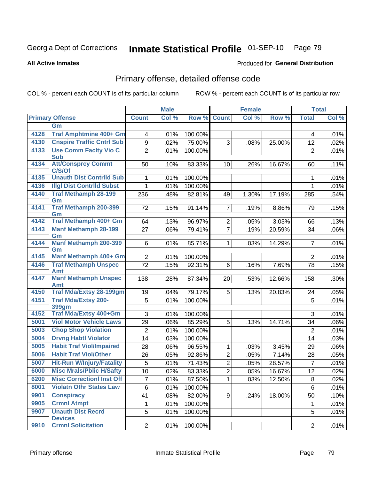# Inmate Statistical Profile 01-SEP-10 Page 79

#### **All Active Inmates**

# Produced for General Distribution

### Primary offense, detailed offense code

COL % - percent each COUNT is of its particular column

|      |                                            |                | <b>Male</b> |         |                | <b>Female</b> |        |                | <b>Total</b> |
|------|--------------------------------------------|----------------|-------------|---------|----------------|---------------|--------|----------------|--------------|
|      | <b>Primary Offense</b>                     | <b>Count</b>   | Col %       | Row %   | <b>Count</b>   | Col %         | Row %  | <b>Total</b>   | Col %        |
|      | Gm                                         |                |             |         |                |               |        |                |              |
| 4128 | <b>Traf Amphtmine 400+ Gm</b>              | $\overline{4}$ | .01%        | 100.00% |                |               |        | 4              | .01%         |
| 4130 | <b>Cnspire Traffic Cntrl Sub</b>           | 9              | .02%        | 75.00%  | 3              | .08%          | 25.00% | 12             | .02%         |
| 4133 | <b>Use Comm Facity Vio C</b>               | $\overline{2}$ | .01%        | 100.00% |                |               |        | $\overline{2}$ | .01%         |
|      | <b>Sub</b>                                 |                |             |         |                |               |        |                |              |
| 4134 | <b>Att/Consprcy Commt</b><br>C/S/Of        | 50             | .10%        | 83.33%  | 10             | .26%          | 16.67% | 60             | .11%         |
| 4135 | <b>Unauth Dist Contrild Sub</b>            | 1              | .01%        | 100.00% |                |               |        | 1              | .01%         |
| 4136 | <b>Illgl Dist Contrild Subst</b>           | 1              | .01%        | 100.00% |                |               |        | 1              | .01%         |
| 4140 | <b>Traf Methamph 28-199</b>                | 236            | .48%        | 82.81%  | 49             | 1.30%         | 17.19% | 285            | .54%         |
|      | Gm                                         |                |             |         |                |               |        |                |              |
| 4141 | Traf Methamph 200-399<br>Gm                | 72             | .15%        | 91.14%  | $\overline{7}$ | .19%          | 8.86%  | 79             | .15%         |
| 4142 | Traf Methamph 400+ Gm                      | 64             | .13%        | 96.97%  | $\overline{2}$ | .05%          | 3.03%  | 66             | .13%         |
| 4143 | <b>Manf Methamph 28-199</b>                | 27             | .06%        | 79.41%  | $\overline{7}$ | .19%          | 20.59% | 34             | .06%         |
|      | Gm                                         |                |             |         |                |               |        |                |              |
| 4144 | <b>Manf Methamph 200-399</b>               | 6              | .01%        | 85.71%  | $\mathbf{1}$   | .03%          | 14.29% | $\overline{7}$ | .01%         |
| 4145 | Gm<br>Manf Methamph 400+ Gm                | $\overline{2}$ | .01%        | 100.00% |                |               |        | $\overline{2}$ | .01%         |
| 4146 | <b>Traf Methamph Unspec</b>                |                |             |         | 6              |               |        |                |              |
|      | Amt                                        | 72             | .15%        | 92.31%  |                | .16%          | 7.69%  | 78             | .15%         |
| 4147 | <b>Manf Methamph Unspec</b>                | 138            | .28%        | 87.34%  | 20             | .53%          | 12.66% | 158            | .30%         |
|      | Amt                                        |                |             |         |                |               |        |                |              |
| 4150 | <b>Traf Mda/Extsy 28-199gm</b>             | 19             | .04%        | 79.17%  | 5              | .13%          | 20.83% | 24             | .05%         |
| 4151 | <b>Traf Mda/Extsy 200-</b><br>399gm        | 5              | .01%        | 100.00% |                |               |        | 5              | .01%         |
| 4152 | Traf Mda/Extsy 400+Gm                      | 3              | .01%        | 100.00% |                |               |        | 3              | .01%         |
| 5001 | <b>Viol Motor Vehicle Laws</b>             | 29             | .06%        | 85.29%  | 5              | .13%          | 14.71% | 34             | .06%         |
| 5003 | <b>Chop Shop Violation</b>                 | 2              | .01%        | 100.00% |                |               |        | $\overline{2}$ | .01%         |
| 5004 | <b>Drvng Habtl Violator</b>                | 14             | .03%        | 100.00% |                |               |        | 14             | .03%         |
| 5005 | <b>Habit Traf Viol/Impaired</b>            | 28             | .06%        | 96.55%  | $\mathbf{1}$   | .03%          | 3.45%  | 29             | .06%         |
| 5006 | <b>Habit Traf Viol/Other</b>               | 26             | .05%        | 92.86%  | $\overline{2}$ | .05%          | 7.14%  | 28             | .05%         |
| 5007 | <b>Hit-Run W/Injury/Fatality</b>           | 5              | .01%        | 71.43%  | $\overline{2}$ | .05%          | 28.57% | $\overline{7}$ | .01%         |
| 6000 | <b>Misc Mrals/Pblic H/Safty</b>            | 10             | .02%        | 83.33%  | $\overline{2}$ | .05%          | 16.67% | 12             | .02%         |
| 6200 | <b>Misc CorrectionI Inst Off</b>           | $\overline{7}$ | .01%        | 87.50%  | 1              | .03%          | 12.50% | 8              | .02%         |
| 8001 | <b>Violatn Othr States Law</b>             | 6              | .01%        | 100.00% |                |               |        | $6\phantom{1}$ | .01%         |
| 9901 | <b>Conspiracy</b>                          | 41             | .08%        | 82.00%  | 9 <sup>1</sup> | .24%          | 18.00% | 50             | .10%         |
| 9905 | <b>Crmnl Atmpt</b>                         | 1              | .01%        | 100.00% |                |               |        | 1              | .01%         |
| 9907 | <b>Unauth Dist Recrd</b><br><b>Devices</b> | 5              | .01%        | 100.00% |                |               |        | 5              | .01%         |
| 9910 | <b>Crmnl Solicitation</b>                  | $2\vert$       | .01%        | 100.00% |                |               |        | $\overline{2}$ | .01%         |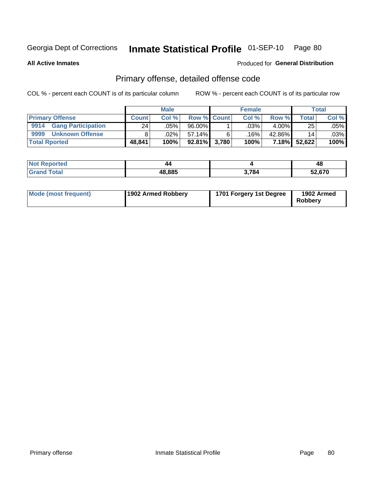#### Inmate Statistical Profile 01-SEP-10 Page 80

**All Active Inmates** 

### **Produced for General Distribution**

### Primary offense, detailed offense code

COL % - percent each COUNT is of its particular column

|                                   |              | <b>Male</b> |                    |       | <b>Female</b> |          |        | Total   |
|-----------------------------------|--------------|-------------|--------------------|-------|---------------|----------|--------|---------|
| <b>Primary Offense</b>            | <b>Count</b> | Col %       | <b>Row % Count</b> |       | Col %         | Row %    | Total  | Col %   |
| 9914<br><b>Gang Participation</b> | 24 l         | $.05\%$     | 96.00%             |       | .03%          | $4.00\%$ | 25     | .05%    |
| 9999<br><b>Unknown Offense</b>    |              | .02%        | 57.14%             |       | .16%          | 42.86%   | 14     | $.03\%$ |
| <b>Total Rported</b>              | 48,841       | 100%        | $92.81\%$          | 3,780 | 100%          | $7.18\%$ | 52,622 | 100%    |

| τeα | 44     |       | 48     |
|-----|--------|-------|--------|
|     | 48,885 | 3,784 | 52.670 |

| Mode (most frequent) | 1902 Armed Robbery | 1701 Forgery 1st Degree | 1902 Armed<br><b>Robbery</b> |
|----------------------|--------------------|-------------------------|------------------------------|
|----------------------|--------------------|-------------------------|------------------------------|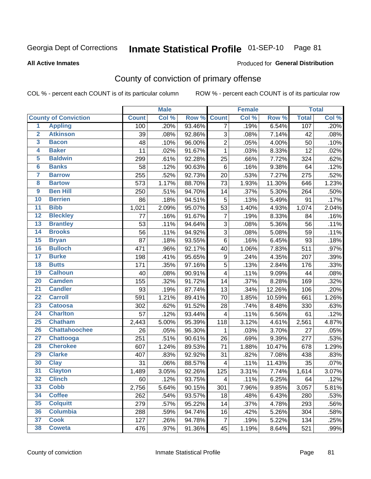# Inmate Statistical Profile 01-SEP-10 Page 81

**Produced for General Distribution** 

#### **All Active Inmates**

### County of conviction of primary offense

COL % - percent each COUNT is of its particular column

|                         |                             |              | <b>Male</b> |        |                  | <b>Female</b> |        |              | <b>Total</b> |
|-------------------------|-----------------------------|--------------|-------------|--------|------------------|---------------|--------|--------------|--------------|
|                         | <b>County of Conviction</b> | <b>Count</b> | Col %       | Row %  | <b>Count</b>     | Col %         | Row %  | <b>Total</b> | Col %        |
| 1                       | <b>Appling</b>              | 100          | .20%        | 93.46% | $\overline{7}$   | .19%          | 6.54%  | 107          | .20%         |
| $\overline{2}$          | <b>Atkinson</b>             | 39           | .08%        | 92.86% | 3                | .08%          | 7.14%  | 42           | .08%         |
| $\overline{\mathbf{3}}$ | <b>Bacon</b>                | 48           | .10%        | 96.00% | $\overline{2}$   | .05%          | 4.00%  | 50           | .10%         |
| $\overline{4}$          | <b>Baker</b>                | 11           | .02%        | 91.67% | $\mathbf{1}$     | .03%          | 8.33%  | 12           | .02%         |
| 5                       | <b>Baldwin</b>              | 299          | .61%        | 92.28% | 25               | .66%          | 7.72%  | 324          | .62%         |
| 6                       | <b>Banks</b>                | 58           | .12%        | 90.63% | 6                | .16%          | 9.38%  | 64           | .12%         |
| 7                       | <b>Barrow</b>               | 255          | .52%        | 92.73% | 20               | .53%          | 7.27%  | 275          | .52%         |
| $\overline{\mathbf{8}}$ | <b>Bartow</b>               | 573          | 1.17%       | 88.70% | 73               | 1.93%         | 11.30% | 646          | 1.23%        |
| $\overline{9}$          | <b>Ben Hill</b>             | 250          | .51%        | 94.70% | 14               | .37%          | 5.30%  | 264          | .50%         |
| 10                      | <b>Berrien</b>              | 86           | .18%        | 94.51% | 5                | .13%          | 5.49%  | 91           | .17%         |
| $\overline{11}$         | <b>Bibb</b>                 | 1,021        | 2.09%       | 95.07% | 53               | 1.40%         | 4.93%  | 1,074        | 2.04%        |
| $\overline{12}$         | <b>Bleckley</b>             | 77           | .16%        | 91.67% | $\overline{7}$   | .19%          | 8.33%  | 84           | .16%         |
| $\overline{13}$         | <b>Brantley</b>             | 53           | .11%        | 94.64% | $\overline{3}$   | .08%          | 5.36%  | 56           | .11%         |
| $\overline{14}$         | <b>Brooks</b>               | 56           | .11%        | 94.92% | $\overline{3}$   | .08%          | 5.08%  | 59           | .11%         |
| $\overline{15}$         | <b>Bryan</b>                | 87           | .18%        | 93.55% | $6\phantom{a}$   | .16%          | 6.45%  | 93           | .18%         |
| 16                      | <b>Bulloch</b>              | 471          | .96%        | 92.17% | 40               | 1.06%         | 7.83%  | 511          | .97%         |
| $\overline{17}$         | <b>Burke</b>                | 198          | .41%        | 95.65% | $\boldsymbol{9}$ | .24%          | 4.35%  | 207          | .39%         |
| $\overline{18}$         | <b>Butts</b>                | 171          | .35%        | 97.16% | $\overline{5}$   | .13%          | 2.84%  | 176          | .33%         |
| 19                      | <b>Calhoun</b>              | 40           | .08%        | 90.91% | 4                | .11%          | 9.09%  | 44           | .08%         |
| 20                      | <b>Camden</b>               | 155          | .32%        | 91.72% | 14               | .37%          | 8.28%  | 169          | .32%         |
| $\overline{21}$         | <b>Candler</b>              | 93           | .19%        | 87.74% | 13               | .34%          | 12.26% | 106          | .20%         |
| $\overline{22}$         | <b>Carroll</b>              | 591          | 1.21%       | 89.41% | 70               | 1.85%         | 10.59% | 661          | 1.26%        |
| 23                      | <b>Catoosa</b>              | 302          | .62%        | 91.52% | 28               | .74%          | 8.48%  | 330          | .63%         |
| $\overline{24}$         | <b>Charlton</b>             | 57           | .12%        | 93.44% | $\overline{4}$   | .11%          | 6.56%  | 61           | .12%         |
| 25                      | <b>Chatham</b>              | 2,443        | 5.00%       | 95.39% | 118              | 3.12%         | 4.61%  | 2,561        | 4.87%        |
| 26                      | <b>Chattahoochee</b>        | 26           | .05%        | 96.30% | 1                | .03%          | 3.70%  | 27           | .05%         |
| $\overline{27}$         | Chattooga                   | 251          | .51%        | 90.61% | 26               | .69%          | 9.39%  | 277          | .53%         |
| 28                      | <b>Cherokee</b>             | 607          | 1.24%       | 89.53% | 71               | 1.88%         | 10.47% | 678          | 1.29%        |
| 29                      | <b>Clarke</b>               | 407          | .83%        | 92.92% | 31               | .82%          | 7.08%  | 438          | .83%         |
| 30                      | <b>Clay</b>                 | 31           | .06%        | 88.57% | $\overline{4}$   | .11%          | 11.43% | 35           | .07%         |
| $\overline{31}$         | <b>Clayton</b>              | 1,489        | 3.05%       | 92.26% | 125              | 3.31%         | 7.74%  | 1,614        | 3.07%        |
| 32                      | <b>Clinch</b>               | 60           | .12%        | 93.75% | 4                | .11%          | 6.25%  | 64           | .12%         |
| 33                      | <b>Cobb</b>                 | 2,756        | 5.64%       | 90.15% | 301              | 7.96%         | 9.85%  | 3,057        | 5.81%        |
| 34                      | <b>Coffee</b>               | 262          | .54%        | 93.57% | 18               | .48%          | 6.43%  | 280          | .53%         |
| 35                      | <b>Colquitt</b>             | 279          | .57%        | 95.22% | 14               | .37%          | 4.78%  | 293          | .56%         |
| 36                      | <b>Columbia</b>             | 288          | .59%        | 94.74% | 16               | .42%          | 5.26%  | 304          | .58%         |
| 37                      | <b>Cook</b>                 | 127          | .26%        | 94.78% | $\overline{7}$   | .19%          | 5.22%  | 134          | .25%         |
| 38                      | <b>Coweta</b>               | 476          | .97%        | 91.36% | 45               | 1.19%         | 8.64%  | 521          | .99%         |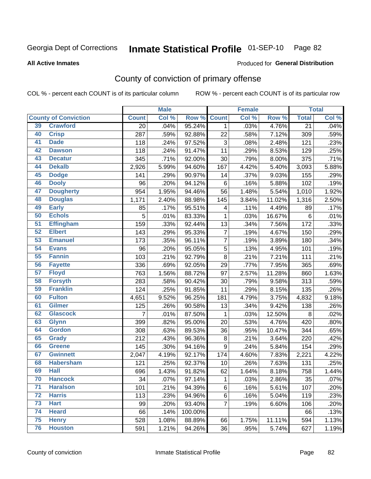# Inmate Statistical Profile 01-SEP-10 Page 82

#### **All Active Inmates**

#### Produced for General Distribution

### County of conviction of primary offense

COL % - percent each COUNT is of its particular column

|                 |                             |                 | <b>Male</b> |         |                | <b>Female</b> |        |                    | <b>Total</b> |
|-----------------|-----------------------------|-----------------|-------------|---------|----------------|---------------|--------|--------------------|--------------|
|                 | <b>County of Conviction</b> | <b>Count</b>    | Col %       | Row %   | <b>Count</b>   | Col %         | Row %  | <b>Total</b>       | Col %        |
| 39              | <b>Crawford</b>             | $\overline{20}$ | .04%        | 95.24%  | $\mathbf 1$    | .03%          | 4.76%  | $\overline{21}$    | .04%         |
| 40              | <b>Crisp</b>                | 287             | .59%        | 92.88%  | 22             | .58%          | 7.12%  | 309                | .59%         |
| 41              | <b>Dade</b>                 | 118             | .24%        | 97.52%  | 3              | .08%          | 2.48%  | 121                | .23%         |
| 42              | <b>Dawson</b>               | 118             | .24%        | 91.47%  | 11             | .29%          | 8.53%  | 129                | .25%         |
| 43              | <b>Decatur</b>              | 345             | .71%        | 92.00%  | 30             | .79%          | 8.00%  | 375                | .71%         |
| 44              | <b>Dekalb</b>               | 2,926           | 5.99%       | 94.60%  | 167            | 4.42%         | 5.40%  | 3,093              | 5.88%        |
| 45              | <b>Dodge</b>                | 141             | .29%        | 90.97%  | 14             | .37%          | 9.03%  | 155                | .29%         |
| 46              | <b>Dooly</b>                | 96              | .20%        | 94.12%  | 6              | .16%          | 5.88%  | 102                | .19%         |
| 47              | <b>Dougherty</b>            | 954             | 1.95%       | 94.46%  | 56             | 1.48%         | 5.54%  | $\overline{1,010}$ | 1.92%        |
| 48              | <b>Douglas</b>              | 1,171           | 2.40%       | 88.98%  | 145            | 3.84%         | 11.02% | 1,316              | 2.50%        |
| 49              | <b>Early</b>                | 85              | .17%        | 95.51%  | 4              | .11%          | 4.49%  | 89                 | .17%         |
| 50              | <b>Echols</b>               | 5               | .01%        | 83.33%  | 1              | .03%          | 16.67% | 6                  | .01%         |
| $\overline{51}$ | <b>Effingham</b>            | 159             | .33%        | 92.44%  | 13             | .34%          | 7.56%  | 172                | .33%         |
| 52              | <b>Elbert</b>               | 143             | .29%        | 95.33%  | $\overline{7}$ | .19%          | 4.67%  | 150                | .29%         |
| 53              | <b>Emanuel</b>              | 173             | .35%        | 96.11%  | $\overline{7}$ | .19%          | 3.89%  | 180                | .34%         |
| 54              | <b>Evans</b>                | 96              | .20%        | 95.05%  | $\mathbf 5$    | .13%          | 4.95%  | 101                | .19%         |
| 55              | <b>Fannin</b>               | 103             | .21%        | 92.79%  | 8              | .21%          | 7.21%  | 111                | .21%         |
| 56              | <b>Fayette</b>              | 336             | .69%        | 92.05%  | 29             | .77%          | 7.95%  | 365                | .69%         |
| 57              | <b>Floyd</b>                | 763             | 1.56%       | 88.72%  | 97             | 2.57%         | 11.28% | 860                | 1.63%        |
| 58              | <b>Forsyth</b>              | 283             | .58%        | 90.42%  | 30             | .79%          | 9.58%  | 313                | .59%         |
| 59              | <b>Franklin</b>             | 124             | .25%        | 91.85%  | 11             | .29%          | 8.15%  | 135                | .26%         |
| 60              | <b>Fulton</b>               | 4,651           | 9.52%       | 96.25%  | 181            | 4.79%         | 3.75%  | 4,832              | 9.18%        |
| 61              | Gilmer                      | 125             | .26%        | 90.58%  | 13             | .34%          | 9.42%  | 138                | .26%         |
| 62              | <b>Glascock</b>             | 7               | .01%        | 87.50%  | $\mathbf{1}$   | .03%          | 12.50% | 8                  | .02%         |
| 63              | <b>Glynn</b>                | 399             | .82%        | 95.00%  | 20             | .53%          | 4.76%  | 420                | .80%         |
| 64              | <b>Gordon</b>               | 308             | .63%        | 89.53%  | 36             | .95%          | 10.47% | 344                | .65%         |
| 65              | <b>Grady</b>                | 212             | .43%        | 96.36%  | 8              | .21%          | 3.64%  | 220                | .42%         |
| 66              | <b>Greene</b>               | 145             | .30%        | 94.16%  | 9              | .24%          | 5.84%  | 154                | .29%         |
| 67              | <b>Gwinnett</b>             | 2,047           | 4.19%       | 92.17%  | 174            | 4.60%         | 7.83%  | 2,221              | 4.22%        |
| 68              | <b>Habersham</b>            | 121             | .25%        | 92.37%  | 10             | .26%          | 7.63%  | 131                | .25%         |
| 69              | <b>Hall</b>                 | 696             | 1.43%       | 91.82%  | 62             | 1.64%         | 8.18%  | 758                | 1.44%        |
| 70              | <b>Hancock</b>              | 34              | $.07\%$     | 97.14%  | 1              | .03%          | 2.86%  | 35                 | .07%         |
| $\overline{71}$ | <b>Haralson</b>             | 101             | .21%        | 94.39%  | 6              | .16%          | 5.61%  | 107                | .20%         |
| 72              | <b>Harris</b>               | 113             | .23%        | 94.96%  | 6              | .16%          | 5.04%  | 119                | .23%         |
| 73              | <b>Hart</b>                 | 99              | .20%        | 93.40%  | 7              | .19%          | 6.60%  | 106                | .20%         |
| 74              | <b>Heard</b>                | 66              | .14%        | 100.00% |                |               |        | 66                 | .13%         |
| 75              | <b>Henry</b>                | 528             | 1.08%       | 88.89%  | 66             | 1.75%         | 11.11% | 594                | 1.13%        |
| 76              | <b>Houston</b>              | 591             | 1.21%       | 94.26%  | 36             | .95%          | 5.74%  | 627                | 1.19%        |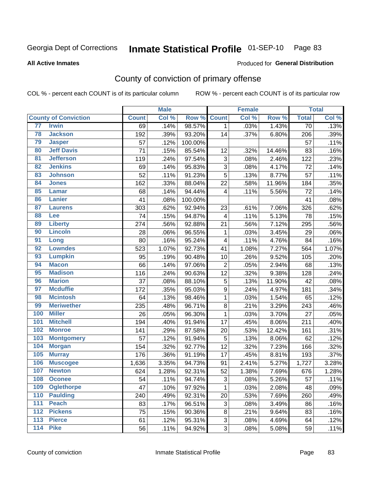# Inmate Statistical Profile 01-SEP-10 Page 83

Produced for General Distribution

#### **All Active Inmates**

### County of conviction of primary offense

COL % - percent each COUNT is of its particular column

|                  |                             |              | <b>Male</b> |         |                | <b>Female</b> |        |                 | <b>Total</b> |
|------------------|-----------------------------|--------------|-------------|---------|----------------|---------------|--------|-----------------|--------------|
|                  | <b>County of Conviction</b> | <b>Count</b> | Col %       | Row %   | <b>Count</b>   | Col %         | Row %  | <b>Total</b>    | Col %        |
| 77               | <b>Irwin</b>                | 69           | .14%        | 98.57%  | $\mathbf{1}$   | .03%          | 1.43%  | $\overline{70}$ | .13%         |
| 78               | <b>Jackson</b>              | 192          | .39%        | 93.20%  | 14             | .37%          | 6.80%  | 206             | .39%         |
| 79               | <b>Jasper</b>               | 57           | .12%        | 100.00% |                |               |        | 57              | .11%         |
| 80               | <b>Jeff Davis</b>           | 71           | .15%        | 85.54%  | 12             | .32%          | 14.46% | 83              | .16%         |
| 81               | <b>Jefferson</b>            | 119          | .24%        | 97.54%  | 3              | .08%          | 2.46%  | 122             | .23%         |
| 82               | <b>Jenkins</b>              | 69           | .14%        | 95.83%  | 3              | .08%          | 4.17%  | 72              | .14%         |
| 83               | <b>Johnson</b>              | 52           | .11%        | 91.23%  | 5              | .13%          | 8.77%  | 57              | .11%         |
| 84               | <b>Jones</b>                | 162          | .33%        | 88.04%  | 22             | .58%          | 11.96% | 184             | .35%         |
| 85               | <b>Lamar</b>                | 68           | .14%        | 94.44%  | 4              | .11%          | 5.56%  | 72              | .14%         |
| 86               | <b>Lanier</b>               | 41           | .08%        | 100.00% |                |               |        | 41              | .08%         |
| 87               | <b>Laurens</b>              | 303          | .62%        | 92.94%  | 23             | .61%          | 7.06%  | 326             | .62%         |
| 88               | Lee                         | 74           | .15%        | 94.87%  | 4              | .11%          | 5.13%  | 78              | .15%         |
| 89               | <b>Liberty</b>              | 274          | .56%        | 92.88%  | 21             | .56%          | 7.12%  | 295             | .56%         |
| 90               | <b>Lincoln</b>              | 28           | .06%        | 96.55%  | 1              | .03%          | 3.45%  | 29              | .06%         |
| 91               | Long                        | 80           | .16%        | 95.24%  | 4              | .11%          | 4.76%  | 84              | .16%         |
| 92               | <b>Lowndes</b>              | 523          | 1.07%       | 92.73%  | 41             | 1.08%         | 7.27%  | 564             | 1.07%        |
| 93               | <b>Lumpkin</b>              | 95           | .19%        | 90.48%  | 10             | .26%          | 9.52%  | 105             | .20%         |
| 94               | <b>Macon</b>                | 66           | .14%        | 97.06%  | $\overline{2}$ | .05%          | 2.94%  | 68              | .13%         |
| 95               | <b>Madison</b>              | 116          | .24%        | 90.63%  | 12             | .32%          | 9.38%  | 128             | .24%         |
| 96               | <b>Marion</b>               | 37           | .08%        | 88.10%  | $\mathbf 5$    | .13%          | 11.90% | 42              | .08%         |
| 97               | <b>Mcduffie</b>             | 172          | .35%        | 95.03%  | 9              | .24%          | 4.97%  | 181             | .34%         |
| 98               | <b>Mcintosh</b>             | 64           | .13%        | 98.46%  | $\mathbf{1}$   | .03%          | 1.54%  | 65              | .12%         |
| 99               | <b>Meriwether</b>           | 235          | .48%        | 96.71%  | 8              | .21%          | 3.29%  | 243             | .46%         |
| 100              | <b>Miller</b>               | 26           | .05%        | 96.30%  | $\mathbf 1$    | .03%          | 3.70%  | 27              | .05%         |
| 101              | <b>Mitchell</b>             | 194          | .40%        | 91.94%  | 17             | .45%          | 8.06%  | 211             | .40%         |
| 102              | <b>Monroe</b>               | 141          | .29%        | 87.58%  | 20             | .53%          | 12.42% | 161             | .31%         |
| 103              | <b>Montgomery</b>           | 57           | .12%        | 91.94%  | 5              | .13%          | 8.06%  | 62              | .12%         |
| 104              | <b>Morgan</b>               | 154          | .32%        | 92.77%  | 12             | .32%          | 7.23%  | 166             | .32%         |
| 105              | <b>Murray</b>               | 176          | .36%        | 91.19%  | 17             | .45%          | 8.81%  | 193             | .37%         |
| 106              | <b>Muscogee</b>             | 1,636        | 3.35%       | 94.73%  | 91             | 2.41%         | 5.27%  | 1,727           | 3.28%        |
| 107              | <b>Newton</b>               | 624          | 1.28%       | 92.31%  | 52             | 1.38%         | 7.69%  | 676             | 1.28%        |
| 108              | <b>Oconee</b>               | 54           | .11%        | 94.74%  | 3              | .08%          | 5.26%  | 57              | .11%         |
| 109              | <b>Oglethorpe</b>           | 47           | .10%        | 97.92%  | 1              | .03%          | 2.08%  | 48              | .09%         |
| 110              | <b>Paulding</b>             | 240          | .49%        | 92.31%  | 20             | .53%          | 7.69%  | 260             | .49%         |
| 111              | <b>Peach</b>                | 83           | .17%        | 96.51%  | 3              | .08%          | 3.49%  | 86              | .16%         |
| 112              | <b>Pickens</b>              | 75           | .15%        | 90.36%  | 8              | .21%          | 9.64%  | 83              | .16%         |
| 113              | <b>Pierce</b>               | 61           | .12%        | 95.31%  | 3              | .08%          | 4.69%  | 64              | .12%         |
| $\overline{114}$ | <b>Pike</b>                 | 56           | .11%        | 94.92%  | 3              | .08%          | 5.08%  | 59              | .11%         |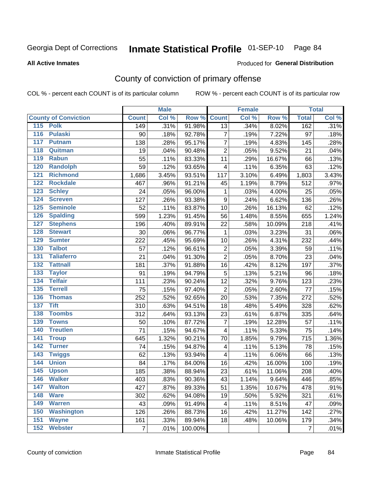# Inmate Statistical Profile 01-SEP-10 Page 84

Produced for General Distribution

#### **All Active Inmates**

# County of conviction of primary offense

COL % - percent each COUNT is of its particular column

|                                    |              | <b>Male</b> |         |                          | <b>Female</b> |        |                | <b>Total</b> |
|------------------------------------|--------------|-------------|---------|--------------------------|---------------|--------|----------------|--------------|
| <b>County of Conviction</b>        | <b>Count</b> | Col %       | Row %   | <b>Count</b>             | Col %         | Row %  | <b>Total</b>   | Col %        |
| 115 Polk                           | 149          | .31%        | 91.98%  | 13                       | .34%          | 8.02%  | 162            | .31%         |
| $\overline{116}$<br><b>Pulaski</b> | 90           | .18%        | 92.78%  | $\overline{7}$           | .19%          | 7.22%  | 97             | .18%         |
| 117<br><b>Putnam</b>               | 138          | .28%        | 95.17%  | $\overline{7}$           | .19%          | 4.83%  | 145            | .28%         |
| 118<br>Quitman                     | 19           | .04%        | 90.48%  | $\overline{2}$           | .05%          | 9.52%  | 21             | .04%         |
| 119<br><b>Rabun</b>                | 55           | .11%        | 83.33%  | 11                       | .29%          | 16.67% | 66             | .13%         |
| 120<br><b>Randolph</b>             | 59           | .12%        | 93.65%  | $\overline{\mathcal{A}}$ | .11%          | 6.35%  | 63             | .12%         |
| 121<br><b>Richmond</b>             | 1,686        | 3.45%       | 93.51%  | 117                      | 3.10%         | 6.49%  | 1,803          | 3.43%        |
| 122<br><b>Rockdale</b>             | 467          | .96%        | 91.21%  | 45                       | 1.19%         | 8.79%  | 512            | .97%         |
| 123<br><b>Schley</b>               | 24           | .05%        | 96.00%  | 1                        | .03%          | 4.00%  | 25             | .05%         |
| 124<br><b>Screven</b>              | 127          | .26%        | 93.38%  | $\boldsymbol{9}$         | .24%          | 6.62%  | 136            | .26%         |
| 125<br><b>Seminole</b>             | 52           | .11%        | 83.87%  | 10                       | .26%          | 16.13% | 62             | .12%         |
| 126<br><b>Spalding</b>             | 599          | 1.23%       | 91.45%  | 56                       | 1.48%         | 8.55%  | 655            | 1.24%        |
| 127<br><b>Stephens</b>             | 196          | .40%        | 89.91%  | 22                       | .58%          | 10.09% | 218            | .41%         |
| 128<br><b>Stewart</b>              | 30           | .06%        | 96.77%  | 1                        | .03%          | 3.23%  | 31             | .06%         |
| 129<br><b>Sumter</b>               | 222          | .45%        | 95.69%  | 10                       | .26%          | 4.31%  | 232            | .44%         |
| <b>Talbot</b><br>130               | 57           | .12%        | 96.61%  | $\overline{2}$           | .05%          | 3.39%  | 59             | .11%         |
| 131<br><b>Taliaferro</b>           | 21           | .04%        | 91.30%  | $\overline{2}$           | .05%          | 8.70%  | 23             | .04%         |
| 132<br><b>Tattnall</b>             | 181          | .37%        | 91.88%  | 16                       | .42%          | 8.12%  | 197            | .37%         |
| 133<br><b>Taylor</b>               | 91           | .19%        | 94.79%  | $\mathbf 5$              | .13%          | 5.21%  | 96             | .18%         |
| <b>Telfair</b><br>134              | 111          | .23%        | 90.24%  | 12                       | .32%          | 9.76%  | 123            | .23%         |
| $\overline{135}$<br><b>Terrell</b> | 75           | .15%        | 97.40%  | $\overline{2}$           | .05%          | 2.60%  | 77             | .15%         |
| 136<br><b>Thomas</b>               | 252          | .52%        | 92.65%  | 20                       | .53%          | 7.35%  | 272            | .52%         |
| <b>Tift</b><br>137                 | 310          | .63%        | 94.51%  | 18                       | .48%          | 5.49%  | 328            | .62%         |
| <b>Toombs</b><br>138               | 312          | .64%        | 93.13%  | 23                       | .61%          | 6.87%  | 335            | .64%         |
| 139<br><b>Towns</b>                | 50           | .10%        | 87.72%  | $\overline{7}$           | .19%          | 12.28% | 57             | .11%         |
| <b>Treutlen</b><br>140             | 71           | .15%        | 94.67%  | $\overline{\mathbf{4}}$  | .11%          | 5.33%  | 75             | .14%         |
| 141<br><b>Troup</b>                | 645          | 1.32%       | 90.21%  | 70                       | 1.85%         | 9.79%  | 715            | 1.36%        |
| 142<br><b>Turner</b>               | 74           | .15%        | 94.87%  | $\overline{\mathbf{4}}$  | .11%          | 5.13%  | 78             | .15%         |
| $\overline{143}$<br><b>Twiggs</b>  | 62           | .13%        | 93.94%  | $\overline{\mathbf{4}}$  | .11%          | 6.06%  | 66             | .13%         |
| 144<br><b>Union</b>                | 84           | .17%        | 84.00%  | 16                       | .42%          | 16.00% | 100            | .19%         |
| $\overline{145}$<br><b>Upson</b>   | 185          | .38%        | 88.94%  | 23                       | .61%          | 11.06% | 208            | .40%         |
| 146<br><b>Walker</b>               | 403          | .83%        | 90.36%  | 43                       | 1.14%         | 9.64%  | 446            | .85%         |
| 147<br><b>Walton</b>               | 427          | .87%        | 89.33%  | 51                       | 1.35%         | 10.67% | 478            | .91%         |
| 148<br><b>Ware</b>                 | 302          | .62%        | 94.08%  | 19                       | .50%          | 5.92%  | 321            | .61%         |
| 149<br><b>Warren</b>               | 43           | .09%        | 91.49%  | 4                        | .11%          | 8.51%  | 47             | .09%         |
| 150<br><b>Washington</b>           | 126          | .26%        | 88.73%  | 16                       | .42%          | 11.27% | 142            | .27%         |
| 151<br><b>Wayne</b>                | 161          | .33%        | 89.94%  | 18                       | .48%          | 10.06% | 179            | .34%         |
| <b>Webster</b><br>152              | 7            | .01%        | 100.00% |                          |               |        | $\overline{7}$ | .01%         |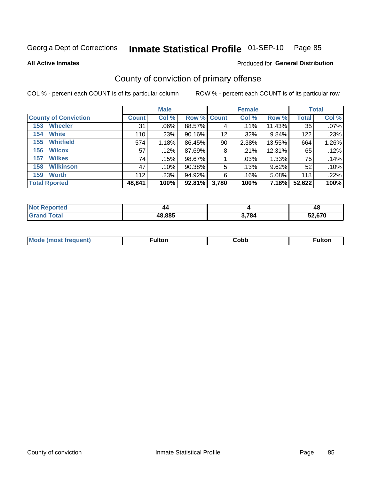**All Active Inmates** 

# Inmate Statistical Profile 01-SEP-10 Page 85

Produced for General Distribution

### County of conviction of primary offense

COL % - percent each COUNT is of its particular column

|                             |              | <b>Male</b> |             |       | <b>Female</b> |        |              | <b>Total</b> |
|-----------------------------|--------------|-------------|-------------|-------|---------------|--------|--------------|--------------|
| <b>County of Conviction</b> | <b>Count</b> | Col %       | Row % Count |       | Col %         | Row %  | <b>Total</b> | Col %        |
| <b>Wheeler</b><br>153       | 31           | .06%        | 88.57%      | 4     | .11%          | 11.43% | 35           | .07%         |
| White<br>154                | 110          | .23%        | $90.16\%$   | 12    | .32%          | 9.84%  | 122          | .23%         |
| <b>Whitfield</b><br>155     | 574          | 1.18%       | 86.45%      | 90    | 2.38%         | 13.55% | 664          | 1.26%        |
| <b>Wilcox</b><br>156        | 57           | .12%        | 87.69%      | 8     | .21%          | 12.31% | 65           | .12%         |
| <b>Wilkes</b><br>157        | 74           | .15%        | 98.67%      |       | $.03\%$       | 1.33%  | 75           | .14%         |
| <b>Wilkinson</b><br>158     | 47           | .10%        | 90.38%      | 5     | .13%          | 9.62%  | 52           | .10%         |
| <b>Worth</b><br>159         | 112          | .23%        | 94.92%      | 6     | .16%          | 5.08%  | 118          | .22%         |
| <b>Total Rported</b>        | 48,841       | 100%        | 92.81%      | 3,780 | 100%          | 7.18%  | 52,622       | 100%         |

| ∖rteα | 44     |       | 4c                        |
|-------|--------|-------|---------------------------|
| otal  | 48,885 | 3,784 | $F^{\alpha}$ $F^{\alpha}$ |

| <b>Mode</b><br>---<br>luent)<br>nost tren | ™ulton | ;obb | Fulto |
|-------------------------------------------|--------|------|-------|
|                                           |        |      |       |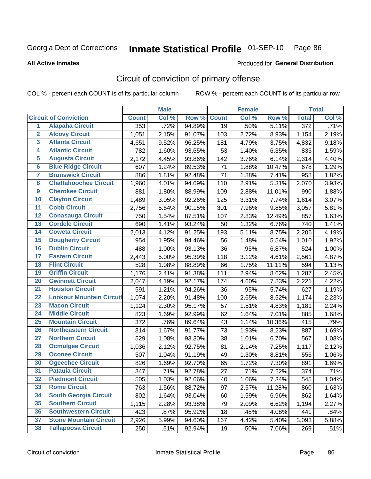# Inmate Statistical Profile 01-SEP-10 Page 86

#### **All Active Inmates**

### **Produced for General Distribution**

### Circuit of conviction of primary offense

COL % - percent each COUNT is of its particular column

|                         |                                 |              | <b>Male</b> |        |              | <b>Female</b> |        |                  | <b>Total</b> |
|-------------------------|---------------------------------|--------------|-------------|--------|--------------|---------------|--------|------------------|--------------|
|                         | <b>Circuit of Conviction</b>    | <b>Count</b> | Col %       | Row %  | <b>Count</b> | Col %         | Row %  | <b>Total</b>     | Col %        |
| 1                       | <b>Alapaha Circuit</b>          | 353          | .72%        | 94.89% | 19           | .50%          | 5.11%  | $\overline{372}$ | .71%         |
| $\overline{2}$          | <b>Alcovy Circuit</b>           | 1,051        | 2.15%       | 91.07% | 103          | 2.72%         | 8.93%  | 1,154            | 2.19%        |
| $\overline{\mathbf{3}}$ | <b>Atlanta Circuit</b>          | 4,651        | 9.52%       | 96.25% | 181          | 4.79%         | 3.75%  | 4,832            | 9.18%        |
| 4                       | <b>Atlantic Circuit</b>         | 782          | 1.60%       | 93.65% | 53           | 1.40%         | 6.35%  | 835              | 1.59%        |
| 5                       | <b>Augusta Circuit</b>          | 2,172        | 4.45%       | 93.86% | 142          | 3.76%         | 6.14%  | 2,314            | 4.40%        |
| $\overline{6}$          | <b>Blue Ridge Circuit</b>       | 607          | 1.24%       | 89.53% | 71           | 1.88%         | 10.47% | 678              | 1.29%        |
| $\overline{\mathbf{7}}$ | <b>Brunswick Circuit</b>        | 886          | 1.81%       | 92.48% | 71           | 1.88%         | 7.41%  | 958              | 1.82%        |
| 8                       | <b>Chattahoochee Circuit</b>    | 1,960        | 4.01%       | 94.69% | 110          | 2.91%         | 5.31%  | 2,070            | 3.93%        |
| $\overline{9}$          | <b>Cherokee Circuit</b>         | 881          | 1.80%       | 88.99% | 109          | 2.88%         | 11.01% | 990              | 1.88%        |
| 10                      | <b>Clayton Circuit</b>          | 1,489        | 3.05%       | 92.26% | 125          | 3.31%         | 7.74%  | 1,614            | 3.07%        |
| $\overline{11}$         | <b>Cobb Circuit</b>             | 2,756        | 5.64%       | 90.15% | 301          | 7.96%         | 9.85%  | 3,057            | 5.81%        |
| $\overline{12}$         | <b>Conasauga Circuit</b>        | 750          | 1.54%       | 87.51% | 107          | 2.83%         | 12.49% | 857              | 1.63%        |
| 13                      | <b>Cordele Circuit</b>          | 690          | 1.41%       | 93.24% | 50           | 1.32%         | 6.76%  | 740              | 1.41%        |
| 14                      | <b>Coweta Circuit</b>           | 2,013        | 4.12%       | 91.25% | 193          | 5.11%         | 8.75%  | 2,206            | 4.19%        |
| 15                      | <b>Dougherty Circuit</b>        | 954          | 1.95%       | 94.46% | 56           | 1.48%         | 5.54%  | 1,010            | 1.92%        |
| 16                      | <b>Dublin Circuit</b>           | 488          | 1.00%       | 93.13% | 36           | .95%          | 6.87%  | 524              | 1.00%        |
| 17                      | <b>Eastern Circuit</b>          | 2,443        | 5.00%       | 95.39% | 118          | 3.12%         | 4.61%  | 2,561            | 4.87%        |
| 18                      | <b>Flint Circuit</b>            | 528          | 1.08%       | 88.89% | 66           | 1.75%         | 11.11% | 594              | 1.13%        |
| 19                      | <b>Griffin Circuit</b>          | 1,176        | 2.41%       | 91.38% | 111          | 2.94%         | 8.62%  | 1,287            | 2.45%        |
| 20                      | <b>Gwinnett Circuit</b>         | 2,047        | 4.19%       | 92.17% | 174          | 4.60%         | 7.83%  | 2,221            | 4.22%        |
| $\overline{21}$         | <b>Houston Circuit</b>          | 591          | 1.21%       | 94.26% | 36           | .95%          | 5.74%  | 627              | 1.19%        |
| $\overline{22}$         | <b>Lookout Mountain Circuit</b> | 1,074        | 2.20%       | 91.48% | 100          | 2.65%         | 8.52%  | 1,174            | 2.23%        |
| 23                      | <b>Macon Circuit</b>            | 1,124        | 2.30%       | 95.17% | 57           | 1.51%         | 4.83%  | 1,181            | 2.24%        |
| $\overline{24}$         | <b>Middle Circuit</b>           | 823          | 1.69%       | 92.99% | 62           | 1.64%         | 7.01%  | 885              | 1.68%        |
| 25                      | <b>Mountain Circuit</b>         | 372          | .76%        | 89.64% | 43           | 1.14%         | 10.36% | 415              | .79%         |
| 26                      | <b>Northeastern Circuit</b>     | 814          | 1.67%       | 91.77% | 73           | 1.93%         | 8.23%  | 887              | 1.69%        |
| $\overline{27}$         | <b>Northern Circuit</b>         | 529          | 1.08%       | 93.30% | 38           | 1.01%         | 6.70%  | 567              | 1.08%        |
| 28                      | <b>Ocmulgee Circuit</b>         | 1,036        | 2.12%       | 92.75% | 81           | 2.14%         | 7.25%  | 1,117            | 2.12%        |
| 29                      | <b>Oconee Circuit</b>           | 507          | 1.04%       | 91.19% | 49           | 1.30%         | 8.81%  | 556              | 1.06%        |
| 30                      | <b>Ogeechee Circuit</b>         | 826          | 1.69%       | 92.70% | 65           | 1.72%         | 7.30%  | 891              | 1.69%        |
| $\overline{31}$         | <b>Pataula Circuit</b>          | 347          | .71%        | 92.78% | 27           | .71%          | 7.22%  | 374              | .71%         |
| 32                      | <b>Piedmont Circuit</b>         | 505          | 1.03%       | 92.66% | 40           | 1.06%         | 7.34%  | 545              | 1.04%        |
| 33                      | <b>Rome Circuit</b>             | 763          | 1.56%       | 88.72% | 97           | 2.57%         | 11.28% | 860              | 1.63%        |
| 34                      | <b>South Georgia Circuit</b>    | 802          | 1.64%       | 93.04% | 60           | 1.59%         | 6.96%  | 862              | 1.64%        |
| 35                      | <b>Southern Circuit</b>         | 1,115        | 2.28%       | 93.38% | 79           | 2.09%         | 6.62%  | 1,194            | 2.27%        |
| 36                      | <b>Southwestern Circuit</b>     | 423          | .87%        | 95.92% | 18           | .48%          | 4.08%  | 441              | .84%         |
| 37                      | <b>Stone Mountain Circuit</b>   | 2,926        | 5.99%       | 94.60% | 167          | 4.42%         | 5.40%  | 3,093            | 5.88%        |
| 38                      | <b>Tallapoosa Circuit</b>       | 250          | .51%        | 92.94% | 19           | .50%          | 7.06%  | 269              | .51%         |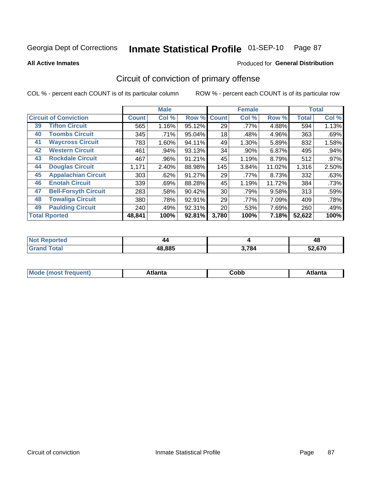#### Inmate Statistical Profile 01-SEP-10 Page 87

Produced for General Distribution

#### **All Active Inmates**

# Circuit of conviction of primary offense

COL % - percent each COUNT is of its particular column

|    |                              |              | <b>Male</b> |        |              | <b>Female</b> |        |              | <b>Total</b> |
|----|------------------------------|--------------|-------------|--------|--------------|---------------|--------|--------------|--------------|
|    | <b>Circuit of Conviction</b> | <b>Count</b> | Col %       | Row %  | <b>Count</b> | Col %         | Row %  | <b>Total</b> | Col %        |
| 39 | <b>Tifton Circuit</b>        | 565          | 1.16%       | 95.12% | 29           | .77%          | 4.88%  | 594          | 1.13%        |
| 40 | <b>Toombs Circuit</b>        | 345          | .71%        | 95.04% | 18           | .48%          | 4.96%  | 363          | .69%         |
| 41 | <b>Waycross Circuit</b>      | 783          | 1.60%       | 94.11% | 49           | 1.30%         | 5.89%  | 832          | 1.58%        |
| 42 | <b>Western Circuit</b>       | 461          | .94%        | 93.13% | 34           | .90%          | 6.87%  | 495          | .94%         |
| 43 | <b>Rockdale Circuit</b>      | 467          | .96%        | 91.21% | 45           | 1.19%         | 8.79%  | 512          | .97%         |
| 44 | <b>Douglas Circuit</b>       | 1,171        | 2.40%       | 88.98% | 145          | 3.84%         | 11.02% | 1,316        | 2.50%        |
| 45 | <b>Appalachian Circuit</b>   | 303          | .62%        | 91.27% | 29           | .77%          | 8.73%  | 332          | .63%         |
| 46 | <b>Enotah Circuit</b>        | 339          | .69%        | 88.28% | 45           | 1.19%         | 11.72% | 384          | .73%         |
| 47 | <b>Bell-Forsyth Circuit</b>  | 283          | .58%        | 90.42% | 30           | .79%          | 9.58%  | 313          | .59%         |
| 48 | <b>Towaliga Circuit</b>      | 380          | .78%        | 92.91% | 29           | .77%          | 7.09%  | 409          | .78%         |
| 49 | <b>Paulding Circuit</b>      | 240          | .49%        | 92.31% | 20           | .53%          | 7.69%  | 260          | .49%         |
|    | <b>Total Rported</b>         | 48.841       | 100%        | 92.81% | 3,780        | 100%          | 7.18%  | 52,622       | 100%         |

| 11 – 10 | 44     |                     | 4C     |
|---------|--------|---------------------|--------|
|         | 48,885 | <i>ו</i> סד כ<br>64 | -0.070 |

| M<br>- - -<br>.<br>.<br>∪opp<br>нс |
|------------------------------------|
|------------------------------------|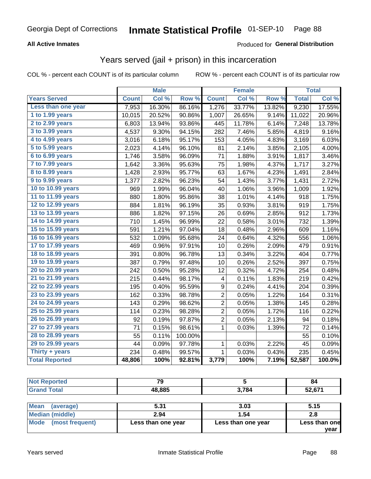#### Inmate Statistical Profile 01-SEP-10 Page 88

### **All Active Inmates**

### Produced for General Distribution

### Years served (jail + prison) in this incarceration

COL % - percent each COUNT is of its particular column

ROW % - percent each COUNT is of its particular row

|                       |              | <b>Male</b> |         |                | <b>Female</b> |        |              | <b>Total</b> |
|-----------------------|--------------|-------------|---------|----------------|---------------|--------|--------------|--------------|
| <b>Years Served</b>   | <b>Count</b> | Col %       | Row %   | <b>Count</b>   | Col %         | Row %  | <b>Total</b> | Col %        |
| Less than one year    | 7,953        | 16.30%      | 86.16%  | 1,276          | 33.77%        | 13.82% | 9,230        | 17.55%       |
| 1 to 1.99 years       | 10,015       | 20.52%      | 90.86%  | 1,007          | 26.65%        | 9.14%  | 11,022       | 20.96%       |
| 2 to 2.99 years       | 6,803        | 13.94%      | 93.86%  | 445            | 11.78%        | 6.14%  | 7,248        | 13.78%       |
| 3 to 3.99 years       | 4,537        | 9.30%       | 94.15%  | 282            | 7.46%         | 5.85%  | 4,819        | 9.16%        |
| 4 to 4.99 years       | 3,016        | 6.18%       | 95.17%  | 153            | 4.05%         | 4.83%  | 3,169        | 6.03%        |
| 5 to 5.99 years       | 2,023        | 4.14%       | 96.10%  | 81             | 2.14%         | 3.85%  | 2,105        | 4.00%        |
| 6 to 6.99 years       | 1,746        | 3.58%       | 96.09%  | 71             | 1.88%         | 3.91%  | 1,817        | 3.46%        |
| 7 to 7.99 years       | 1,642        | 3.36%       | 95.63%  | 75             | 1.98%         | 4.37%  | 1,717        | 3.27%        |
| 8 to 8.99 years       | 1,428        | 2.93%       | 95.77%  | 63             | 1.67%         | 4.23%  | 1,491        | 2.84%        |
| 9 to 9.99 years       | 1,377        | 2.82%       | 96.23%  | 54             | 1.43%         | 3.77%  | 1,431        | 2.72%        |
| 10 to 10.99 years     | 969          | 1.99%       | 96.04%  | 40             | 1.06%         | 3.96%  | 1,009        | 1.92%        |
| 11 to 11.99 years     | 880          | 1.80%       | 95.86%  | 38             | 1.01%         | 4.14%  | 918          | 1.75%        |
| 12 to 12.99 years     | 884          | 1.81%       | 96.19%  | 35             | 0.93%         | 3.81%  | 919          | 1.75%        |
| 13 to 13.99 years     | 886          | 1.82%       | 97.15%  | 26             | 0.69%         | 2.85%  | 912          | 1.73%        |
| 14 to 14.99 years     | 710          | 1.45%       | 96.99%  | 22             | 0.58%         | 3.01%  | 732          | 1.39%        |
| 15 to 15.99 years     | 591          | 1.21%       | 97.04%  | 18             | 0.48%         | 2.96%  | 609          | 1.16%        |
| 16 to 16.99 years     | 532          | 1.09%       | 95.68%  | 24             | 0.64%         | 4.32%  | 556          | 1.06%        |
| 17 to 17.99 years     | 469          | 0.96%       | 97.91%  | 10             | 0.26%         | 2.09%  | 479          | 0.91%        |
| 18 to 18.99 years     | 391          | 0.80%       | 96.78%  | 13             | 0.34%         | 3.22%  | 404          | 0.77%        |
| 19 to 19.99 years     | 387          | 0.79%       | 97.48%  | 10             | 0.26%         | 2.52%  | 397          | 0.75%        |
| 20 to 20.99 years     | 242          | 0.50%       | 95.28%  | 12             | 0.32%         | 4.72%  | 254          | 0.48%        |
| 21 to 21.99 years     | 215          | 0.44%       | 98.17%  | 4              | 0.11%         | 1.83%  | 219          | 0.42%        |
| 22 to 22.99 years     | 195          | 0.40%       | 95.59%  | 9              | 0.24%         | 4.41%  | 204          | 0.39%        |
| 23 to 23.99 years     | 162          | 0.33%       | 98.78%  | $\overline{c}$ | 0.05%         | 1.22%  | 164          | 0.31%        |
| 24 to 24.99 years     | 143          | 0.29%       | 98.62%  | 2              | 0.05%         | 1.38%  | 145          | 0.28%        |
| 25 to 25.99 years     | 114          | 0.23%       | 98.28%  | $\overline{2}$ | 0.05%         | 1.72%  | 116          | 0.22%        |
| 26 to 26.99 years     | 92           | 0.19%       | 97.87%  | $\overline{2}$ | 0.05%         | 2.13%  | 94           | 0.18%        |
| 27 to 27.99 years     | 71           | 0.15%       | 98.61%  | $\mathbf 1$    | 0.03%         | 1.39%  | 72           | 0.14%        |
| 28 to 28.99 years     | 55           | 0.11%       | 100.00% |                |               |        | 55           | 0.10%        |
| 29 to 29.99 years     | 44           | 0.09%       | 97.78%  | $\mathbf 1$    | 0.03%         | 2.22%  | 45           | 0.09%        |
| Thirty + years        | 234          | 0.48%       | 99.57%  | $\mathbf{1}$   | 0.03%         | 0.43%  | 235          | 0.45%        |
| <b>Total Reported</b> | 48,806       | 100%        | 92.81%  | 3,779          | 100%          | 7.19%  | 52,587       | 100.0%       |

| <b>Not Reported</b>     | 79                 |                    | 84            |
|-------------------------|--------------------|--------------------|---------------|
| <b>Grand Total</b>      | 48.885             | 3.784              | 52,671        |
| Mean<br>(average)       | 5.31               | 3.03               | 5.15          |
| <b>Median (middle)</b>  | 2.94               | 1.54               | 2.8           |
| Mode<br>(most frequent) | Less than one year | Less than one year | Less than one |

year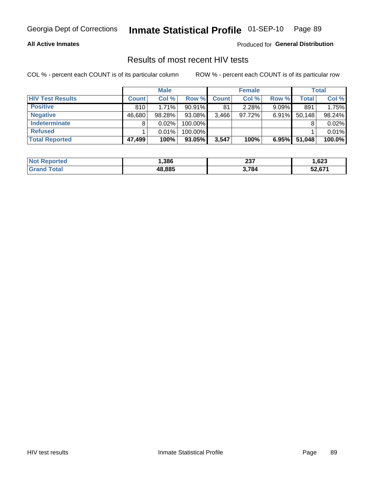# Inmate Statistical Profile 01-SEP-10 Page 89

### **All Active Inmates**

Produced for General Distribution

### Results of most recent HIV tests

COL % - percent each COUNT is of its particular column

|                         |              | <b>Male</b> |           |              | <b>Female</b> |          |              | <b>Total</b> |
|-------------------------|--------------|-------------|-----------|--------------|---------------|----------|--------------|--------------|
| <b>HIV Test Results</b> | <b>Count</b> | Col %       | Row %I    | <b>Count</b> | Col %         | Row %    | <b>Total</b> | Col %        |
| <b>Positive</b>         | 810          | 1.71%       | $90.91\%$ | 81           | 2.28%         | $9.09\%$ | 891          | 1.75%        |
| <b>Negative</b>         | 46,680       | 98.28%      | 93.08%    | 3,466        | 97.72%        | $6.91\%$ | 50,148       | 98.24%       |
| Indeterminate           | 8            | 0.02%       | 100.00%   |              |               |          |              | 0.02%        |
| <b>Refused</b>          |              | 0.01%       | 100.00%   |              |               |          |              | 0.01%        |
| <b>Total Reported</b>   | 47,499       | 100%        | 93.05%    | 3,547        | 100%          | 6.95%    | 51,048       | 100.0%       |

| <b>Not</b><br>Reported | ,386   | 027<br>ا ت<br>___ | cos<br>3∠0.⊧ |
|------------------------|--------|-------------------|--------------|
| Total<br><b>Grand</b>  | 18.885 | 3,784             | 52,671       |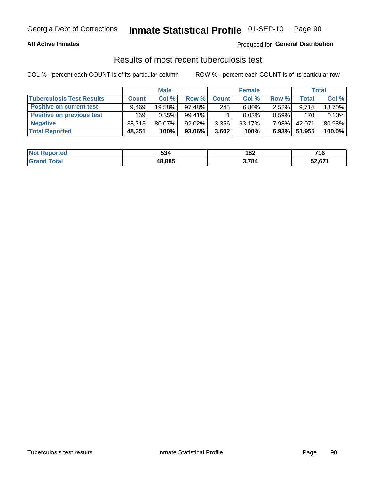# Inmate Statistical Profile 01-SEP-10 Page 90

### **All Active Inmates**

### **Produced for General Distribution**

### Results of most recent tuberculosis test

COL % - percent each COUNT is of its particular column

|                                  | <b>Male</b>  |        | <b>Female</b> |              |           | Total    |              |        |
|----------------------------------|--------------|--------|---------------|--------------|-----------|----------|--------------|--------|
| <b>Tuberculosis Test Results</b> | <b>Count</b> | Col%   | Row %         | <b>Count</b> | Col %     | Row %    | <b>Total</b> | Col %  |
| <b>Positive on current test</b>  | 9.469        | 19.58% | 97.48%        | 245          | $6.80\%$  | $2.52\%$ | 9.714        | 18.70% |
| <b>Positive on previous test</b> | 169          | 0.35%  | 99.41%        |              | 0.03%     | $0.59\%$ | 170          | 0.33%  |
| <b>Negative</b>                  | 38.713       | 80.07% | 92.02%        | 3,356        | $93.17\%$ | 7.98%    | 42,071       | 80.98% |
| <b>Total Reported</b>            | 48,351       | 100%   | 93.06%        | 3,602        | 100%      | $6.93\%$ | 51,955       | 100.0% |

| <b>Not Reported</b> | <b>FA</b> 4<br>534 | 182   | 716    |
|---------------------|--------------------|-------|--------|
| Total               | 48,885             | 3,784 | 52,671 |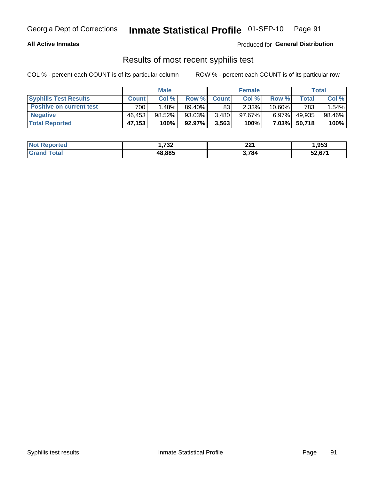## Georgia Dept of Corrections **Inmate Statistical Profile** 01-SEP-10 Page 91

### **All Active Inmates**

Produced for **General Distribution**

### Results of most recent syphilis test

COL % - percent each COUNT is of its particular column ROW % - percent each COUNT is of its particular row

|                                 | <b>Male</b>  |           |        | <b>Female</b> |           |           | Total   |        |
|---------------------------------|--------------|-----------|--------|---------------|-----------|-----------|---------|--------|
| <b>Syphilis Test Results</b>    | <b>Count</b> | Col%      | Row %  | <b>Count</b>  | Col %     | Row %     | Total I | Col %  |
| <b>Positive on current test</b> | 700          | $1.48\%$  | 89.40% | 83            | 2.33%     | $10.60\%$ | 783     | 1.54%  |
| <b>Negative</b>                 | 46.453       | $98.52\%$ | 93.03% | 3,480         | $97.67\%$ | $6.97\%$  | 49,935  | 98.46% |
| <b>Total Reported</b>           | 47,153       | 100%      | 92.97% | 3,563         | 100%      | $7.03\%$  | 50,718  | 100%   |

| <b>Not Reported</b>          | 1,732  | 22<br>44 I | 1,953  |
|------------------------------|--------|------------|--------|
| <b>Total</b><br><b>Grand</b> | 48,885 | 3,784      | 52,671 |